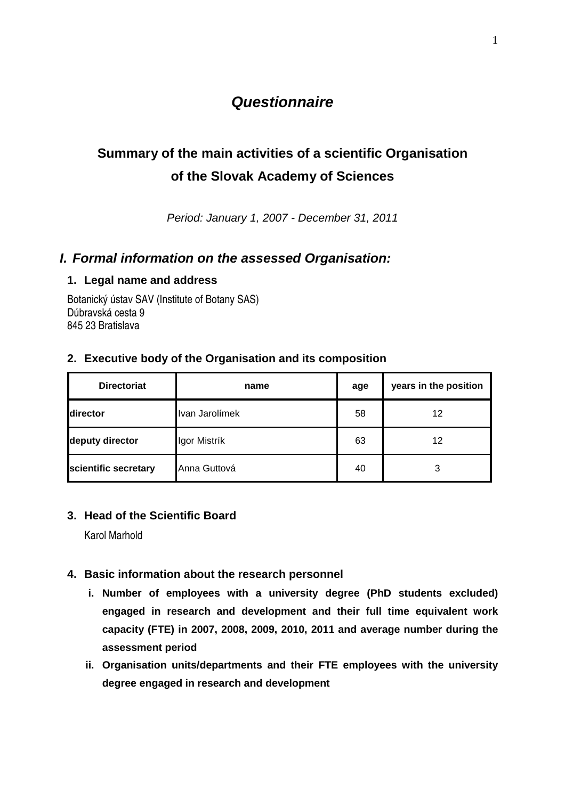# **Questionnaire**

# **Summary of the main activities of a scientific Organisation of the Slovak Academy of Sciences**

Period: January 1, 2007 - December 31, 2011

### **I. Formal information on the assessed Organisation:**

#### **1. Legal name and address**

Botanický ústav SAV (Institute of Botany SAS) Dúbravská cesta 9 845 23 Bratislava

| <b>Directoriat</b>   | name           | age | years in the position |
|----------------------|----------------|-----|-----------------------|
| director             | Ivan Jarolímek | 58  | 12                    |
| deputy director      | Igor Mistrík   | 63  | 12                    |
| scientific secretary | Anna Guttová   | 40  | 3                     |

#### **2. Executive body of the Organisation and its composition**

#### **3. Head of the Scientific Board**

Karol Marhold

- **4. Basic information about the research personnel** 
	- **i. Number of employees with a university degree (PhD students excluded) engaged in research and development and their full time equivalent work capacity (FTE) in 2007, 2008, 2009, 2010, 2011 and average number during the assessment period**
	- **ii. Organisation units/departments and their FTE employees with the university degree engaged in research and development**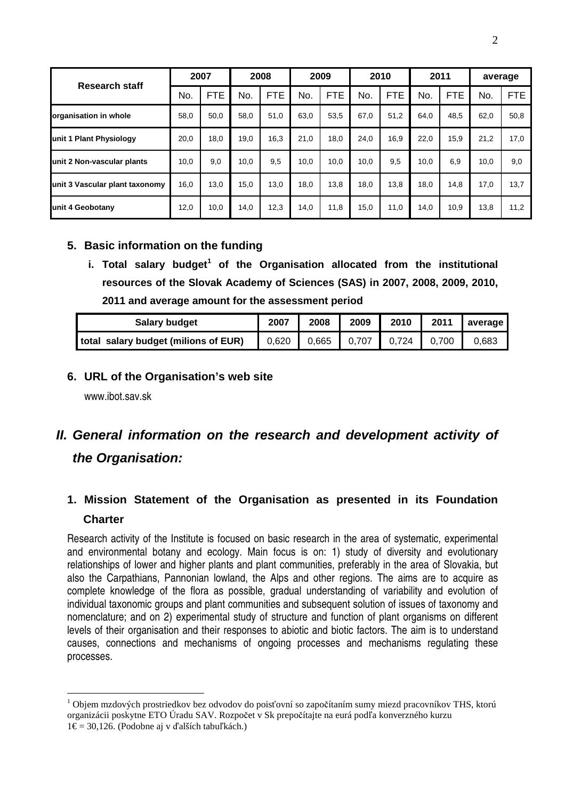| <b>Research staff</b>          |      | 2007       | 2008 |            |      | 2009       |      | 2010       |      | 2011       | average |            |  |
|--------------------------------|------|------------|------|------------|------|------------|------|------------|------|------------|---------|------------|--|
|                                | No.  | <b>FTE</b> | No.  | <b>FTE</b> | No.  | <b>FTE</b> | No.  | <b>FTE</b> | No.  | <b>FTE</b> | No.     | <b>FTE</b> |  |
| organisation in whole          | 58,0 | 50.0       | 58,0 | 51,0       | 63.0 | 53,5       | 67,0 | 51,2       | 64,0 | 48.5       | 62,0    | 50,8       |  |
| unit 1 Plant Physiology        | 20,0 | 18.0       | 19,0 | 16,3       | 21.0 | 18,0       | 24,0 | 16.9       | 22,0 | 15,9       | 21,2    | 17,0       |  |
| unit 2 Non-vascular plants     | 10,0 | 9,0        | 10,0 | 9.5        | 10.0 | 10.0       | 10.0 | 9,5        | 10,0 | 6.9        | 10.0    | 9,0        |  |
| unit 3 Vascular plant taxonomy | 16.0 | 13.0       | 15,0 | 13.0       | 18.0 | 13.8       | 18,0 | 13.8       | 18,0 | 14.8       | 17,0    | 13,7       |  |
| unit 4 Geobotany               | 12,0 | 10,0       | 14,0 | 12,3       | 14.0 | 11,8       | 15,0 | 11,0       | 14,0 | 10.9       | 13,8    | 11,2       |  |

### **5. Basic information on the funding**

**i. Total salary budget<sup>1</sup> of the Organisation allocated from the institutional resources of the Slovak Academy of Sciences (SAS) in 2007, 2008, 2009, 2010, 2011 and average amount for the assessment period** 

| Salary budget                        | 2007  | 2008 | 2009          | 2010          | 2011 | average |  |
|--------------------------------------|-------|------|---------------|---------------|------|---------|--|
| total salary budget (milions of EUR) | 0.620 |      | $0.665$ 0.707 | $0.724$ 0.700 |      | 0.683   |  |

### **6. URL of the Organisation's web site**

www.ibot.sav.sk

 $\overline{a}$ 

# **II. General information on the research and development activity of the Organisation:**

# **1. Mission Statement of the Organisation as presented in its Foundation Charter**

Research activity of the Institute is focused on basic research in the area of systematic, experimental and environmental botany and ecology. Main focus is on: 1) study of diversity and evolutionary relationships of lower and higher plants and plant communities, preferably in the area of Slovakia, but also the Carpathians, Pannonian lowland, the Alps and other regions. The aims are to acquire as complete knowledge of the flora as possible, gradual understanding of variability and evolution of individual taxonomic groups and plant communities and subsequent solution of issues of taxonomy and nomenclature; and on 2) experimental study of structure and function of plant organisms on different levels of their organisation and their responses to abiotic and biotic factors. The aim is to understand causes, connections and mechanisms of ongoing processes and mechanisms regulating these processes.

<sup>&</sup>lt;sup>1</sup> Objem mzdových prostriedkov bez odvodov do poisťovní so započítaním sumy miezd pracovníkov THS, ktorú organizácii poskytne ETO Úradu SAV. Rozpočet v Sk prepočítajte na eurá podľa konverzného kurzu 1€ = 30,126. (Podobne aj v ďalších tabuľkách.)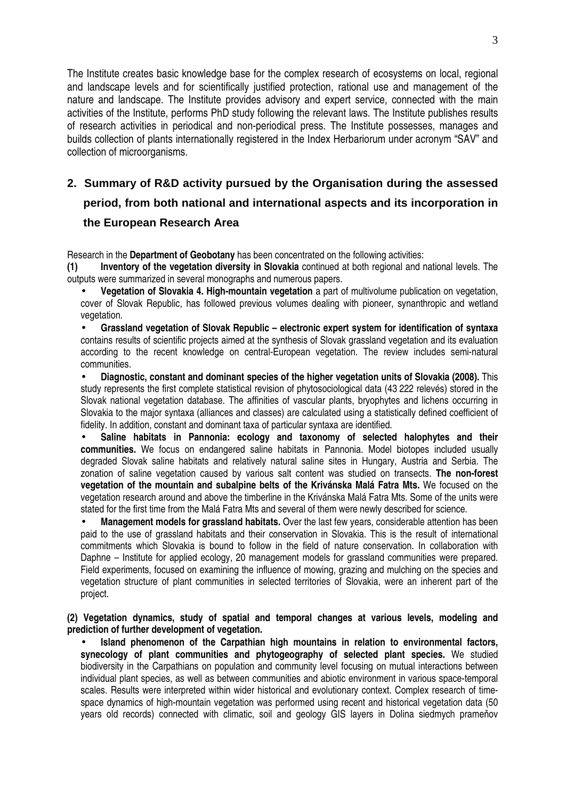The Institute creates basic knowledge base for the complex research of ecosystems on local, regional and landscape levels and for scientifically justified protection, rational use and management of the nature and landscape. The Institute provides advisory and expert service, connected with the main activities of the Institute, performs PhD study following the relevant laws. The Institute publishes results of research activities in periodical and non-periodical press. The Institute possesses, manages and builds collection of plants internationally registered in the Index Herbariorum under acronym "SAV" and collection of microorganisms.

# **2. Summary of R&D activity pursued by the Organisation during the assessed period, from both national and international aspects and its incorporation in the European Research Area**

Research in the **Department of Geobotany** has been concentrated on the following activities:

**(1) Inventory of the vegetation diversity in Slovakia** continued at both regional and national levels. The outputs were summarized in several monographs and numerous papers.

• **Vegetation of Slovakia 4. High-mountain vegetation** a part of multivolume publication on vegetation, cover of Slovak Republic, has followed previous volumes dealing with pioneer, synanthropic and wetland vegetation.

• **Grassland vegetation of Slovak Republic – electronic expert system for identification of syntaxa** contains results of scientific projects aimed at the synthesis of Slovak grassland vegetation and its evaluation according to the recent knowledge on central-European vegetation. The review includes semi-natural communities.

• **Diagnostic, constant and dominant species of the higher vegetation units of Slovakia (2008).** This study represents the first complete statistical revision of phytosociological data (43 222 relevés) stored in the Slovak national vegetation database. The affinities of vascular plants, bryophytes and lichens occurring in Slovakia to the major syntaxa (alliances and classes) are calculated using a statistically defined coefficient of fidelity. In addition, constant and dominant taxa of particular syntaxa are identified.

Saline habitats in Pannonia: ecology and taxonomy of selected halophytes and their **communities.** We focus on endangered saline habitats in Pannonia. Model biotopes included usually degraded Slovak saline habitats and relatively natural saline sites in Hungary, Austria and Serbia. The zonation of saline vegetation caused by various salt content was studied on transects. **The non-forest vegetation of the mountain and subalpine belts of the Krivánska Malá Fatra Mts.** We focused on the vegetation research around and above the timberline in the Krivánska Malá Fatra Mts. Some of the units were stated for the first time from the Malá Fatra Mts and several of them were newly described for science.

• **Management models for grassland habitats.** Over the last few years, considerable attention has been paid to the use of grassland habitats and their conservation in Slovakia. This is the result of international commitments which Slovakia is bound to follow in the field of nature conservation. In collaboration with Daphne – Institute for applied ecology, 20 management models for grassland communities were prepared. Field experiments, focused on examining the influence of mowing, grazing and mulching on the species and vegetation structure of plant communities in selected territories of Slovakia, were an inherent part of the project.

**(2) Vegetation dynamics, study of spatial and temporal changes at various levels, modeling and prediction of further development of vegetation.** 

• **Island phenomenon of the Carpathian high mountains in relation to environmental factors, synecology of plant communities and phytogeography of selected plant species.** We studied biodiversity in the Carpathians on population and community level focusing on mutual interactions between individual plant species, as well as between communities and abiotic environment in various space-temporal scales. Results were interpreted within wider historical and evolutionary context. Complex research of timespace dynamics of high-mountain vegetation was performed using recent and historical vegetation data (50 years old records) connected with climatic, soil and geology GIS layers in Dolina siedmych prameňov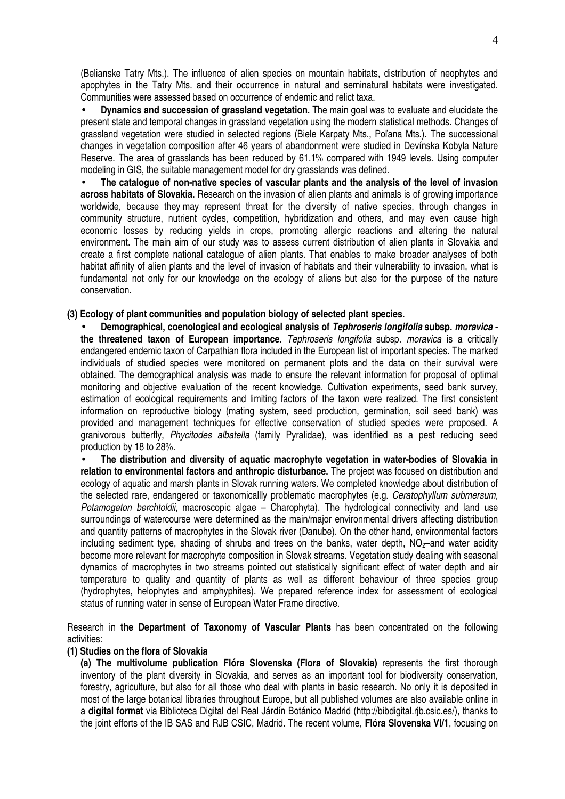(Belianske Tatry Mts.). The influence of alien species on mountain habitats, distribution of neophytes and apophytes in the Tatry Mts. and their occurrence in natural and seminatural habitats were investigated. Communities were assessed based on occurrence of endemic and relict taxa.

• **Dynamics and succession of grassland vegetation.** The main goal was to evaluate and elucidate the present state and temporal changes in grassland vegetation using the modern statistical methods. Changes of grassland vegetation were studied in selected regions (Biele Karpaty Mts., Poľana Mts.). The successional changes in vegetation composition after 46 years of abandonment were studied in Devínska Kobyla Nature Reserve. The area of grasslands has been reduced by 61.1% compared with 1949 levels. Using computer modeling in GIS, the suitable management model for dry grasslands was defined.

• **The catalogue of non-native species of vascular plants and the analysis of the level of invasion across habitats of Slovakia.** Research on the invasion of alien plants and animals is of growing importance worldwide, because they may represent threat for the diversity of native species, through changes in community structure, nutrient cycles, competition, hybridization and others, and may even cause high economic losses by reducing yields in crops, promoting allergic reactions and altering the natural environment. The main aim of our study was to assess current distribution of alien plants in Slovakia and create a first complete national catalogue of alien plants. That enables to make broader analyses of both habitat affinity of alien plants and the level of invasion of habitats and their vulnerability to invasion, what is fundamental not only for our knowledge on the ecology of aliens but also for the purpose of the nature conservation.

#### **(3) Ecology of plant communities and population biology of selected plant species.**

• **Demographical, coenological and ecological analysis of Tephroseris longifolia subsp. moravica the threatened taxon of European importance.** Tephroseris longifolia subsp. moravica is a critically endangered endemic taxon of Carpathian flora included in the European list of important species. The marked individuals of studied species were monitored on permanent plots and the data on their survival were obtained. The demographical analysis was made to ensure the relevant information for proposal of optimal monitoring and objective evaluation of the recent knowledge. Cultivation experiments, seed bank survey, estimation of ecological requirements and limiting factors of the taxon were realized. The first consistent information on reproductive biology (mating system, seed production, germination, soil seed bank) was provided and management techniques for effective conservation of studied species were proposed. A granivorous butterfly, Phycitodes albatella (family Pyralidae), was identified as a pest reducing seed production by 18 to 28%.

• **The distribution and diversity of aquatic macrophyte vegetation in water-bodies of Slovakia in relation to environmental factors and anthropic disturbance.** The project was focused on distribution and ecology of aquatic and marsh plants in Slovak running waters. We completed knowledge about distribution of the selected rare, endangered or taxonomicallly problematic macrophytes (e.g. Ceratophyllum submersum, Potamogeton berchtoldii, macroscopic algae – Charophyta). The hydrological connectivity and land use surroundings of watercourse were determined as the main/major environmental drivers affecting distribution and quantity patterns of macrophytes in the Slovak river (Danube). On the other hand, environmental factors including sediment type, shading of shrubs and trees on the banks, water depth,  $NO<sub>2</sub>$ –and water acidity become more relevant for macrophyte composition in Slovak streams. Vegetation study dealing with seasonal dynamics of macrophytes in two streams pointed out statistically significant effect of water depth and air temperature to quality and quantity of plants as well as different behaviour of three species group (hydrophytes, helophytes and amphyphites). We prepared reference index for assessment of ecological status of running water in sense of European Water Frame directive.

Research in **the Department of Taxonomy of Vascular Plants** has been concentrated on the following activities:

#### **(1) Studies on the flora of Slovakia**

**(a) The multivolume publication Flóra Slovenska (Flora of Slovakia)** represents the first thorough inventory of the plant diversity in Slovakia, and serves as an important tool for biodiversity conservation, forestry, agriculture, but also for all those who deal with plants in basic research. No only it is deposited in most of the large botanical libraries throughout Europe, but all published volumes are also available online in a **digital format** via Biblioteca Digital del Real Járdín Botánico Madrid (http://bibdigital.rjb.csic.es/), thanks to the joint efforts of the IB SAS and RJB CSIC, Madrid. The recent volume, **Flóra Slovenska VI/1**, focusing on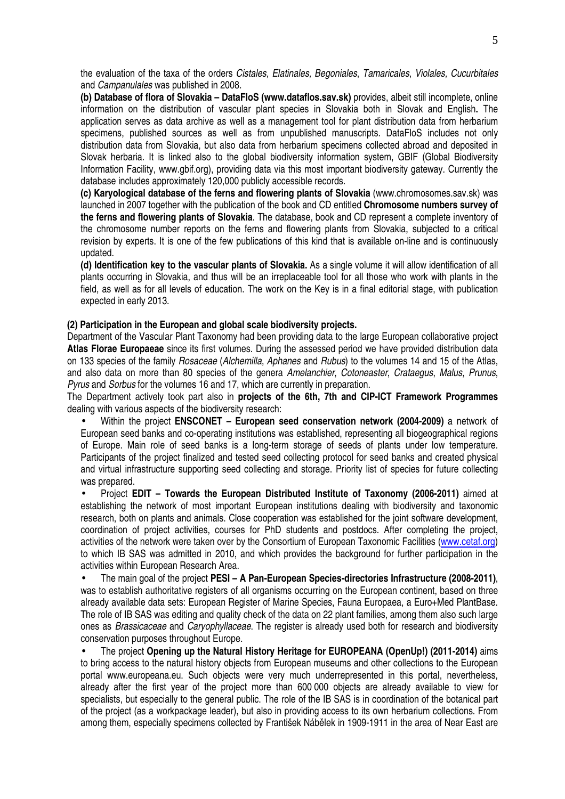the evaluation of the taxa of the orders Cistales, Elatinales, Begoniales, Tamaricales, Violales, Cucurbitales and Campanulales was published in 2008.

**(b) Database of flora of Slovakia – DataFloS (www.dataflos.sav.sk)** provides, albeit still incomplete, online information on the distribution of vascular plant species in Slovakia both in Slovak and English**.** The application serves as data archive as well as a management tool for plant distribution data from herbarium specimens, published sources as well as from unpublished manuscripts. DataFloS includes not only distribution data from Slovakia, but also data from herbarium specimens collected abroad and deposited in Slovak herbaria. It is linked also to the global biodiversity information system, GBIF (Global Biodiversity Information Facility, www.gbif.org), providing data via this most important biodiversity gateway. Currently the database includes approximately 120,000 publicly accessible records.

**(c) Karyological database of the ferns and flowering plants of Slovakia** (www.chromosomes.sav.sk) was launched in 2007 together with the publication of the book and CD entitled **Chromosome numbers survey of the ferns and flowering plants of Slovakia**. The database, book and CD represent a complete inventory of the chromosome number reports on the ferns and flowering plants from Slovakia, subjected to a critical revision by experts. It is one of the few publications of this kind that is available on-line and is continuously updated.

**(d) Identification key to the vascular plants of Slovakia.** As a single volume it will allow identification of all plants occurring in Slovakia, and thus will be an irreplaceable tool for all those who work with plants in the field, as well as for all levels of education. The work on the Key is in a final editorial stage, with publication expected in early 2013.

#### **(2) Participation in the European and global scale biodiversity projects.**

Department of the Vascular Plant Taxonomy had been providing data to the large European collaborative project **Atlas Florae Europaeae** since its first volumes. During the assessed period we have provided distribution data on 133 species of the family Rosaceae (Alchemilla, Aphanes and Rubus) to the volumes 14 and 15 of the Atlas, and also data on more than 80 species of the genera Amelanchier, Cotoneaster, Crataegus, Malus, Prunus, Pyrus and Sorbus for the volumes 16 and 17, which are currently in preparation.

The Department actively took part also in **projects of the 6th, 7th and CIP-ICT Framework Programmes** dealing with various aspects of the biodiversity research:

• Within the project **ENSCONET – European seed conservation network (2004-2009)** a network of European seed banks and co-operating institutions was established, representing all biogeographical regions of Europe. Main role of seed banks is a long-term storage of seeds of plants under low temperature. Participants of the project finalized and tested seed collecting protocol for seed banks and created physical and virtual infrastructure supporting seed collecting and storage. Priority list of species for future collecting was prepared.

• Project **EDIT – Towards the European Distributed Institute of Taxonomy (2006-2011)** aimed at establishing the network of most important European institutions dealing with biodiversity and taxonomic research, both on plants and animals. Close cooperation was established for the joint software development, coordination of project activities, courses for PhD students and postdocs. After completing the project, activities of the network were taken over by the Consortium of European Taxonomic Facilities (www.cetaf.org) to which IB SAS was admitted in 2010, and which provides the background for further participation in the activities within European Research Area.

• The main goal of the project **PESI – A Pan-European Species-directories Infrastructure (2008-2011)**, was to establish authoritative registers of all organisms occurring on the European continent, based on three already available data sets: European Register of Marine Species, Fauna Europaea, a Euro+Med PlantBase. The role of IB SAS was editing and quality check of the data on 22 plant families, among them also such large ones as Brassicaceae and Caryophyllaceae. The register is already used both for research and biodiversity conservation purposes throughout Europe.

• The project **Opening up the Natural History Heritage for EUROPEANA (OpenUp!) (2011-2014)** aims to bring access to the natural history objects from European museums and other collections to the European portal www.europeana.eu. Such objects were very much underrepresented in this portal, nevertheless, already after the first year of the project more than 600 000 objects are already available to view for specialists, but especially to the general public. The role of the IB SAS is in coordination of the botanical part of the project (as a workpackage leader), but also in providing access to its own herbarium collections. From among them, especially specimens collected by František Nábělek in 1909-1911 in the area of Near East are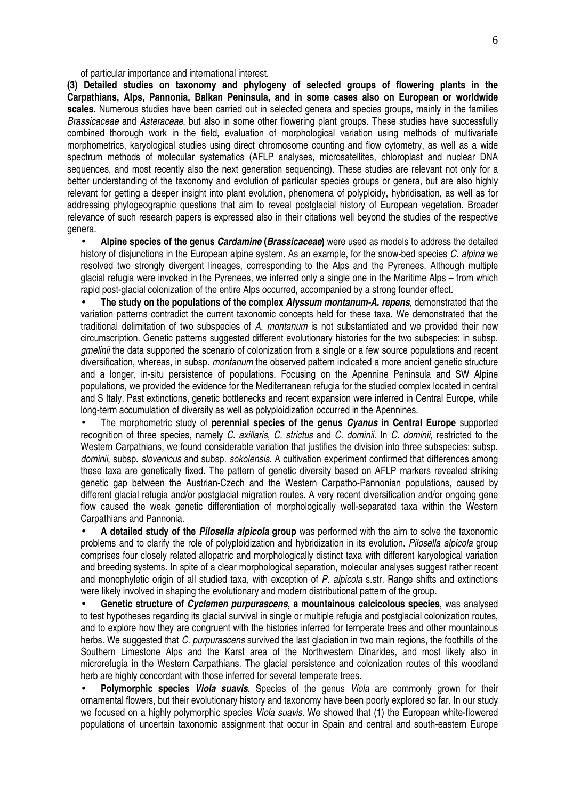of particular importance and international interest.

**(3) Detailed studies on taxonomy and phylogeny of selected groups of flowering plants in the Carpathians, Alps, Pannonia, Balkan Peninsula, and in some cases also on European or worldwide scales**. Numerous studies have been carried out in selected genera and species groups, mainly in the families Brassicaceae and Asteraceae, but also in some other flowering plant groups. These studies have successfully combined thorough work in the field, evaluation of morphological variation using methods of multivariate morphometrics, karyological studies using direct chromosome counting and flow cytometry, as well as a wide spectrum methods of molecular systematics (AFLP analyses, microsatellites, chloroplast and nuclear DNA sequences, and most recently also the next generation sequencing). These studies are relevant not only for a better understanding of the taxonomy and evolution of particular species groups or genera, but are also highly relevant for getting a deeper insight into plant evolution, phenomena of polyploidy, hybridisation, as well as for addressing phylogeographic questions that aim to reveal postglacial history of European vegetation. Broader relevance of such research papers is expressed also in their citations well beyond the studies of the respective genera.

• **Alpine species of the genus Cardamine (Brassicaceae)** were used as models to address the detailed history of disjunctions in the European alpine system. As an example, for the snow-bed species C. alpina we resolved two strongly divergent lineages, corresponding to the Alps and the Pyrenees. Although multiple glacial refugia were invoked in the Pyrenees, we inferred only a single one in the Maritime Alps – from which rapid post-glacial colonization of the entire Alps occurred, accompanied by a strong founder effect.

• **The study on the populations of the complex Alyssum montanum-A. repens**, demonstrated that the variation patterns contradict the current taxonomic concepts held for these taxa. We demonstrated that the traditional delimitation of two subspecies of A. montanum is not substantiated and we provided their new circumscription. Genetic patterns suggested different evolutionary histories for the two subspecies: in subsp. amelinii the data supported the scenario of colonization from a single or a few source populations and recent diversification, whereas, in subsp. montanum the observed pattern indicated a more ancient genetic structure and a longer, in-situ persistence of populations. Focusing on the Apennine Peninsula and SW Alpine populations, we provided the evidence for the Mediterranean refugia for the studied complex located in central and S Italy. Past extinctions, genetic bottlenecks and recent expansion were inferred in Central Europe, while long-term accumulation of diversity as well as polyploidization occurred in the Apennines.

• The morphometric study of **perennial species of the genus Cyanus in Central Europe** supported recognition of three species, namely C. axillaris, C. strictus and C. dominii. In C. dominii, restricted to the Western Carpathians, we found considerable variation that justifies the division into three subspecies: subsp. dominii, subsp. slovenicus and subsp. sokolensis. A cultivation experiment confirmed that differences among these taxa are genetically fixed. The pattern of genetic diversity based on AFLP markers revealed striking genetic gap between the Austrian-Czech and the Western Carpatho-Pannonian populations, caused by different glacial refugia and/or postglacial migration routes. A very recent diversification and/or ongoing gene flow caused the weak genetic differentiation of morphologically well-separated taxa within the Western Carpathians and Pannonia.

• **A detailed study of the Pilosella alpicola group** was performed with the aim to solve the taxonomic problems and to clarify the role of polyploidization and hybridization in its evolution. Pilosella alpicola group comprises four closely related allopatric and morphologically distinct taxa with different karyological variation and breeding systems. In spite of a clear morphological separation, molecular analyses suggest rather recent and monophyletic origin of all studied taxa, with exception of P, alpicola s.str. Range shifts and extinctions were likely involved in shaping the evolutionary and modern distributional pattern of the group.

• **Genetic structure of Cyclamen purpurascens, a mountainous calcicolous species**, was analysed to test hypotheses regarding its glacial survival in single or multiple refugia and postglacial colonization routes, and to explore how they are congruent with the histories inferred for temperate trees and other mountainous herbs. We suggested that C. purpurascens survived the last glaciation in two main regions, the foothills of the Southern Limestone Alps and the Karst area of the Northwestern Dinarides, and most likely also in microrefugia in the Western Carpathians. The glacial persistence and colonization routes of this woodland herb are highly concordant with those inferred for several temperate trees.

• **Polymorphic species Viola suavis**. Species of the genus Viola are commonly grown for their ornamental flowers, but their evolutionary history and taxonomy have been poorly explored so far. In our study we focused on a highly polymorphic species *Viola suavis*. We showed that (1) the European white-flowered populations of uncertain taxonomic assignment that occur in Spain and central and south-eastern Europe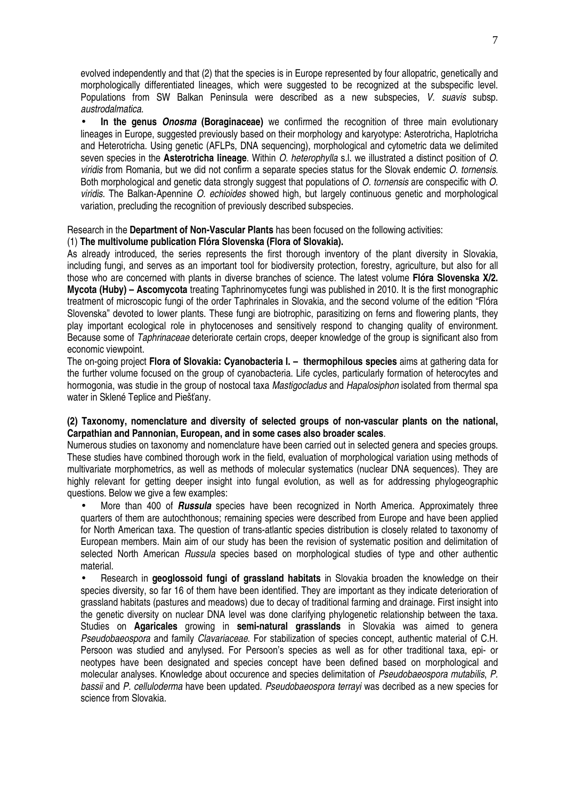evolved independently and that (2) that the species is in Europe represented by four allopatric, genetically and morphologically differentiated lineages, which were suggested to be recognized at the subspecific level. Populations from SW Balkan Peninsula were described as a new subspecies, V. suavis subsp. austrodalmatica.

• **In the genus Onosma (Boraginaceae)** we confirmed the recognition of three main evolutionary lineages in Europe, suggested previously based on their morphology and karyotype: Asterotricha, Haplotricha and Heterotricha. Using genetic (AFLPs, DNA sequencing), morphological and cytometric data we delimited seven species in the **Asterotricha lineage**. Within O. heterophylla s.l. we illustrated a distinct position of O. viridis from Romania, but we did not confirm a separate species status for the Slovak endemic O. tornensis. Both morphological and genetic data strongly suggest that populations of O. tornensis are conspecific with O. viridis. The Balkan-Apennine *O. echioides* showed high, but largely continuous genetic and morphological variation, precluding the recognition of previously described subspecies.

Research in the **Department of Non-Vascular Plants** has been focused on the following activities:

#### (1) **The multivolume publication Flóra Slovenska (Flora of Slovakia).**

As already introduced, the series represents the first thorough inventory of the plant diversity in Slovakia, including fungi, and serves as an important tool for biodiversity protection, forestry, agriculture, but also for all those who are concerned with plants in diverse branches of science. The latest volume **Flóra Slovenska X/2. Mycota (Huby) – Ascomycota** treating Taphrinomycetes fungi was published in 2010. It is the first monographic treatment of microscopic fungi of the order Taphrinales in Slovakia, and the second volume of the edition "Flóra Slovenska" devoted to lower plants. These fungi are biotrophic, parasitizing on ferns and flowering plants, they play important ecological role in phytocenoses and sensitively respond to changing quality of environment. Because some of Taphrinaceae deteriorate certain crops, deeper knowledge of the group is significant also from economic viewpoint.

The on-going project **Flora of Slovakia: Cyanobacteria I. – thermophilous species** aims at gathering data for the further volume focused on the group of cyanobacteria. Life cycles, particularly formation of heterocytes and hormogonia, was studie in the group of nostocal taxa Mastigocladus and Hapalosiphon isolated from thermal spa water in Sklené Teplice and Piešťany.

#### **(2) Taxonomy, nomenclature and diversity of selected groups of non-vascular plants on the national, Carpathian and Pannonian, European, and in some cases also broader scales**.

Numerous studies on taxonomy and nomenclature have been carried out in selected genera and species groups. These studies have combined thorough work in the field, evaluation of morphological variation using methods of multivariate morphometrics, as well as methods of molecular systematics (nuclear DNA sequences). They are highly relevant for getting deeper insight into fungal evolution, as well as for addressing phylogeographic questions. Below we give a few examples:

• More than 400 of **Russula** species have been recognized in North America. Approximately three quarters of them are autochthonous; remaining species were described from Europe and have been applied for North American taxa. The question of trans-atlantic species distribution is closely related to taxonomy of European members. Main aim of our study has been the revision of systematic position and delimitation of selected North American Russula species based on morphological studies of type and other authentic material.

• Research in **geoglossoid fungi of grassland habitats** in Slovakia broaden the knowledge on their species diversity, so far 16 of them have been identified. They are important as they indicate deterioration of grassland habitats (pastures and meadows) due to decay of traditional farming and drainage. First insight into the genetic diversity on nuclear DNA level was done clarifying phylogenetic relationship between the taxa. Studies on **Agaricales** growing in **semi-natural grasslands** in Slovakia was aimed to genera Pseudobaeospora and family Clavariaceae. For stabilization of species concept, authentic material of C.H. Persoon was studied and anylysed. For Persoon's species as well as for other traditional taxa, epi- or neotypes have been designated and species concept have been defined based on morphological and molecular analyses. Knowledge about occurence and species delimitation of Pseudobaeospora mutabilis, P. bassii and P. celluloderma have been updated. Pseudobaeospora terrayi was decribed as a new species for science from Slovakia.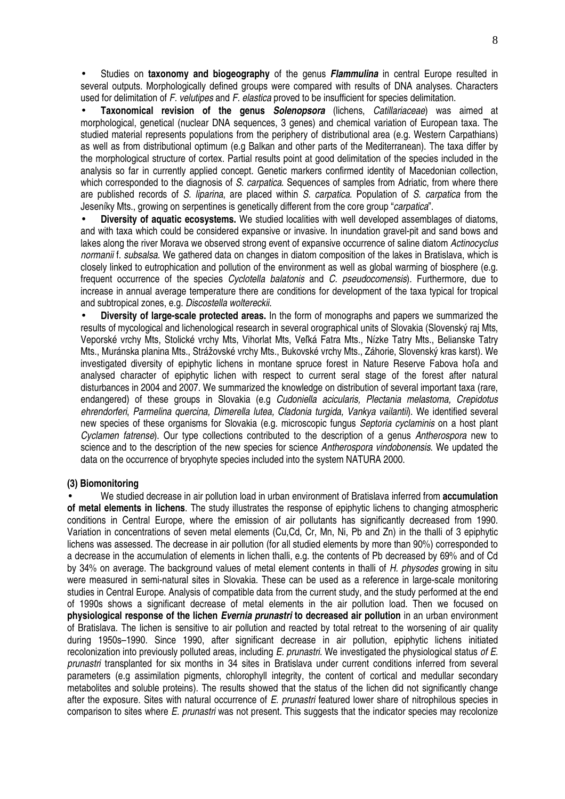• Studies on **taxonomy and biogeography** of the genus **Flammulina** in central Europe resulted in several outputs. Morphologically defined groups were compared with results of DNA analyses. Characters used for delimitation of F. velutipes and F. elastica proved to be insufficient for species delimitation.

• **Taxonomical revision of the genus Solenopsora** (lichens, Catillariaceae) was aimed at morphological, genetical (nuclear DNA sequences, 3 genes) and chemical variation of European taxa. The studied material represents populations from the periphery of distributional area (e.g. Western Carpathians) as well as from distributional optimum (e.g Balkan and other parts of the Mediterranean). The taxa differ by the morphological structure of cortex. Partial results point at good delimitation of the species included in the analysis so far in currently applied concept. Genetic markers confirmed identity of Macedonian collection, which corresponded to the diagnosis of S. carpatica. Sequences of samples from Adriatic, from where there are published records of S. liparina, are placed within S. carpatica. Population of S. carpatica from the Jeseníky Mts., growing on serpentines is genetically different from the core group "carpatica".

• **Diversity of aquatic ecosystems.** We studied localities with well developed assemblages of diatoms, and with taxa which could be considered expansive or invasive. In inundation gravel-pit and sand bows and lakes along the river Morava we observed strong event of expansive occurrence of saline diatom Actinocyclus normanii f. subsalsa. We gathered data on changes in diatom composition of the lakes in Bratislava, which is closely linked to eutrophication and pollution of the environment as well as global warming of biosphere (e.g. frequent occurrence of the species *Cyclotella balatonis* and *C. pseudocomensis*). Furthermore, due to increase in annual average temperature there are conditions for development of the taxa typical for tropical and subtropical zones, e.g. Discostella woltereckii.

• **Diversity of large-scale protected areas.** In the form of monographs and papers we summarized the results of mycological and lichenological research in several orographical units of Slovakia (Slovenský raj Mts, Veporské vrchy Mts, Stolické vrchy Mts, Vihorlat Mts, Veľká Fatra Mts., Nízke Tatry Mts., Belianske Tatry Mts., Muránska planina Mts., Strážovské vrchy Mts., Bukovské vrchy Mts., Záhorie, Slovenský kras karst). We investigated diversity of epiphytic lichens in montane spruce forest in Nature Reserve Fabova hoľa and analysed character of epiphytic lichen with respect to current seral stage of the forest after natural disturbances in 2004 and 2007. We summarized the knowledge on distribution of several important taxa (rare, endangered) of these groups in Slovakia (e.g Cudoniella acicularis, Plectania melastoma, Crepidotus ehrendorferi, Parmelina quercina, Dimerella lutea, Cladonia turgida, Vankva vailantii). We identified several new species of these organisms for Slovakia (e.g. microscopic fungus Septoria cyclaminis on a host plant Cyclamen fatrense). Our type collections contributed to the description of a genus Antherospora new to science and to the description of the new species for science Antherospora vindobonensis. We updated the data on the occurrence of bryophyte species included into the system NATURA 2000.

#### **(3) Biomonitoring**

• We studied decrease in air pollution load in urban environment of Bratislava inferred from **accumulation of metal elements in lichens**. The study illustrates the response of epiphytic lichens to changing atmospheric conditions in Central Europe, where the emission of air pollutants has significantly decreased from 1990. Variation in concentrations of seven metal elements (Cu,Cd, Cr, Mn, Ni, Pb and Zn) in the thalli of 3 epiphytic lichens was assessed. The decrease in air pollution (for all studied elements by more than 90%) corresponded to a decrease in the accumulation of elements in lichen thalli, e.g. the contents of Pb decreased by 69% and of Cd by 34% on average. The background values of metal element contents in thalli of H. physodes growing in situ were measured in semi-natural sites in Slovakia. These can be used as a reference in large-scale monitoring studies in Central Europe. Analysis of compatible data from the current study, and the study performed at the end of 1990s shows a significant decrease of metal elements in the air pollution load. Then we focused on **physiological response of the lichen Evernia prunastri to decreased air pollution** in an urban environment of Bratislava. The lichen is sensitive to air pollution and reacted by total retreat to the worsening of air quality during 1950s–1990. Since 1990, after significant decrease in air pollution, epiphytic lichens initiated recolonization into previously polluted areas, including E. prunastri. We investigated the physiological status of E. prunastri transplanted for six months in 34 sites in Bratislava under current conditions inferred from several parameters (e.g assimilation pigments, chlorophyll integrity, the content of cortical and medullar secondary metabolites and soluble proteins). The results showed that the status of the lichen did not significantly change after the exposure. Sites with natural occurrence of E. prunastri featured lower share of nitrophilous species in comparison to sites where E. prunastri was not present. This suggests that the indicator species may recolonize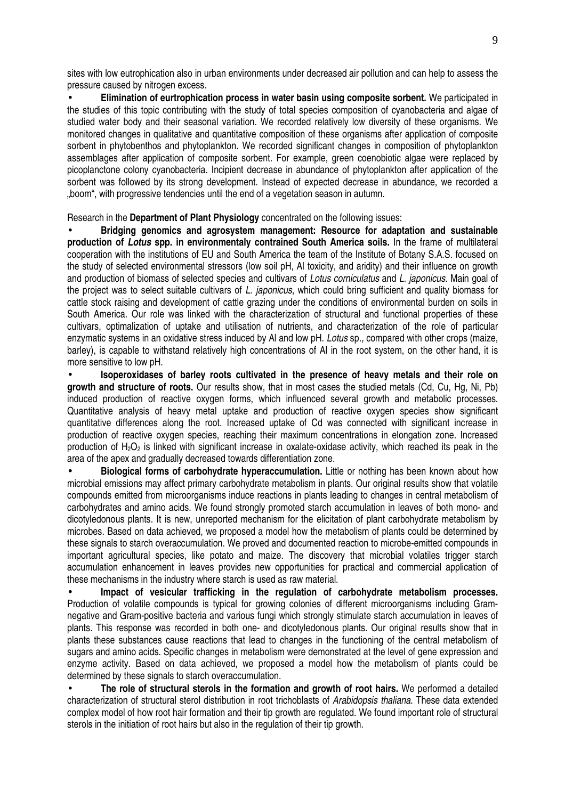sites with low eutrophication also in urban environments under decreased air pollution and can help to assess the pressure caused by nitrogen excess.

• **Elimination of eurtrophication process in water basin using composite sorbent.** We participated in the studies of this topic contributing with the study of total species composition of cyanobacteria and algae of studied water body and their seasonal variation. We recorded relatively low diversity of these organisms. We monitored changes in qualitative and quantitative composition of these organisms after application of composite sorbent in phytobenthos and phytoplankton. We recorded significant changes in composition of phytoplankton assemblages after application of composite sorbent. For example, green coenobiotic algae were replaced by picoplanctone colony cyanobacteria. Incipient decrease in abundance of phytoplankton after application of the sorbent was followed by its strong development. Instead of expected decrease in abundance, we recorded a .boom", with progressive tendencies until the end of a vegetation season in autumn.

Research in the **Department of Plant Physiology** concentrated on the following issues:

• **Bridging genomics and agrosystem management: Resource for adaptation and sustainable production of Lotus spp. in environmentaly contrained South America soils.** In the frame of multilateral cooperation with the institutions of EU and South America the team of the Institute of Botany S.A.S. focused on the study of selected environmental stressors (low soil pH, Al toxicity, and aridity) and their influence on growth and production of biomass of selected species and cultivars of Lotus corniculatus and L. japonicus. Main goal of the project was to select suitable cultivars of L. *japonicus*, which could bring sufficient and quality biomass for cattle stock raising and development of cattle grazing under the conditions of environmental burden on soils in South America. Our role was linked with the characterization of structural and functional properties of these cultivars, optimalization of uptake and utilisation of nutrients, and characterization of the role of particular enzymatic systems in an oxidative stress induced by AI and low pH. Lotus sp., compared with other crops (maize, barley), is capable to withstand relatively high concentrations of Al in the root system, on the other hand, it is more sensitive to low pH.

• **Isoperoxidases of barley roots cultivated in the presence of heavy metals and their role on growth and structure of roots.** Our results show, that in most cases the studied metals (Cd, Cu, Hg, Ni, Pb) induced production of reactive oxygen forms, which influenced several growth and metabolic processes. Quantitative analysis of heavy metal uptake and production of reactive oxygen species show significant quantitative differences along the root. Increased uptake of Cd was connected with significant increase in production of reactive oxygen species, reaching their maximum concentrations in elongation zone. Increased production of  $H_2O_2$  is linked with significant increase in oxalate-oxidase activity, which reached its peak in the area of the apex and gradually decreased towards differentiation zone.

• **Biological forms of carbohydrate hyperaccumulation.** Little or nothing has been known about how microbial emissions may affect primary carbohydrate metabolism in plants. Our original results show that volatile compounds emitted from microorganisms induce reactions in plants leading to changes in central metabolism of carbohydrates and amino acids. We found strongly promoted starch accumulation in leaves of both mono- and dicotyledonous plants. It is new, unreported mechanism for the elicitation of plant carbohydrate metabolism by microbes. Based on data achieved, we proposed a model how the metabolism of plants could be determined by these signals to starch overaccumulation. We proved and documented reaction to microbe-emitted compounds in important agricultural species, like potato and maize. The discovery that microbial volatiles trigger starch accumulation enhancement in leaves provides new opportunities for practical and commercial application of these mechanisms in the industry where starch is used as raw material.

• **Impact of vesicular trafficking in the regulation of carbohydrate metabolism processes.**  Production of volatile compounds is typical for growing colonies of different microorganisms including Gramnegative and Gram-positive bacteria and various fungi which strongly stimulate starch accumulation in leaves of plants. This response was recorded in both one- and dicotyledonous plants. Our original results show that in plants these substances cause reactions that lead to changes in the functioning of the central metabolism of sugars and amino acids. Specific changes in metabolism were demonstrated at the level of gene expression and enzyme activity. Based on data achieved, we proposed a model how the metabolism of plants could be determined by these signals to starch overaccumulation.

• **The role of structural sterols in the formation and growth of root hairs.** We performed a detailed characterization of structural sterol distribution in root trichoblasts of Arabidopsis thaliana. These data extended complex model of how root hair formation and their tip growth are regulated. We found important role of structural sterols in the initiation of root hairs but also in the regulation of their tip growth.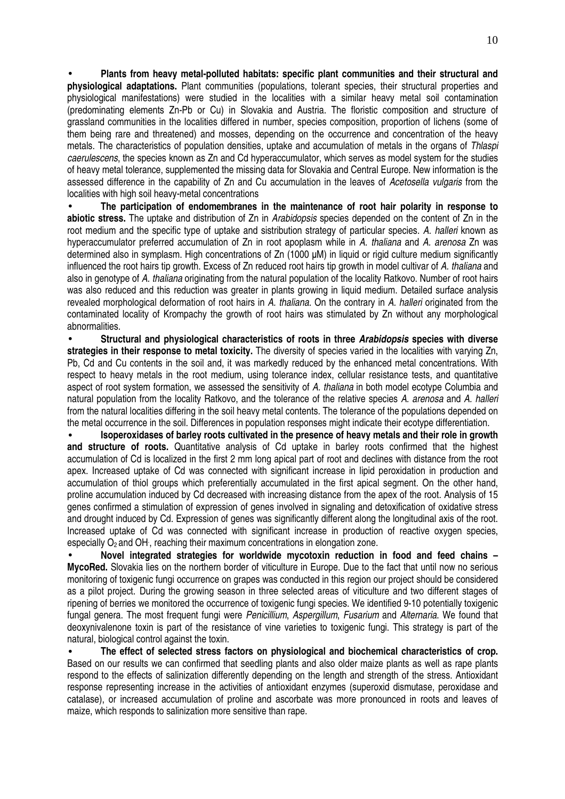• **Plants from heavy metal-polluted habitats: specific plant communities and their structural and physiological adaptations.** Plant communities (populations, tolerant species, their structural properties and physiological manifestations) were studied in the localities with a similar heavy metal soil contamination (predominating elements Zn-Pb or Cu) in Slovakia and Austria. The floristic composition and structure of grassland communities in the localities differed in number, species composition, proportion of lichens (some of them being rare and threatened) and mosses, depending on the occurrence and concentration of the heavy metals. The characteristics of population densities, uptake and accumulation of metals in the organs of Thlaspi caerulescens, the species known as Zn and Cd hyperaccumulator, which serves as model system for the studies of heavy metal tolerance, supplemented the missing data for Slovakia and Central Europe. New information is the assessed difference in the capability of Zn and Cu accumulation in the leaves of Acetosella vulgaris from the localities with high soil heavy-metal concentrations

• **The participation of endomembranes in the maintenance of root hair polarity in response to abiotic stress.** The uptake and distribution of Zn in Arabidopsis species depended on the content of Zn in the root medium and the specific type of uptake and sistribution strategy of particular species. A. halleri known as hyperaccumulator preferred accumulation of Zn in root apoplasm while in A. thaliana and A. arenosa Zn was determined also in symplasm. High concentrations of Zn (1000 µM) in liquid or rigid culture medium significantly influenced the root hairs tip growth. Excess of Zn reduced root hairs tip growth in model cultivar of A. thaliana and also in genotype of A. thaliana originating from the natural population of the locality Ratkovo. Number of root hairs was also reduced and this reduction was greater in plants growing in liquid medium. Detailed surface analysis revealed morphological deformation of root hairs in A. thaliana. On the contrary in A. halleri originated from the contaminated locality of Krompachy the growth of root hairs was stimulated by Zn without any morphological abnormalities.

• **Structural and physiological characteristics of roots in three Arabidopsis species with diverse strategies in their response to metal toxicity.** The diversity of species varied in the localities with varying Zn, Pb, Cd and Cu contents in the soil and, it was markedly reduced by the enhanced metal concentrations. With respect to heavy metals in the root medium, using tolerance index, cellular resistance tests, and quantitative aspect of root system formation, we assessed the sensitivity of A. thaliana in both model ecotype Columbia and natural population from the locality Ratkovo, and the tolerance of the relative species A. arenosa and A. halleri from the natural localities differing in the soil heavy metal contents. The tolerance of the populations depended on the metal occurrence in the soil. Differences in population responses might indicate their ecotype differentiation.

• **Isoperoxidases of barley roots cultivated in the presence of heavy metals and their role in growth and structure of roots.** Quantitative analysis of Cd uptake in barley roots confirmed that the highest accumulation of Cd is localized in the first 2 mm long apical part of root and declines with distance from the root apex. Increased uptake of Cd was connected with significant increase in lipid peroxidation in production and accumulation of thiol groups which preferentially accumulated in the first apical segment. On the other hand, proline accumulation induced by Cd decreased with increasing distance from the apex of the root. Analysis of 15 genes confirmed a stimulation of expression of genes involved in signaling and detoxification of oxidative stress and drought induced by Cd. Expression of genes was significantly different along the longitudinal axis of the root. Increased uptake of Cd was connected with significant increase in production of reactive oxygen species, especially O<sub>2</sub> and OH, reaching their maximum concentrations in elongation zone.

• **Novel integrated strategies for worldwide mycotoxin reduction in food and feed chains – MycoRed.** Slovakia lies on the northern border of viticulture in Europe. Due to the fact that until now no serious monitoring of toxigenic fungi occurrence on grapes was conducted in this region our project should be considered as a pilot project. During the growing season in three selected areas of viticulture and two different stages of ripening of berries we monitored the occurrence of toxigenic fungi species. We identified 9-10 potentially toxigenic fungal genera. The most frequent fungi were Penicillium, Aspergillum, Fusarium and Alternaria. We found that deoxynivalenone toxin is part of the resistance of vine varieties to toxigenic fungi. This strategy is part of the natural, biological control against the toxin.

• **The effect of selected stress factors on physiological and biochemical characteristics of crop.**  Based on our results we can confirmed that seedling plants and also older maize plants as well as rape plants respond to the effects of salinization differently depending on the length and strength of the stress. Antioxidant response representing increase in the activities of antioxidant enzymes (superoxid dismutase, peroxidase and catalase), or increased accumulation of proline and ascorbate was more pronounced in roots and leaves of maize, which responds to salinization more sensitive than rape.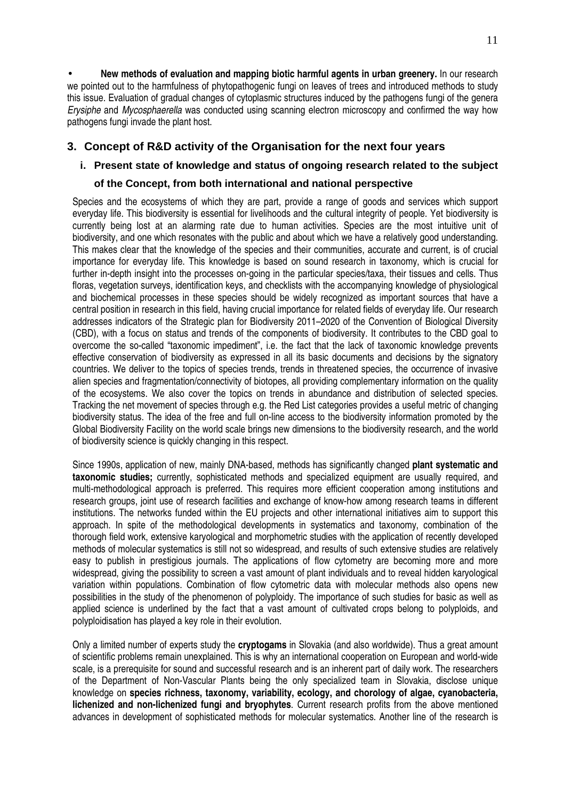• **New methods of evaluation and mapping biotic harmful agents in urban greenery.** In our research we pointed out to the harmfulness of phytopathogenic fungi on leaves of trees and introduced methods to study this issue. Evaluation of gradual changes of cytoplasmic structures induced by the pathogens fungi of the genera Erysiphe and Mycosphaerella was conducted using scanning electron microscopy and confirmed the way how pathogens fungi invade the plant host.

### **3. Concept of R&D activity of the Organisation for the next four years**

#### **i. Present state of knowledge and status of ongoing research related to the subject**

#### **of the Concept, from both international and national perspective**

Species and the ecosystems of which they are part, provide a range of goods and services which support everyday life. This biodiversity is essential for livelihoods and the cultural integrity of people. Yet biodiversity is currently being lost at an alarming rate due to human activities. Species are the most intuitive unit of biodiversity, and one which resonates with the public and about which we have a relatively good understanding. This makes clear that the knowledge of the species and their communities, accurate and current, is of crucial importance for everyday life. This knowledge is based on sound research in taxonomy, which is crucial for further in-depth insight into the processes on-going in the particular species/taxa, their tissues and cells. Thus floras, vegetation surveys, identification keys, and checklists with the accompanying knowledge of physiological and biochemical processes in these species should be widely recognized as important sources that have a central position in research in this field, having crucial importance for related fields of everyday life. Our research addresses indicators of the Strategic plan for Biodiversity 2011–2020 of the Convention of Biological Diversity (CBD), with a focus on status and trends of the components of biodiversity. It contributes to the CBD goal to overcome the so-called "taxonomic impediment", i.e. the fact that the lack of taxonomic knowledge prevents effective conservation of biodiversity as expressed in all its basic documents and decisions by the signatory countries. We deliver to the topics of species trends, trends in threatened species, the occurrence of invasive alien species and fragmentation/connectivity of biotopes, all providing complementary information on the quality of the ecosystems. We also cover the topics on trends in abundance and distribution of selected species. Tracking the net movement of species through e.g. the Red List categories provides a useful metric of changing biodiversity status. The idea of the free and full on-line access to the biodiversity information promoted by the Global Biodiversity Facility on the world scale brings new dimensions to the biodiversity research, and the world of biodiversity science is quickly changing in this respect.

Since 1990s, application of new, mainly DNA-based, methods has significantly changed **plant systematic and taxonomic studies;** currently, sophisticated methods and specialized equipment are usually required, and multi-methodological approach is preferred. This requires more efficient cooperation among institutions and research groups, joint use of research facilities and exchange of know-how among research teams in different institutions. The networks funded within the EU projects and other international initiatives aim to support this approach. In spite of the methodological developments in systematics and taxonomy, combination of the thorough field work, extensive karyological and morphometric studies with the application of recently developed methods of molecular systematics is still not so widespread, and results of such extensive studies are relatively easy to publish in prestigious journals. The applications of flow cytometry are becoming more and more widespread, giving the possibility to screen a vast amount of plant individuals and to reveal hidden karyological variation within populations. Combination of flow cytometric data with molecular methods also opens new possibilities in the study of the phenomenon of polyploidy. The importance of such studies for basic as well as applied science is underlined by the fact that a vast amount of cultivated crops belong to polyploids, and polyploidisation has played a key role in their evolution.

Only a limited number of experts study the **cryptogams** in Slovakia (and also worldwide). Thus a great amount of scientific problems remain unexplained. This is why an international cooperation on European and world-wide scale, is a prerequisite for sound and successful research and is an inherent part of daily work. The researchers of the Department of Non-Vascular Plants being the only specialized team in Slovakia, disclose unique knowledge on **species richness, taxonomy, variability, ecology, and chorology of algae, cyanobacteria, lichenized and non-lichenized fungi and bryophytes**. Current research profits from the above mentioned advances in development of sophisticated methods for molecular systematics. Another line of the research is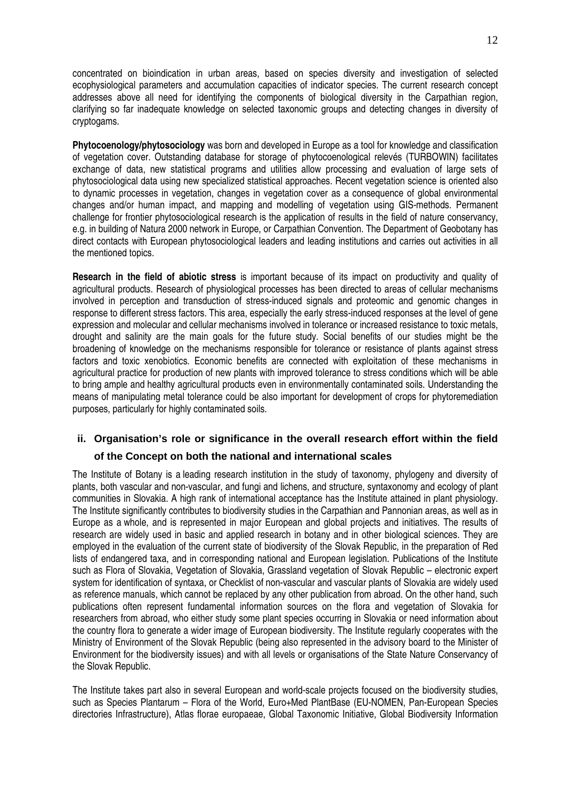concentrated on bioindication in urban areas, based on species diversity and investigation of selected ecophysiological parameters and accumulation capacities of indicator species. The current research concept addresses above all need for identifying the components of biological diversity in the Carpathian region, clarifying so far inadequate knowledge on selected taxonomic groups and detecting changes in diversity of cryptogams.

**Phytocoenology/phytosociology** was born and developed in Europe as a tool for knowledge and classification of vegetation cover. Outstanding database for storage of phytocoenological relevés (TURBOWIN) facilitates exchange of data, new statistical programs and utilities allow processing and evaluation of large sets of phytosociological data using new specialized statistical approaches. Recent vegetation science is oriented also to dynamic processes in vegetation, changes in vegetation cover as a consequence of global environmental changes and/or human impact, and mapping and modelling of vegetation using GIS-methods. Permanent challenge for frontier phytosociological research is the application of results in the field of nature conservancy, e.g. in building of Natura 2000 network in Europe, or Carpathian Convention. The Department of Geobotany has direct contacts with European phytosociological leaders and leading institutions and carries out activities in all the mentioned topics.

**Research in the field of abiotic stress** is important because of its impact on productivity and quality of agricultural products. Research of physiological processes has been directed to areas of cellular mechanisms involved in perception and transduction of stress-induced signals and proteomic and genomic changes in response to different stress factors. This area, especially the early stress-induced responses at the level of gene expression and molecular and cellular mechanisms involved in tolerance or increased resistance to toxic metals, drought and salinity are the main goals for the future study. Social benefits of our studies might be the broadening of knowledge on the mechanisms responsible for tolerance or resistance of plants against stress factors and toxic xenobiotics. Economic benefits are connected with exploitation of these mechanisms in agricultural practice for production of new plants with improved tolerance to stress conditions which will be able to bring ample and healthy agricultural products even in environmentally contaminated soils. Understanding the means of manipulating metal tolerance could be also important for development of crops for phytoremediation purposes, particularly for highly contaminated soils.

#### **ii. Organisation's role or significance in the overall research effort within the field**

#### **of the Concept on both the national and international scales**

The Institute of Botany is a leading research institution in the study of taxonomy, phylogeny and diversity of plants, both vascular and non-vascular, and fungi and lichens, and structure, syntaxonomy and ecology of plant communities in Slovakia. A high rank of international acceptance has the Institute attained in plant physiology. The Institute significantly contributes to biodiversity studies in the Carpathian and Pannonian areas, as well as in Europe as a whole, and is represented in major European and global projects and initiatives. The results of research are widely used in basic and applied research in botany and in other biological sciences. They are employed in the evaluation of the current state of biodiversity of the Slovak Republic, in the preparation of Red lists of endangered taxa, and in corresponding national and European legislation. Publications of the Institute such as Flora of Slovakia, Vegetation of Slovakia, Grassland vegetation of Slovak Republic – electronic expert system for identification of syntaxa, or Checklist of non-vascular and vascular plants of Slovakia are widely used as reference manuals, which cannot be replaced by any other publication from abroad. On the other hand, such publications often represent fundamental information sources on the flora and vegetation of Slovakia for researchers from abroad, who either study some plant species occurring in Slovakia or need information about the country flora to generate a wider image of European biodiversity. The Institute regularly cooperates with the Ministry of Environment of the Slovak Republic (being also represented in the advisory board to the Minister of Environment for the biodiversity issues) and with all levels or organisations of the State Nature Conservancy of the Slovak Republic.

The Institute takes part also in several European and world-scale projects focused on the biodiversity studies, such as Species Plantarum – Flora of the World, Euro+Med PlantBase (EU-NOMEN, Pan-European Species directories Infrastructure), Atlas florae europaeae, Global Taxonomic Initiative, Global Biodiversity Information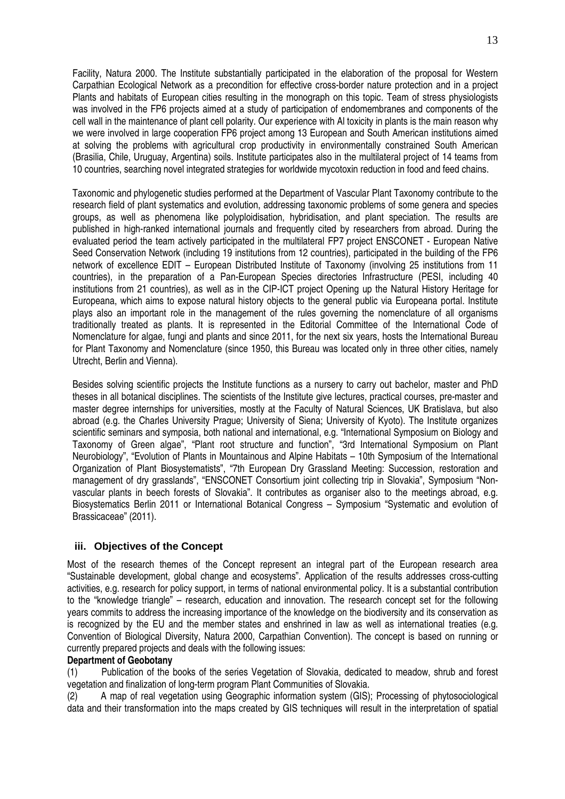Facility, Natura 2000. The Institute substantially participated in the elaboration of the proposal for Western Carpathian Ecological Network as a precondition for effective cross-border nature protection and in a project Plants and habitats of European cities resulting in the monograph on this topic. Team of stress physiologists was involved in the FP6 projects aimed at a study of participation of endomembranes and components of the cell wall in the maintenance of plant cell polarity. Our experience with Al toxicity in plants is the main reason why we were involved in large cooperation FP6 project among 13 European and South American institutions aimed at solving the problems with agricultural crop productivity in environmentally constrained South American (Brasilia, Chile, Uruguay, Argentina) soils. Institute participates also in the multilateral project of 14 teams from 10 countries, searching novel integrated strategies for worldwide mycotoxin reduction in food and feed chains.

Taxonomic and phylogenetic studies performed at the Department of Vascular Plant Taxonomy contribute to the research field of plant systematics and evolution, addressing taxonomic problems of some genera and species groups, as well as phenomena like polyploidisation, hybridisation, and plant speciation. The results are published in high-ranked international journals and frequently cited by researchers from abroad. During the evaluated period the team actively participated in the multilateral FP7 project ENSCONET - European Native Seed Conservation Network (including 19 institutions from 12 countries), participated in the building of the FP6 network of excellence EDIT – European Distributed Institute of Taxonomy (involving 25 institutions from 11 countries), in the preparation of a Pan-European Species directories Infrastructure (PESI, including 40 institutions from 21 countries), as well as in the CIP-ICT project Opening up the Natural History Heritage for Europeana, which aims to expose natural history objects to the general public via Europeana portal. Institute plays also an important role in the management of the rules governing the nomenclature of all organisms traditionally treated as plants. It is represented in the Editorial Committee of the International Code of Nomenclature for algae, fungi and plants and since 2011, for the next six years, hosts the International Bureau for Plant Taxonomy and Nomenclature (since 1950, this Bureau was located only in three other cities, namely Utrecht, Berlin and Vienna).

Besides solving scientific projects the Institute functions as a nursery to carry out bachelor, master and PhD theses in all botanical disciplines. The scientists of the Institute give lectures, practical courses, pre-master and master degree internships for universities, mostly at the Faculty of Natural Sciences, UK Bratislava, but also abroad (e.g. the Charles University Prague; University of Siena; University of Kyoto). The Institute organizes scientific seminars and symposia, both national and international, e.g. "International Symposium on Biology and Taxonomy of Green algae", "Plant root structure and function", "3rd International Symposium on Plant Neurobiology", "Evolution of Plants in Mountainous and Alpine Habitats – 10th Symposium of the International Organization of Plant Biosystematists", "7th European Dry Grassland Meeting: Succession, restoration and management of dry grasslands", "ENSCONET Consortium joint collecting trip in Slovakia", Symposium "Nonvascular plants in beech forests of Slovakia". It contributes as organiser also to the meetings abroad, e.g. Biosystematics Berlin 2011 or International Botanical Congress – Symposium "Systematic and evolution of Brassicaceae" (2011).

#### **iii. Objectives of the Concept**

Most of the research themes of the Concept represent an integral part of the European research area "Sustainable development, global change and ecosystems". Application of the results addresses cross-cutting activities, e.g. research for policy support, in terms of national environmental policy. It is a substantial contribution to the "knowledge triangle" – research, education and innovation. The research concept set for the following years commits to address the increasing importance of the knowledge on the biodiversity and its conservation as is recognized by the EU and the member states and enshrined in law as well as international treaties (e.g. Convention of Biological Diversity, Natura 2000, Carpathian Convention). The concept is based on running or currently prepared projects and deals with the following issues:

#### **Department of Geobotany**

(1) Publication of the books of the series Vegetation of Slovakia, dedicated to meadow, shrub and forest vegetation and finalization of long-term program Plant Communities of Slovakia.

(2) A map of real vegetation using Geographic information system (GIS); Processing of phytosociological data and their transformation into the maps created by GIS techniques will result in the interpretation of spatial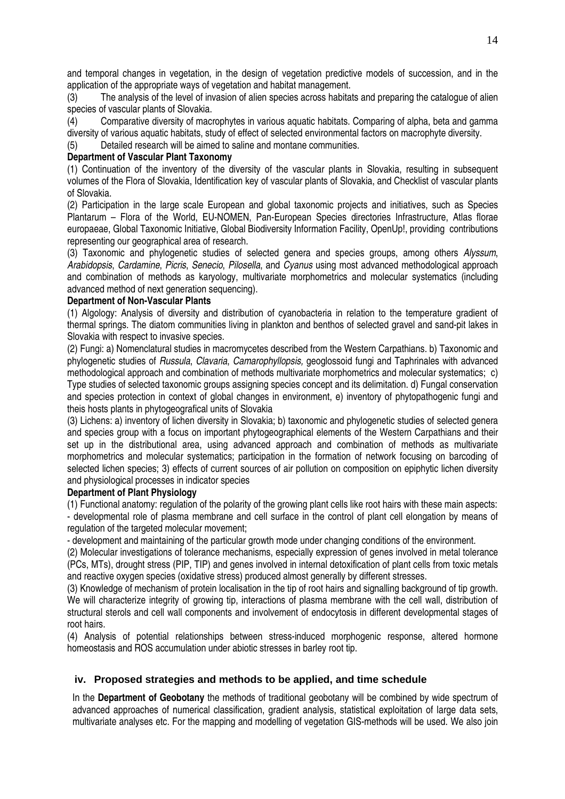and temporal changes in vegetation, in the design of vegetation predictive models of succession, and in the application of the appropriate ways of vegetation and habitat management.

(3) The analysis of the level of invasion of alien species across habitats and preparing the catalogue of alien species of vascular plants of Slovakia.

(4) Comparative diversity of macrophytes in various aquatic habitats. Comparing of alpha, beta and gamma diversity of various aquatic habitats, study of effect of selected environmental factors on macrophyte diversity.

(5) Detailed research will be aimed to saline and montane communities.

#### **Department of Vascular Plant Taxonomy**

(1) Continuation of the inventory of the diversity of the vascular plants in Slovakia, resulting in subsequent volumes of the Flora of Slovakia, Identification key of vascular plants of Slovakia, and Checklist of vascular plants of Slovakia.

(2) Participation in the large scale European and global taxonomic projects and initiatives, such as Species Plantarum – Flora of the World, EU-NOMEN, Pan-European Species directories Infrastructure, Atlas florae europaeae, Global Taxonomic Initiative, Global Biodiversity Information Facility, OpenUp!, providing contributions representing our geographical area of research.

(3) Taxonomic and phylogenetic studies of selected genera and species groups, among others Alyssum, Arabidopsis, Cardamine, Picris, Senecio, Pilosella, and Cyanus using most advanced methodological approach and combination of methods as karyology, multivariate morphometrics and molecular systematics (including advanced method of next generation sequencing).

#### **Department of Non-Vascular Plants**

(1) Algology: Analysis of diversity and distribution of cyanobacteria in relation to the temperature gradient of thermal springs. The diatom communities living in plankton and benthos of selected gravel and sand-pit lakes in Slovakia with respect to invasive species.

(2) Fungi: a) Nomenclatural studies in macromycetes described from the Western Carpathians. b) Taxonomic and phylogenetic studies of Russula, Clavaria, Camarophyllopsis, geoglossoid fungi and Taphrinales with advanced methodological approach and combination of methods multivariate morphometrics and molecular systematics: c) Type studies of selected taxonomic groups assigning species concept and its delimitation. d) Fungal conservation and species protection in context of global changes in environment, e) inventory of phytopathogenic fungi and theis hosts plants in phytogeografical units of Slovakia

(3) Lichens: a) inventory of lichen diversity in Slovakia; b) taxonomic and phylogenetic studies of selected genera and species group with a focus on important phytogeographical elements of the Western Carpathians and their set up in the distributional area, using advanced approach and combination of methods as multivariate morphometrics and molecular systematics; participation in the formation of network focusing on barcoding of selected lichen species; 3) effects of current sources of air pollution on composition on epiphytic lichen diversity and physiological processes in indicator species

#### **Department of Plant Physiology**

(1) Functional anatomy: regulation of the polarity of the growing plant cells like root hairs with these main aspects: - developmental role of plasma membrane and cell surface in the control of plant cell elongation by means of regulation of the targeted molecular movement;

- development and maintaining of the particular growth mode under changing conditions of the environment.

(2) Molecular investigations of tolerance mechanisms, especially expression of genes involved in metal tolerance (PCs, MTs), drought stress (PIP, TIP) and genes involved in internal detoxification of plant cells from toxic metals and reactive oxygen species (oxidative stress) produced almost generally by different stresses.

(3) Knowledge of mechanism of protein localisation in the tip of root hairs and signalling background of tip growth. We will characterize integrity of growing tip, interactions of plasma membrane with the cell wall, distribution of structural sterols and cell wall components and involvement of endocytosis in different developmental stages of root hairs.

(4) Analysis of potential relationships between stress-induced morphogenic response, altered hormone homeostasis and ROS accumulation under abiotic stresses in barley root tip.

#### **iv. Proposed strategies and methods to be applied, and time schedule**

In the **Department of Geobotany** the methods of traditional geobotany will be combined by wide spectrum of advanced approaches of numerical classification, gradient analysis, statistical exploitation of large data sets, multivariate analyses etc. For the mapping and modelling of vegetation GIS-methods will be used. We also join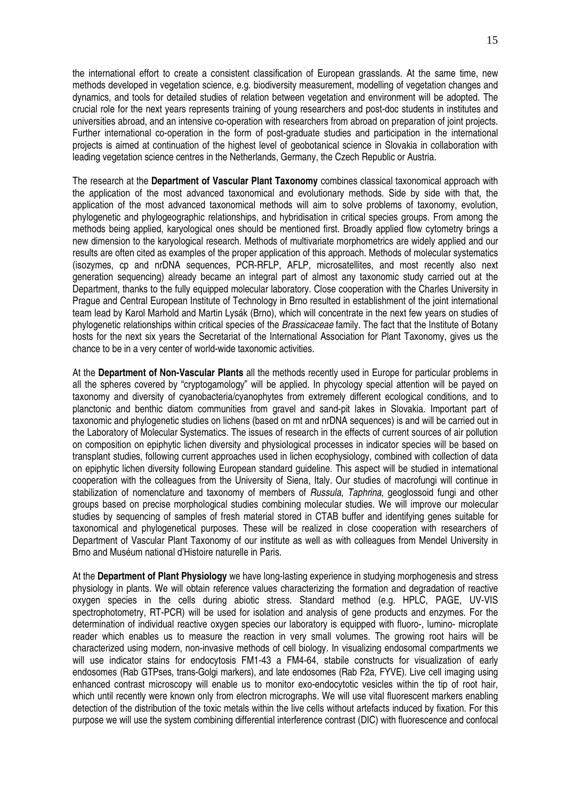the international effort to create a consistent classification of European grasslands. At the same time, new methods developed in vegetation science, e.g. biodiversity measurement, modelling of vegetation changes and dynamics, and tools for detailed studies of relation between vegetation and environment will be adopted. The crucial role for the next years represents training of young researchers and post-doc students in institutes and universities abroad, and an intensive co-operation with researchers from abroad on preparation of joint projects. Further international co-operation in the form of post-graduate studies and participation in the international projects is aimed at continuation of the highest level of geobotanical science in Slovakia in collaboration with leading vegetation science centres in the Netherlands, Germany, the Czech Republic or Austria.

The research at the **Department of Vascular Plant Taxonomy** combines classical taxonomical approach with the application of the most advanced taxonomical and evolutionary methods. Side by side with that, the application of the most advanced taxonomical methods will aim to solve problems of taxonomy, evolution, phylogenetic and phylogeographic relationships, and hybridisation in critical species groups. From among the methods being applied, karyological ones should be mentioned first. Broadly applied flow cytometry brings a new dimension to the karyological research. Methods of multivariate morphometrics are widely applied and our results are often cited as examples of the proper application of this approach. Methods of molecular systematics (isozymes, cp and nrDNA sequences, PCR-RFLP, AFLP, microsatellites, and most recently also next generation sequencing) already became an integral part of almost any taxonomic study carried out at the Department, thanks to the fully equipped molecular laboratory. Close cooperation with the Charles University in Prague and Central European Institute of Technology in Brno resulted in establishment of the joint international team lead by Karol Marhold and Martin Lysák (Brno), which will concentrate in the next few years on studies of phylogenetic relationships within critical species of the Brassicaceae family. The fact that the Institute of Botany hosts for the next six years the Secretariat of the International Association for Plant Taxonomy, gives us the chance to be in a very center of world-wide taxonomic activities.

At the **Department of Non-Vascular Plants** all the methods recently used in Europe for particular problems in all the spheres covered by "cryptogamology" will be applied. In phycology special attention will be payed on taxonomy and diversity of cyanobacteria/cyanophytes from extremely different ecological conditions, and to planctonic and benthic diatom communities from gravel and sand-pit lakes in Slovakia. Important part of taxonomic and phylogenetic studies on lichens (based on mt and nrDNA sequences) is and will be carried out in the Laboratory of Molecular Systematics. The issues of research in the effects of current sources of air pollution on composition on epiphytic lichen diversity and physiological processes in indicator species will be based on transplant studies, following current approaches used in lichen ecophysiology, combined with collection of data on epiphytic lichen diversity following European standard guideline. This aspect will be studied in international cooperation with the colleagues from the University of Siena, Italy. Our studies of macrofungi will continue in stabilization of nomenclature and taxonomy of members of Russula, Taphrina, geoglossoid fungi and other groups based on precise morphological studies combining molecular studies. We will improve our molecular studies by sequencing of samples of fresh material stored in CTAB buffer and identifying genes suitable for taxonomical and phylogenetical purposes. These will be realized in close cooperation with researchers of Department of Vascular Plant Taxonomy of our institute as well as with colleagues from Mendel University in Brno and Muséum national d'Histoire naturelle in Paris.

At the **Department of Plant Physiology** we have long-lasting experience in studying morphogenesis and stress physiology in plants. We will obtain reference values characterizing the formation and degradation of reactive oxygen species in the cells during abiotic stress. Standard method (e.g. HPLC, PAGE, UV-VIS spectrophotometry, RT-PCR) will be used for isolation and analysis of gene products and enzymes. For the determination of individual reactive oxygen species our laboratory is equipped with fluoro-, lumino- microplate reader which enables us to measure the reaction in very small volumes. The growing root hairs will be characterized using modern, non-invasive methods of cell biology. In visualizing endosomal compartments we will use indicator stains for endocytosis FM1-43 a FM4-64, stabile constructs for visualization of early endosomes (Rab GTPses, trans-Golgi markers), and late endosomes (Rab F2a, FYVE). Live cell imaging using enhanced contrast microscopy will enable us to monitor exo-endocytotic vesicles within the tip of root hair, which until recently were known only from electron micrographs. We will use vital fluorescent markers enabling detection of the distribution of the toxic metals within the live cells without artefacts induced by fixation. For this purpose we will use the system combining differential interference contrast (DIC) with fluorescence and confocal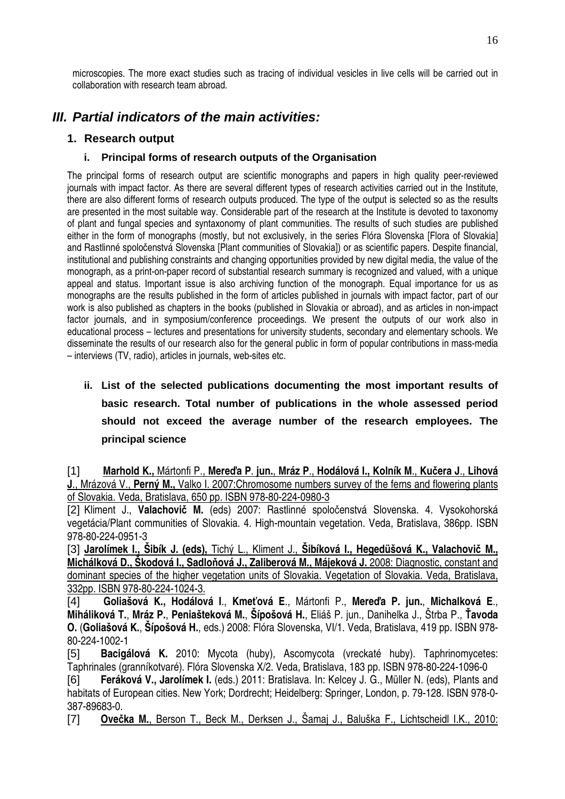microscopies. The more exact studies such as tracing of individual vesicles in live cells will be carried out in collaboration with research team abroad.

# **III. Partial indicators of the main activities:**

### **1. Research output**

### **i. Principal forms of research outputs of the Organisation**

The principal forms of research output are scientific monographs and papers in high quality peer-reviewed journals with impact factor. As there are several different types of research activities carried out in the Institute, there are also different forms of research outputs produced. The type of the output is selected so as the results are presented in the most suitable way. Considerable part of the research at the Institute is devoted to taxonomy of plant and fungal species and syntaxonomy of plant communities. The results of such studies are published either in the form of monographs (mostly, but not exclusively, in the series Flóra Slovenska [Flora of Slovakia] and Rastlinné spoločenstvá Slovenska [Plant communities of Slovakia]) or as scientific papers. Despite financial, institutional and publishing constraints and changing opportunities provided by new digital media, the value of the monograph, as a print-on-paper record of substantial research summary is recognized and valued, with a unique appeal and status. Important issue is also archiving function of the monograph. Equal importance for us as monographs are the results published in the form of articles published in journals with impact factor, part of our work is also published as chapters in the books (published in Slovakia or abroad), and as articles in non-impact factor journals, and in symposium/conference proceedings. We present the outputs of our work also in educational process – lectures and presentations for university students, secondary and elementary schools. We disseminate the results of our research also for the general public in form of popular contributions in mass-media – interviews (TV, radio), articles in journals, web-sites etc.

# **ii. List of the selected publications documenting the most important results of basic research. Total number of publications in the whole assessed period should not exceed the average number of the research employees. The principal science**

[1] **Marhold K.,** Mártonfi P., **Mere**ď**a P**. **jun.**, **Mráz P**., **Hodálová I., Kolník M**., **Ku**č**era J**., **Lihová J**., Mrázová V., **Perný M.,** Valko I. 2007:Chromosome numbers survey of the ferns and flowering plants of Slovakia. Veda, Bratislava, 650 pp. ISBN 978-80-224-0980-3

[2] Kliment J., **Valachovi**č **M.** (eds) 2007: Rastlinné spoločenstvá Slovenska. 4. Vysokohorská vegetácia/Plant communities of Slovakia. 4. High-mountain vegetation. Veda, Bratislava, 386pp. ISBN 978-80-224-0951-3

[3] **Jarolímek I., Šibík J. (eds),** Tichý L., Kliment J., **Šibíková I., Hegedüšová K., Valachovi**č **M., Michálková D., Škodová I., Sadlo**ň**ová J., Zaliberová M., Májeková J.** 2008: Diagnostic, constant and dominant species of the higher vegetation units of Slovakia. Vegetation of Slovakia. Veda, Bratislava, 332pp. ISBN 978-80-224-1024-3.

[4] **Goliašová K., Hodálová I**., **Kme**ť**ová E**., Mártonfi P., **Mere**ď**a P. jun.**, **Michalková E**., **Miháliková T.**, **Mráz P.**, **Peniašteková M.**, **Šípošová H.**, Eliáš P. jun., Danihelka J., Štrba P., Ť**avoda O.** (**Goliašová K.**, **Šípošová H.**, eds.) 2008: Flóra Slovenska, VI/1. Veda, Bratislava, 419 pp. ISBN 978- 80-224-1002-1

[5] **Bacigálová K.** 2010: Mycota (huby), Ascomycota (vreckaté huby). Taphrinomycetes: Taphrinales (granníkotvaré). Flóra Slovenska X/2. Veda, Bratislava, 183 pp. ISBN 978-80-224-1096-0

[6] **Feráková V., Jarolímek I.** (eds.) 2011: Bratislava. In: Kelcey J. G., Müller N. (eds), Plants and habitats of European cities. New York; Dordrecht; Heidelberg: Springer, London, p. 79-128. ISBN 978-0- 387-89683-0.

[7] **Ove**č**ka M.**, Berson T., Beck M., Derksen J., Šamaj J., Baluška F., Lichtscheidl I.K., 2010: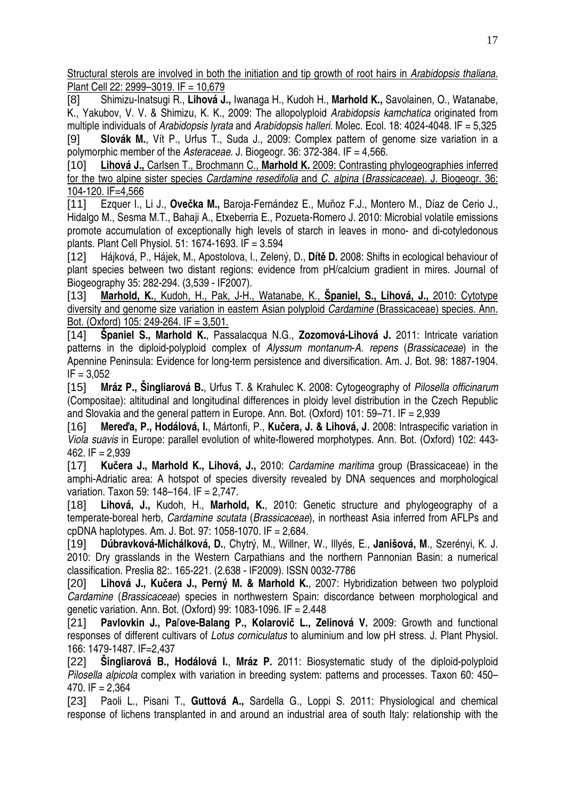Structural sterols are involved in both the initiation and tip growth of root hairs in Arabidopsis thaliana. Plant Cell 22: 2999–3019. IF = 10,679

[8] Shimizu-Inatsugi R., **Lihová J.,** Iwanaga H., Kudoh H., **Marhold K.,** Savolainen, O., Watanabe, K., Yakubov, V. V. & Shimizu, K. K., 2009: The allopolyploid Arabidopsis kamchatica originated from multiple individuals of Arabidopsis lyrata and Arabidopsis halleri. Molec. Ecol. 18: 4024-4048. IF = 5,325

[9] **Slovák M.**, Vít P., Urfus T., Suda J., 2009: Complex pattern of genome size variation in a polymorphic member of the Asteraceae. J. Biogeogr. 36: 372-384. IF = 4,566.

[10] **Lihová J.,** Carlsen T., Brochmann C., **Marhold K.** 2009: Contrasting phylogeographies inferred for the two alpine sister species Cardamine resedifolia and C. alpina (Brassicaceae). J. Biogeogr. 36: 104-120. IF=4,566

[11] Ezquer I., Li J., **Ove**č**ka M.,** Baroja-Fernández E., Muñoz F.J., Montero M., Díaz de Cerio J., Hidalgo M., Sesma M.T., Bahaji A., Etxeberria E., Pozueta-Romero J. 2010: Microbial volatile emissions promote accumulation of exceptionally high levels of starch in leaves in mono- and di-cotyledonous plants. Plant Cell Physiol. 51: 1674-1693. IF = 3.594

[12] Hájková, P., Hájek, M., Apostolova, I., Zelený, D., **Dít**ě **D.** 2008: Shifts in ecological behaviour of plant species between two distant regions: evidence from pH/calcium gradient in mires. Journal of Biogeography 35: 282-294. (3,539 - IF2007).

[13] **Marhold, K.**, Kudoh, H., Pak, J-H., Watanabe, K., **Španiel, S., Lihová, J.,** 2010: Cytotype diversity and genome size variation in eastern Asian polyploid Cardamine (Brassicaceae) species. Ann. Bot. (Oxford) 105: 249-264. IF = 3,501.

[14] **Španiel S., Marhold K.**, Passalacqua N.G., **Zozomová-Lihová J.** 2011: Intricate variation patterns in the diploid-polyploid complex of Alyssum montanum-A. repens (Brassicaceae) in the Apennine Peninsula: Evidence for long-term persistence and diversification. Am. J. Bot. 98: 1887-1904.  $IF = 3.052$ 

[15] **Mráz P., Šingliarová B.**, Urfus T. & Krahulec K. 2008: Cytogeography of Pilosella officinarum (Compositae): altitudinal and longitudinal differences in ploidy level distribution in the Czech Republic and Slovakia and the general pattern in Europe. Ann. Bot. (Oxford) 101: 59–71. IF = 2,939

[16] **Mere**ď**a, P., Hodálová, I.**, Mártonfi, P., **Ku**č**era, J. & Lihová, J**. 2008: Intraspecific variation in Viola suavis in Europe: parallel evolution of white-flowered morphotypes. Ann. Bot. (Oxford) 102: 443- 462. IF = 2,939

[17] **Ku**č**era J., Marhold K., Lihová, J.,** 2010: Cardamine maritima group (Brassicaceae) in the amphi-Adriatic area: A hotspot of species diversity revealed by DNA sequences and morphological variation. Taxon 59: 148–164. IF = 2,747.

[18] **Lihová, J.,** Kudoh, H., **Marhold, K.**, 2010: Genetic structure and phylogeography of a temperate-boreal herb, Cardamine scutata (Brassicaceae), in northeast Asia inferred from AFLPs and cpDNA haplotypes. Am. J. Bot. 97: 1058-1070. IF = 2,684.

[19] **Dúbravková-Michálková, D.**, Chytrý, M., Willner, W., Illyés, E., **Janišová, M**., Szerényi, K. J. 2010: Dry grasslands in the Western Carpathians and the northern Pannonian Basin: a numerical classification. Preslia 82:. 165-221. (2.638 - IF2009). ISSN 0032-7786

[20] **Lihová J., Ku**č**era J., Perný M. & Marhold K.**, 2007: Hybridization between two polyploid Cardamine (Brassicaceae) species in northwestern Spain: discordance between morphological and genetic variation. Ann. Bot. (Oxford) 99: 1083-1096. IF = 2.448

[21] **Pavlovkin J., Pa**ľ**ove-Balang P., Kolarovi**č **L., Zelinová V.** 2009: Growth and functional responses of different cultivars of Lotus corniculatus to aluminium and low pH stress. J. Plant Physiol. 166: 1479-1487. IF=2,437

[22] **Šingliarová B., Hodálová I.**, **Mráz P.** 2011: Biosystematic study of the diploid-polyploid Pilosella alpicola complex with variation in breeding system: patterns and processes. Taxon 60: 450– 470.  $IF = 2.364$ 

[23] Paoli L., Pisani T., **Guttová A.,** Sardella G., Loppi S. 2011: Physiological and chemical response of lichens transplanted in and around an industrial area of south Italy: relationship with the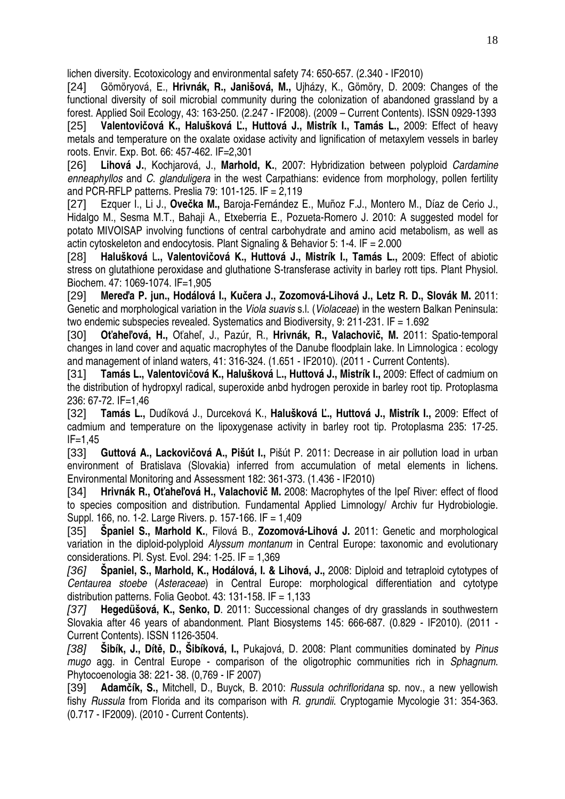lichen diversity. Ecotoxicology and environmental safety 74: 650-657. (2.340 - IF2010)

[24] Gömöryová, E., **Hrivnák, R., Janišová, M.,** Ujházy, K., Gömöry, D. 2009: Changes of the functional diversity of soil microbial community during the colonization of abandoned grassland by a forest. Applied Soil Ecology, 43: 163-250. (2.247 - IF2008). (2009 – Current Contents). ISSN 0929-1393 [25] **Valentovi**č**ová K., Halušková** Ľ**., Huttová J., Mistrík I., Tamás L.,** 2009: Effect of heavy metals and temperature on the oxalate oxidase activity and lignification of metaxylem vessels in barley roots. Envir. Exp. Bot. 66: 457-462. IF=2,301

[26] **Lihová J.**, Kochjarová, J., **Marhold, K.**, 2007: Hybridization between polyploid Cardamine enneaphyllos and C. glanduligera in the west Carpathians: evidence from morphology, pollen fertility and PCR-RFLP patterns. Preslia 79: 101-125. IF = 2,119

[27] Ezquer I., Li J., **Ove**č**ka M.,** Baroja-Fernández E., Muñoz F.J., Montero M., Díaz de Cerio J., Hidalgo M., Sesma M.T., Bahaji A., Etxeberria E., Pozueta-Romero J. 2010: A suggested model for potato MIVOISAP involving functions of central carbohydrate and amino acid metabolism, as well as actin cytoskeleton and endocytosis. Plant Signaling & Behavior 5: 1-4. IF = 2.000

[28] **Halušková** L**., Valentovi**č**ová K., Huttová J., Mistrík I., Tamás L.,** 2009: Effect of abiotic stress on glutathione peroxidase and gluthatione S-transferase activity in barley rott tips. Plant Physiol. Biochem. 47: 1069-1074. IF=1,905

[29] **Mere**ď**a P. jun., Hodálová I., Ku**č**era J., Zozomová-Lihová J., Letz R. D., Slovák M.** 2011: Genetic and morphological variation in the Viola suavis s.l. (Violaceae) in the western Balkan Peninsula: two endemic subspecies revealed. Systematics and Biodiversity, 9: 211-231. IF = 1.692

[30] **O**ť**ahe**ľ**ová, H.,** Oťaheľ, J., Pazúr, R., **Hrivnák, R., Valachovi**č**, M.** 2011: Spatio-temporal changes in land cover and aquatic macrophytes of the Danube floodplain lake. In Limnologica : ecology and management of inland waters, 41: 316-324. (1.651 - IF2010). (2011 - Current Contents).

[31] **Tamás L., Valentovi**č**ová K., Halušková** L**., Huttová J., Mistrík I.,** 2009: Effect of cadmium on the distribution of hydropxyl radical, superoxide anbd hydrogen peroxide in barley root tip. Protoplasma 236: 67-72. IF=1,46

[32] **Tamás L.,** Dudíková J., Durceková K., **Halušková** Ľ**., Huttová J., Mistrík I.,** 2009: Effect of cadmium and temperature on the lipoxygenase activity in barley root tip. Protoplasma 235: 17-25. IF=1,45

[33] **Guttová A., Lackovi**č**ová A., Pišút I.,** Pišút P. 2011: Decrease in air pollution load in urban environment of Bratislava (Slovakia) inferred from accumulation of metal elements in lichens. Environmental Monitoring and Assessment 182: 361-373. (1.436 - IF2010)

[34] **Hrivnák R., O**ť**ahe**ľ**ová H., Valachovi**č **M.** 2008: Macrophytes of the Ipeľ River: effect of flood to species composition and distribution. Fundamental Applied Limnology/ Archiv fur Hydrobiologie. Suppl. 166, no. 1-2. Large Rivers. p. 157-166. IF = 1,409

[35] **Španiel S., Marhold K.**, Filová B., **Zozomová-Lihová J.** 2011: Genetic and morphological variation in the diploid-polyploid Alyssum montanum in Central Europe: taxonomic and evolutionary considerations. Pl. Syst. Evol. 294: 1-25. IF = 1,369

[36] **Španiel, S., Marhold, K., Hodálová, I. & Lihová, J.,** 2008: Diploid and tetraploid cytotypes of Centaurea stoebe (Asteraceae) in Central Europe: morphological differentiation and cytotype distribution patterns. Folia Geobot.  $43:131-158$ . IF = 1,133

[37] **Hegedüšová, K., Senko, D**. 2011: Successional changes of dry grasslands in southwestern Slovakia after 46 years of abandonment. Plant Biosystems 145: 666-687. (0.829 - IF2010). (2011 - Current Contents). ISSN 1126-3504.

[38] **Šibík, J., Dít**ě**, D., Šibíková, I.,** Pukajová, D. 2008: Plant communities dominated by Pinus mugo agg. in Central Europe - comparison of the oligotrophic communities rich in Sphagnum. Phytocoenologia 38: 221- 38. (0,769 - IF 2007)

[39] **Adam**č**ík, S.,** Mitchell, D., Buyck, B. 2010: Russula ochrifloridana sp. nov., a new yellowish fishy Russula from Florida and its comparison with R. grundii. Cryptogamie Mycologie 31: 354-363. (0.717 - IF2009). (2010 - Current Contents).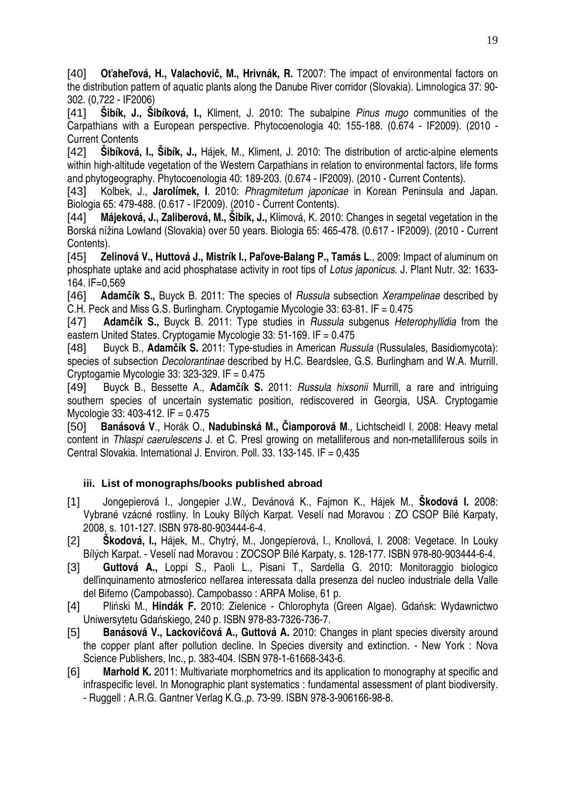[40] **O**ť**ahe**ľ**ová, H., Valachovi**č**, M., Hrivnák, R.** T2007: The impact of environmental factors on the distribution pattern of aquatic plants along the Danube River corridor (Slovakia). Limnologica 37: 90- 302. (0,722 - IF2006)

[41] **Šibík, J., Šibíková, I.,** Kliment, J. 2010: The subalpine Pinus mugo communities of the Carpathians with a European perspective. Phytocoenologia 40: 155-188. (0.674 - IF2009). (2010 - Current Contents

[42] **Šibíková, I., Šibík, J.,** Hájek, M., Kliment, J. 2010: The distribution of arctic-alpine elements within high-altitude vegetation of the Western Carpathians in relation to environmental factors, life forms and phytogeography. Phytocoenologia 40: 189-203. (0.674 - IF2009). (2010 - Current Contents).

[43] Kolbek, J., **Jarolímek, I**. 2010: Phragmitetum japonicae in Korean Peninsula and Japan. Biologia 65: 479-488. (0.617 - IF2009). (2010 - Current Contents).

[44] **Májeková, J., Zaliberová, M., Šibík, J.,** Klimová, K. 2010: Changes in segetal vegetation in the Borská nížina Lowland (Slovakia) over 50 years. Biologia 65: 465-478. (0.617 - IF2009). (2010 - Current Contents).

[45] **Zelinová V., Huttová J., Mistrík I., Pa**ľ**ove-Balang P., Tamás L**., 2009: Impact of aluminum on phosphate uptake and acid phosphatase activity in root tips of Lotus japonicus. J. Plant Nutr. 32: 1633- 164. IF=0,569

[46] **Adam**č**ík S.,** Buyck B. 2011: The species of Russula subsection Xerampelinae described by C.H. Peck and Miss G.S. Burlingham. Cryptogamie Mycologie 33: 63-81. IF = 0.475

[47] **Adam**č**ík S.,** Buyck B. 2011: Type studies in Russula subgenus Heterophyllidia from the eastern United States. Cryptogamie Mycologie 33: 51-169. IF = 0.475

[48] Buyck B., **Adam**č**ík S.** 2011: Type-studies in American Russula (Russulales, Basidiomycota): species of subsection Decolorantinae described by H.C. Beardslee, G.S. Burlingham and W.A. Murrill. Cryptogamie Mycologie 33: 323-329. IF = 0.475

[49] Buyck B., Bessette A., **Adam**č**ík S.** 2011: Russula hixsonii Murrill, a rare and intriguing southern species of uncertain systematic position, rediscovered in Georgia, USA, Cryptogamie Mycologie 33: 403-412. IF = 0.475

[50] **Banásová V**., Horák O., **Nadubinská M.,** Č**iamporová M**., Lichtscheidl I. 2008: Heavy metal content in Thlaspi caerulescens J. et C. Presl growing on metalliferous and non-metalliferous soils in Central Slovakia. International J. Environ. Poll. 33. 133-145. IF = 0,435

### **iii. List of monographs/books published abroad**

- [1] Jongepierová I., Jongepier J.W., Devánová K., Fajmon K., Hájek M., **Škodová I.** 2008: Vybrané vzácné rostliny. In Louky Bílých Karpat. Veselí nad Moravou : ZO CSOP Bílé Karpaty, 2008, s. 101-127. ISBN 978-80-903444-6-4.
- [2] **Škodová, I.,** Hájek, M., Chytrý, M., Jongepierová, I., Knollová, I. 2008: Vegetace. In Louky Bílých Karpat. - Veselí nad Moravou : ZOCSOP Bílé Karpaty, s. 128-177. ISBN 978-80-903444-6-4.
- [3] **Guttová A.,** Loppi S., Paoli L., Pisani T., Sardella G. 2010: Monitoraggio biologico delľinquinamento atmosferico nelľarea interessata dalla presenza del nucleo industriale della Valle del Biferno (Campobasso). Campobasso : ARPA Molise, 61 p.
- [4] Pliński M., **Hindák F.** 2010: Zielenice Chlorophyta (Green Algae). Gdańsk: Wydawnictwo Uniwersytetu Gdańskiego, 240 p. ISBN 978-83-7326-736-7.
- [5] **Banásová V., Lackovi**č**ová A., Guttová A.** 2010: Changes in plant species diversity around the copper plant after pollution decline. In Species diversity and extinction. - New York : Nova Science Publishers, Inc., p. 383-404. ISBN 978-1-61668-343-6.
- [6] **Marhold K.** 2011: Multivariate morphometrics and its application to monography at specific and infraspecific level. In Monographic plant systematics : fundamental assessment of plant biodiversity. - Ruggell : A.R.G. Gantner Verlag K.G.,p. 73-99. ISBN 978-3-906166-98-8.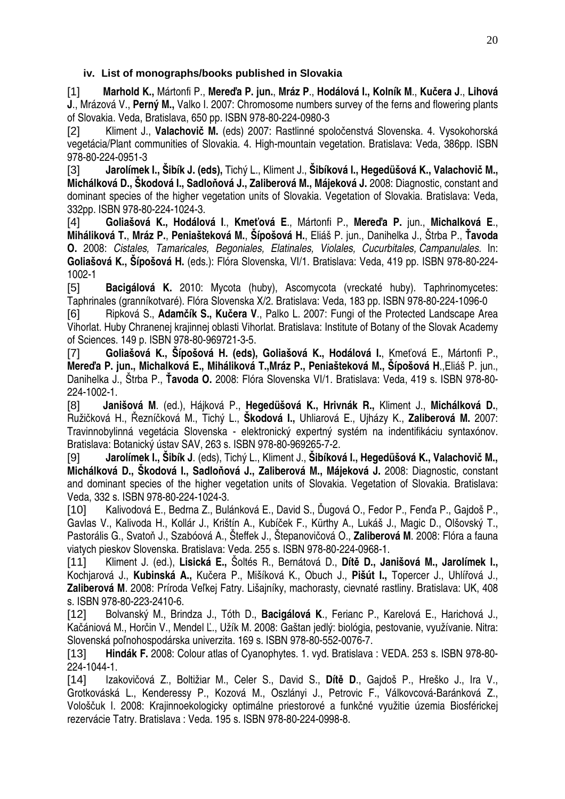### **iv. List of monographs/books published in Slovakia**

[1] **Marhold K.,** Mártonfi P., **Mere**ď**a P. jun.**, **Mráz P**., **Hodálová I., Kolník M**., **Ku**č**era J**., **Lihová J**., Mrázová V., **Perný M.,** Valko I. 2007: Chromosome numbers survey of the ferns and flowering plants of Slovakia. Veda, Bratislava, 650 pp. ISBN 978-80-224-0980-3

[2] Kliment J., **Valachovi**č **M.** (eds) 2007: Rastlinné spoločenstvá Slovenska. 4. Vysokohorská vegetácia/Plant communities of Slovakia. 4. High-mountain vegetation. Bratislava: Veda, 386pp. ISBN 978-80-224-0951-3

[3] **Jarolímek I., Šibík J. (eds),** Tichý L., Kliment J., **Šibíková I., Hegedüšová K., Valachovi**č **M., Michálková D., Škodová I., Sadlo**ň**ová J., Zaliberová M., Májeková J.** 2008: Diagnostic, constant and dominant species of the higher vegetation units of Slovakia. Vegetation of Slovakia. Bratislava: Veda, 332pp. ISBN 978-80-224-1024-3.

[4] **Goliašová K., Hodálová I**., **Kme**ť**ová E**., Mártonfi P., **Mere**ď**a P.** jun., **Michalková E**., **Miháliková T.**, **Mráz P.**, **Peniašteková M.**, **Šípošová H.**, Eliáš P. jun., Danihelka J., Štrba P., Ť**avoda O.** 2008: Cistales, Tamaricales, Begoniales, Elatinales, Violales, Cucurbitales, Campanulales. In: **Goliašová K., Šípošová H.** (eds.): Flóra Slovenska, VI/1. Bratislava: Veda, 419 pp. ISBN 978-80-224- 1002-1

[5] **Bacigálová K.** 2010: Mycota (huby), Ascomycota (vreckaté huby). Taphrinomycetes: Taphrinales (granníkotvaré). Flóra Slovenska X/2. Bratislava: Veda, 183 pp. ISBN 978-80-224-1096-0

[6] Ripková S., **Adam**č**ík S., Ku**č**era V**., Palko L. 2007: Fungi of the Protected Landscape Area Vihorlat. Huby Chranenej krajinnej oblasti Vihorlat. Bratislava: Institute of Botany of the Slovak Academy of Sciences. 149 p. ISBN 978-80-969721-3-5.

[7] **Goliašová K., Šípošová H. (eds), Goliašová K., Hodálová I.**, Kmeťová E., Mártonfi P., **Mere**ď**a P. jun., Michalková E., Miháliková T.,Mráz P., Peniašteková M., Šípošová H**.,Eliáš P. jun., Danihelka J., Štrba P., Ť**avoda O.** 2008: Flóra Slovenska VI/1. Bratislava: Veda, 419 s. ISBN 978-80- 224-1002-1.

[8] **Janišová M**. (ed.), Hájková P., **Hegedüšová K., Hrivnák R.,** Kliment J., **Michálková D.**, Ružičková H., Řezníčková M., Tichý L., **Škodová I.,** Uhliarová E., Ujházy K., **Zaliberová M.** 2007: Travinnobylinná vegetácia Slovenska - elektronický expertný systém na indentifikáciu syntaxónov. Bratislava: Botanický ústav SAV, 263 s. ISBN 978-80-969265-7-2.

[9] **Jarolímek I., Šibík J**. (eds), Tichý L., Kliment J., **Šibíková I., Hegedüšová K., Valachovi**č **M., Michálková D., Škodová I., Sadlo**ň**ová J., Zaliberová M., Májeková J.** 2008: Diagnostic, constant and dominant species of the higher vegetation units of Slovakia. Vegetation of Slovakia. Bratislava: Veda, 332 s. ISBN 978-80-224-1024-3.

[10] Kalivodová E., Bedrna Z., Bulánková E., David S., Ďugová O., Fedor P., Fenďa P., Gajdoš P., Gavlas V., Kalivoda H., Kollár J., Krištín A., Kubíček F., Kürthy A., Lukáš J., Magic D., Olšovský T., Pastorális G., Svatoň J., Szabóová A., Šteffek J., Štepanovičová O., **Zaliberová M**. 2008: Flóra a fauna viatych pieskov Slovenska. Bratislava: Veda. 255 s. ISBN 978-80-224-0968-1.

[11] Kliment J. (ed.), **Lisická E.,** Šoltés R., Bernátová D., **Dít**ě **D., Janišová M., Jarolímek I.,** Kochjarová J., **Kubinská A.,** Kučera P., Mišíková K., Obuch J., **Pišút I.,** Topercer J., Uhlířová J., **Zaliberová M**. 2008: Príroda Veľkej Fatry. Lišajníky, machorasty, cievnaté rastliny. Bratislava: UK, 408 s. ISBN 978-80-223-2410-6.

[12] Bolvanský M., Brindza J., Tóth D., **Bacigálová K**., Ferianc P., Karelová E., Harichová J., Kačániová M., Horčin V., Mendel Ľ., Užík M. 2008: Gaštan jedlý: biológia, pestovanie, využívanie. Nitra: Slovenská poľnohospodárska univerzita. 169 s. ISBN 978-80-552-0076-7.

[13] **Hindák F.** 2008: Colour atlas of Cyanophytes. 1. vyd. Bratislava : VEDA. 253 s. ISBN 978-80- 224-1044-1.

[14] Izakovičová Z., Boltižiar M., Celer S., David S., **Dít**ě **D**., Gajdoš P., Hreško J., Ira V., Grotkováská L., Kenderessy P., Kozová M., Oszlányi J., Petrovic F., Válkovcová-Baránková Z., Vološčuk I. 2008: Krajinnoekologicky optimálne priestorové a funkčné využitie územia Biosférickej rezervácie Tatry. Bratislava : Veda. 195 s. ISBN 978-80-224-0998-8.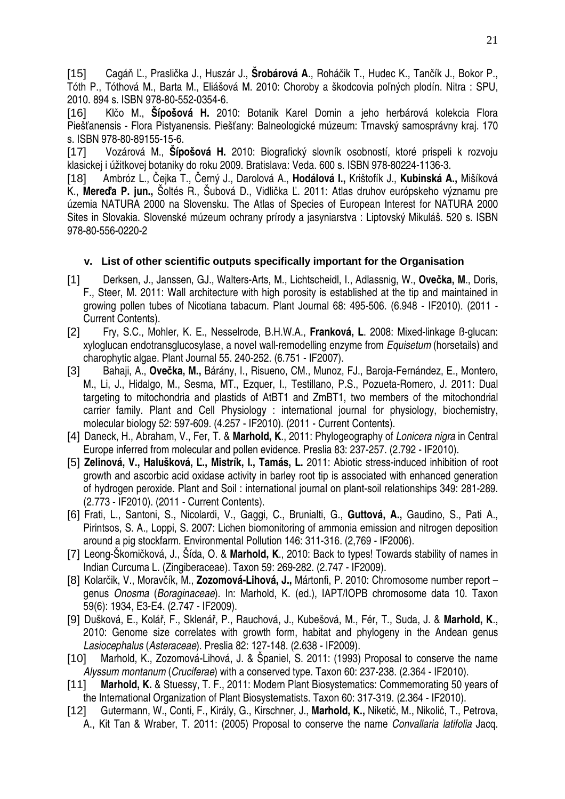[15] Cagáň Ľ., Praslička J., Huszár J., **Šrobárová A**., Roháčik T., Hudec K., Tančík J., Bokor P., Tóth P., Tóthová M., Barta M., Eliášová M. 2010: Choroby a škodcovia poľných plodín. Nitra : SPU, 2010. 894 s. ISBN 978-80-552-0354-6.

[16] Klčo M., **Šípošová H.** 2010: Botanik Karel Domin a jeho herbárová kolekcia Flora Piešťanensis - Flora Pistyanensis. Piešťany: Balneologické múzeum: Trnavský samosprávny kraj. 170 s. ISBN 978-80-89155-15-6.

[17] Vozárová M., **Šípošová H.** 2010: Biografický slovník osobností, ktoré prispeli k rozvoju klasickej i úžitkovej botaniky do roku 2009. Bratislava: Veda. 600 s. ISBN 978-80224-1136-3.

[18] Ambróz L., Čejka T., Černý J., Darolová A., **Hodálová I.,** Krištofík J., **Kubinská A.,** Mišíková K., **Mere**ď**a P. jun.,** Šoltés R., Šubová D., Vidlička Ľ. 2011: Atlas druhov európskeho významu pre územia NATURA 2000 na Slovensku. The Atlas of Species of European Interest for NATURA 2000 Sites in Slovakia. Slovenské múzeum ochrany prírody a jasyniarstva : Liptovský Mikuláš. 520 s. ISBN 978-80-556-0220-2

### **v. List of other scientific outputs specifically important for the Organisation**

- [1] Derksen, J., Janssen, GJ., Walters-Arts, M., Lichtscheidl, I., Adlassnig, W., **Ove**č**ka, M**., Doris, F., Steer, M. 2011: Wall architecture with high porosity is established at the tip and maintained in growing pollen tubes of Nicotiana tabacum. Plant Journal 68: 495-506. (6.948 - IF2010). (2011 - Current Contents).
- [2] Fry, S.C., Mohler, K. E., Nesselrode, B.H.W.A., **Franková, L**. 2008: Mixed-linkage ß-glucan: xyloglucan endotransglucosylase, a novel wall-remodelling enzyme from Equisetum (horsetails) and charophytic algae. Plant Journal 55. 240-252. (6.751 - IF2007).
- [3] Bahaji, A., **Ove**č**ka, M.,** Bárány, I., Risueno, CM., Munoz, FJ., Baroja-Fernández, E., Montero, M., Li, J., Hidalgo, M., Sesma, MT., Ezquer, I., Testillano, P.S., Pozueta-Romero, J. 2011: Dual targeting to mitochondria and plastids of AtBT1 and ZmBT1, two members of the mitochondrial carrier family. Plant and Cell Physiology : international journal for physiology, biochemistry, molecular biology 52: 597-609. (4.257 - IF2010). (2011 - Current Contents).
- [4] Daneck, H., Abraham, V., Fer, T. & **Marhold, K**., 2011: Phylogeography of Lonicera nigra in Central Europe inferred from molecular and pollen evidence. Preslia 83: 237-257. (2.792 - IF2010).
- [5] **Zelinová, V., Halušková,** Ľ**., Mistrík, I., Tamás, L.** 2011: Abiotic stress-induced inhibition of root growth and ascorbic acid oxidase activity in barley root tip is associated with enhanced generation of hydrogen peroxide. Plant and Soil : international journal on plant-soil relationships 349: 281-289. (2.773 - IF2010). (2011 - Current Contents).
- [6] Frati, L., Santoni, S., Nicolardi, V., Gaggi, C., Brunialti, G., **Guttová, A.,** Gaudino, S., Pati A., Pirintsos, S. A., Loppi, S. 2007: Lichen biomonitoring of ammonia emission and nitrogen deposition around a pig stockfarm. Environmental Pollution 146: 311-316. (2,769 - IF2006).
- [7] Leong-Škorničková, J., Šída, O. & **Marhold, K**., 2010: Back to types! Towards stability of names in Indian Curcuma L. (Zingiberaceae). Taxon 59: 269-282. (2.747 - IF2009).
- [8] Kolarčik, V., Moravčík, M., **Zozomová-Lihová, J.,** Mártonfi, P. 2010: Chromosome number report genus Onosma (Boraginaceae). In: Marhold, K. (ed.), IAPT/IOPB chromosome data 10. Taxon 59(6): 1934, E3-E4. (2.747 - IF2009).
- [9] Dušková, E., Kolář, F., Sklenář, P., Rauchová, J., Kubešová, M., Fér, T., Suda, J. & **Marhold, K**., 2010: Genome size correlates with growth form, habitat and phylogeny in the Andean genus Lasiocephalus (Asteraceae). Preslia 82: 127-148. (2.638 - IF2009).
- [10] Marhold, K., Zozomová-Lihová, J. & Španiel, S. 2011: (1993) Proposal to conserve the name Alyssum montanum (Cruciferae) with a conserved type. Taxon 60: 237-238. (2.364 - IF2010).
- [11] **Marhold, K.** & Stuessy, T. F., 2011: Modern Plant Biosystematics: Commemorating 50 years of the International Organization of Plant Biosystematists. Taxon 60: 317-319. (2.364 - IF2010).
- [12] Gutermann, W., Conti, F., Király, G., Kirschner, J., **Marhold, K.,** Niketić, M., Nikolić, T., Petrova, A., Kit Tan & Wraber, T. 2011: (2005) Proposal to conserve the name Convallaria latifolia Jacq.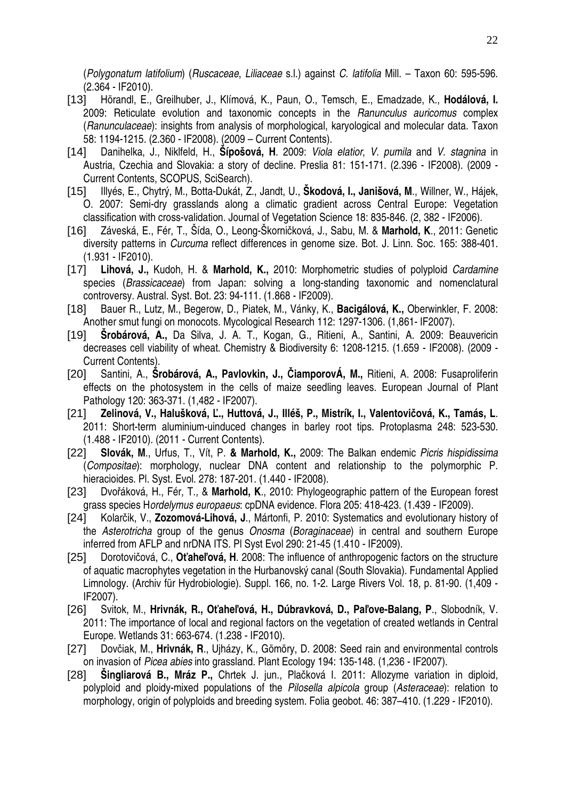(Polygonatum latifolium) (Ruscaceae, Liliaceae s.l.) against C. latifolia Mill. – Taxon 60: 595-596. (2.364 - IF2010).

- [13] Hörandl, E., Greilhuber, J., Klímová, K., Paun, O., Temsch, E., Emadzade, K., **Hodálová, I.** 2009: Reticulate evolution and taxonomic concepts in the Ranunculus auricomus complex (Ranunculaceae): insights from analysis of morphological, karyological and molecular data. Taxon 58: 1194-1215. (2.360 - IF2008). (2009 – Current Contents).
- [14] Danihelka, J., Niklfeld, H., **Šípošová, H**. 2009: Viola elatior, V. pumila and V. stagnina in Austria, Czechia and Slovakia: a story of decline. Preslia 81: 151-171. (2.396 - IF2008). (2009 - Current Contents, SCOPUS, SciSearch).
- [15] Illyés, E., Chytrý, M., Botta-Dukát, Z., Jandt, U., **Škodová, I., Janišová, M**., Willner, W., Hájek, O. 2007: Semi-dry grasslands along a climatic gradient across Central Europe: Vegetation classification with cross-validation. Journal of Vegetation Science 18: 835-846. (2, 382 - IF2006).
- [16] Záveská, E., Fér, T., Šída, O., Leong-Škorničková, J., Sabu, M. & **Marhold, K**., 2011: Genetic diversity patterns in Curcuma reflect differences in genome size. Bot. J. Linn. Soc. 165: 388-401. (1.931 - IF2010).
- [17] **Lihová, J.,** Kudoh, H. & **Marhold, K.,** 2010: Morphometric studies of polyploid Cardamine species (Brassicaceae) from Japan: solving a long-standing taxonomic and nomenclatural controversy. Austral. Syst. Bot. 23: 94-111. (1.868 - IF2009).
- [18] Bauer R., Lutz, M., Begerow, D., Piatek, M., Vánky, K., **Bacigálová, K.,** Oberwinkler, F. 2008: Another smut fungi on monocots. Mycological Research 112: 1297-1306. (1,861- IF2007).
- [19] **Šrobárová, A.,** Da Silva, J. A. T., Kogan, G., Ritieni, A., Santini, A. 2009: Beauvericin decreases cell viability of wheat. Chemistry & Biodiversity 6: 1208-1215. (1.659 - IF2008). (2009 - Current Contents).
- [20] Santini, A., **Šrobárová, A., Pavlovkin, J.,** Č**iamporovÁ, M.,** Ritieni, A. 2008: Fusaproliferin effects on the photosystem in the cells of maize seedling leaves. European Journal of Plant Pathology 120: 363-371. (1,482 - IF2007).
- [21] **Zelinová, V., Halušková,** Ľ**., Huttová, J., Illéš, P., Mistrík, I., Valentovi**č**ová, K., Tamás, L**. 2011: Short-term aluminium-uinduced changes in barley root tips. Protoplasma 248: 523-530. (1.488 - IF2010). (2011 - Current Contents).
- [22] **Slovák, M**., Urfus, T., Vít, P. **& Marhold, K.,** 2009: The Balkan endemic Picris hispidissima (Compositae): morphology, nuclear DNA content and relationship to the polymorphic P. hieracioides. Pl. Syst. Evol. 278: 187-201. (1.440 - IF2008).
- [23] Dvořáková, H., Fér, T., & **Marhold, K**., 2010: Phylogeographic pattern of the European forest grass species Hordelymus europaeus: cpDNA evidence. Flora 205: 418-423. (1.439 - IF2009).
- [24] Kolarčik, V., **Zozomová-Lihová, J**., Mártonfi, P. 2010: Systematics and evolutionary history of the Asterotricha group of the genus Onosma (Boraginaceae) in central and southern Europe inferred from AFLP and nrDNA ITS. Pl Syst Evol 290: 21-45 (1.410 - IF2009).
- [25] Dorotovičová, C., **O**ť**ahe**ľ**ová, H**. 2008: The influence of anthropogenic factors on the structure of aquatic macrophytes vegetation in the Hurbanovský canal (South Slovakia). Fundamental Applied Limnology. (Archiv für Hydrobiologie). Suppl. 166, no. 1-2. Large Rivers Vol. 18, p. 81-90. (1,409 - IF2007).
- [26] Svitok, M., **Hrivnák, R., O**ť**ahe**ľ**ová, H., Dúbravková, D., Pa**ľ**ove-Balang, P**., Slobodník, V. 2011: The importance of local and regional factors on the vegetation of created wetlands in Central Europe. Wetlands 31: 663-674. (1.238 - IF2010).
- [27] Dovčiak, M., **Hrivnák, R**., Ujházy, K., Gömöry, D. 2008: Seed rain and environmental controls on invasion of Picea abies into grassland. Plant Ecology 194: 135-148. (1,236 - IF2007).
- [28] **Šingliarová B., Mráz P.,** Chrtek J. jun., Plačková I. 2011: Allozyme variation in diploid, polyploid and ploidy-mixed populations of the Pilosella alpicola group (Asteraceae): relation to morphology, origin of polyploids and breeding system. Folia geobot. 46: 387–410. (1.229 - IF2010).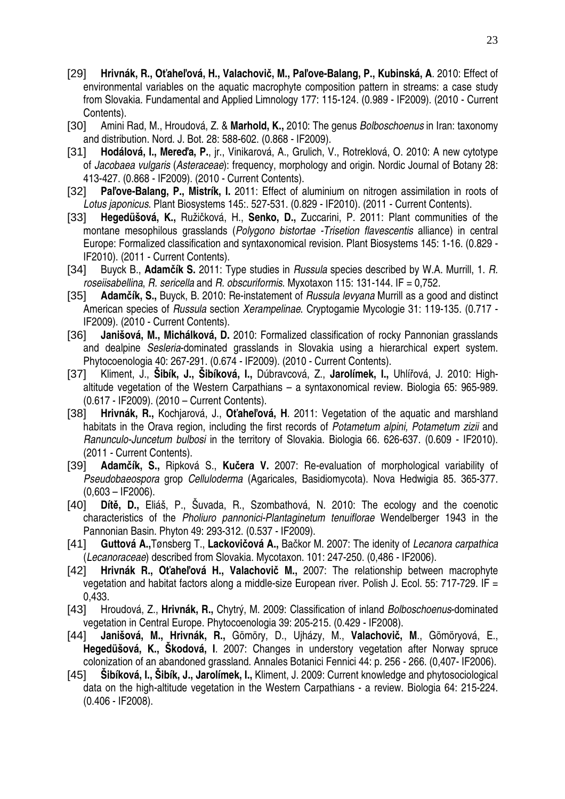- [29] **Hrivnák, R., O**ť**ahe**ľ**ová, H., Valachovi**č**, M., Pa**ľ**ove-Balang, P., Kubinská, A**. 2010: Effect of environmental variables on the aquatic macrophyte composition pattern in streams: a case study from Slovakia. Fundamental and Applied Limnology 177: 115-124. (0.989 - IF2009). (2010 - Current Contents).
- [30] Amini Rad, M., Hroudová, Z. & **Marhold, K.,** 2010: The genus Bolboschoenus in Iran: taxonomy and distribution. Nord. J. Bot. 28: 588-602. (0.868 - IF2009).
- [31] **Hodálová, I., Mere**ď**a, P.**, jr., Vinikarová, A., Grulich, V., Rotreklová, O. 2010: A new cytotype of Jacobaea vulgaris (Asteraceae): frequency, morphology and origin. Nordic Journal of Botany 28: 413-427. (0.868 - IF2009). (2010 - Current Contents).
- [32] **Pa**ľ**ove-Balang, P., Mistrík, I.** 2011: Effect of aluminium on nitrogen assimilation in roots of Lotus japonicus. Plant Biosystems 145:. 527-531. (0.829 - IF2010). (2011 - Current Contents).
- [33] **Hegedüšová, K.,** Ružičková, H., **Senko, D.,** Zuccarini, P. 2011: Plant communities of the montane mesophilous grasslands (Polygono bistortae -Trisetion flavescentis alliance) in central Europe: Formalized classification and syntaxonomical revision. Plant Biosystems 145: 1-16. (0.829 - IF2010). (2011 - Current Contents).
- [34] Buyck B., **Adam**č**ík S.** 2011: Type studies in Russula species described by W.A. Murrill, 1. R. roseiisabellina, R. sericella and R. obscuriformis. Myxotaxon 115: 131-144. IF = 0,752.
- [35] **Adam**č**ík, S.,** Buyck, B. 2010: Re-instatement of Russula levyana Murrill as a good and distinct American species of Russula section Xerampelinae. Cryptogamie Mycologie 31: 119-135. (0.717 - IF2009). (2010 - Current Contents).
- [36] **Janišová, M., Michálková, D.** 2010: Formalized classification of rocky Pannonian grasslands and dealpine Sesleria-dominated grasslands in Slovakia using a hierarchical expert system. Phytocoenologia 40: 267-291. (0.674 - IF2009). (2010 - Current Contents).
- [37] Kliment, J., **Šibík, J., Šibíková, I.,** Dúbravcová, Z., **Jarolímek, I.,** Uhlířová, J. 2010: Highaltitude vegetation of the Western Carpathians – a syntaxonomical review. Biologia 65: 965-989. (0.617 - IF2009). (2010 – Current Contents).
- [38] **Hrivnák, R.,** Kochjarová, J., **O**ť**ahe**ľ**ová, H**. 2011: Vegetation of the aquatic and marshland habitats in the Orava region, including the first records of Potametum alpini, Potametum zizii and Ranunculo-Juncetum bulbosi in the territory of Slovakia. Biologia 66. 626-637. (0.609 - IF2010). (2011 - Current Contents).
- [39] **Adam**č**ík, S.,** Ripková S., **Ku**č**era V.** 2007: Re-evaluation of morphological variability of Pseudobaeospora grop Celluloderma (Agaricales, Basidiomycota). Nova Hedwigia 85. 365-377.  $(0.603 - IF2006)$ .
- [40] **Dít**ě**, D.,** Eliáš, P., Šuvada, R., Szombathová, N. 2010: The ecology and the coenotic characteristics of the Pholiuro pannonici-Plantaginetum tenuiflorae Wendelberger 1943 in the Pannonian Basin. Phyton 49: 293-312. (0.537 - IF2009).
- [41] **Guttová A.,**Tønsberg T., **Lackovi**č**ová A.,** Bačkor M. 2007: The idenity of Lecanora carpathica (Lecanoraceae) described from Slovakia. Mycotaxon. 101: 247-250. (0,486 - IF2006).
- [42] **Hrivnák R., O**ť**ahe**ľ**ová H., Valachovi**č **M.,** 2007: The relationship between macrophyte vegetation and habitat factors along a middle-size European river. Polish J. Ecol. 55: 717-729. IF = 0,433.
- [43] Hroudová, Z., **Hrivnák, R.,** Chytrý, M. 2009: Classification of inland Bolboschoenus-dominated vegetation in Central Europe. Phytocoenologia 39: 205-215. (0.429 - IF2008).
- [44] **Janišová, M., Hrivnák, R.,** Gömöry, D., Ujházy, M., **Valachovi**č**, M**., Gömöryová, E., **Hegedüšová, K., Škodová, I**. 2007: Changes in understory vegetation after Norway spruce colonization of an abandoned grassland. Annales Botanici Fennici 44: p. 256 - 266. (0,407- IF2006).
- [45] **Šibíková, I., Šibík, J., Jarolímek, I.,** Kliment, J. 2009: Current knowledge and phytosociological data on the high-altitude vegetation in the Western Carpathians - a review. Biologia 64: 215-224. (0.406 - IF2008).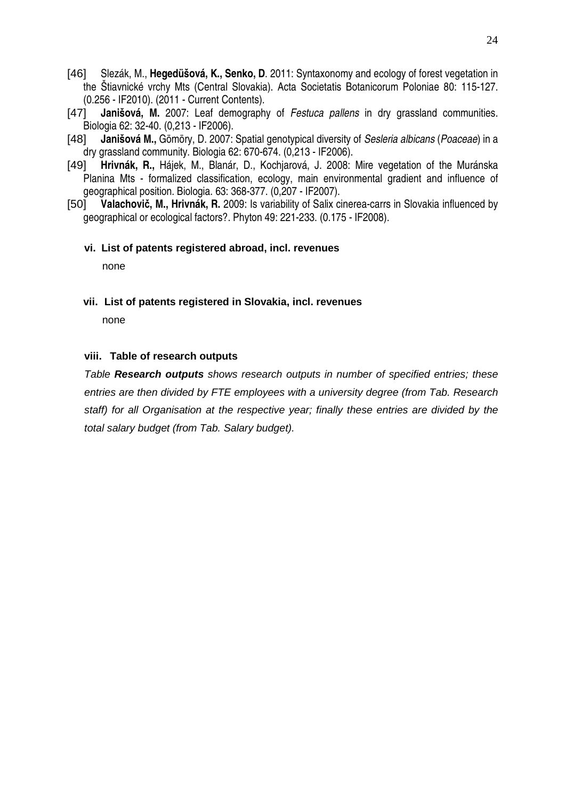- [46] Slezák, M., **Hegedüšová, K., Senko, D**. 2011: Syntaxonomy and ecology of forest vegetation in the Štiavnické vrchy Mts (Central Slovakia). Acta Societatis Botanicorum Poloniae 80: 115-127. (0.256 - IF2010). (2011 - Current Contents).
- [47] **Janišová, M.** 2007: Leaf demography of Festuca pallens in dry grassland communities. Biologia 62: 32-40. (0,213 - IF2006).
- [48] **Janišová M.,** Gömöry, D. 2007: Spatial genotypical diversity of Sesleria albicans (Poaceae) in a dry grassland community. Biologia 62: 670-674. (0,213 - IF2006).
- [49] **Hrivnák, R.,** Hájek, M., Blanár, D., Kochjarová, J. 2008: Mire vegetation of the Muránska Planina Mts - formalized classification, ecology, main environmental gradient and influence of geographical position. Biologia. 63: 368-377. (0,207 - IF2007).
- [50] **Valachovi**č**, M., Hrivnák, R.** 2009: Is variability of Salix cinerea-carrs in Slovakia influenced by geographical or ecological factors?. Phyton 49: 221-233. (0.175 - IF2008).

#### **vi. List of patents registered abroad, incl. revenues**

none

**vii. List of patents registered in Slovakia, incl. revenues** 

none

#### **viii. Table of research outputs**

Table **Research outputs** shows research outputs in number of specified entries; these entries are then divided by FTE employees with a university degree (from Tab. Research staff) for all Organisation at the respective year; finally these entries are divided by the total salary budget (from Tab. Salary budget).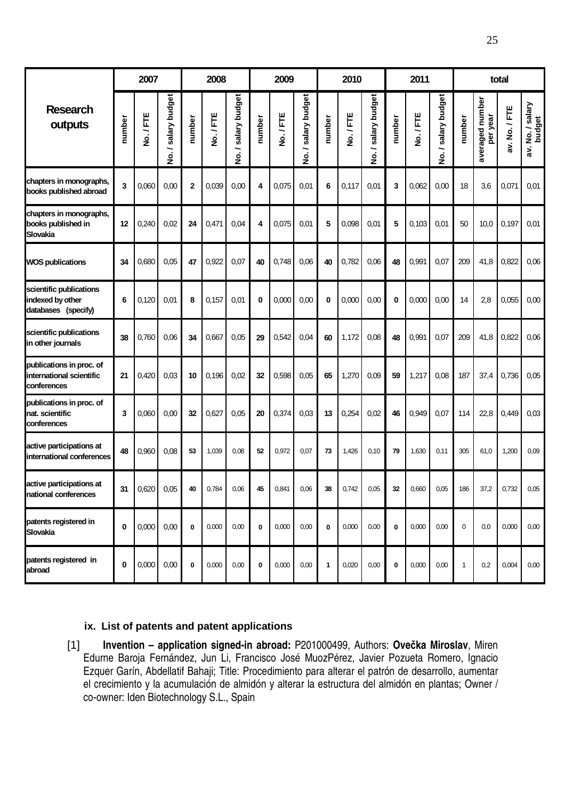|                                                                     | 2007     |         |                     | 2008           |         |                                          | 2009        |         |                     | 2010   |         |                     |             | 2011    |                     | total        |                             |               |                            |
|---------------------------------------------------------------------|----------|---------|---------------------|----------------|---------|------------------------------------------|-------------|---------|---------------------|--------|---------|---------------------|-------------|---------|---------------------|--------------|-----------------------------|---------------|----------------------------|
| <b>Research</b><br>outputs                                          | number   | No./FTE | No. / salary budget | number         | No./FTE | salary budget<br>∽<br>$\dot{\mathbf{z}}$ | number      | No./FTE | No. / salary budget | number | No./FTE | No. / salary budget | number      | No./FTE | No. / salary budget | number       | averaged number<br>per year | av. No. / FTE | av. No. / salary<br>budget |
| chapters in monographs,<br>books published abroad                   | 3        | 0,060   | 0,00                | $\overline{2}$ | 0,039   | 0,00                                     | 4           | 0,075   | 0.01                | 6      | 0,117   | 0,01                | 3           | 0,062   | 0,00                | 18           | 3,6                         | 0,071         | 0.01                       |
| chapters in monographs,<br>books published in<br>Slovakia           | 12       | 0,240   | 0,02                | 24             | 0,471   | 0,04                                     | 4           | 0,075   | 0,01                | 5      | 0,098   | 0,01                | 5           | 0,103   | 0.01                | 50           | 10,0                        | 0,197         | 0,01                       |
| <b>WOS publications</b>                                             | 34       | 0,680   | 0.05                | 47             | 0,922   | 0,07                                     | 40          | 0,748   | 0,06                | 40     | 0,782   | 0,06                | 48          | 0,991   | 0,07                | 209          | 41,8                        | 0,822         | 0,06                       |
| scientific publications<br>indexed by other<br>databases (specify)  | 6        | 0,120   | 0,01                | 8              | 0,157   | 0.01                                     | 0           | 0,000   | 0,00                | 0      | 0,000   | 0,00                | 0           | 0,000   | 0,00                | 14           | 2,8                         | 0,055         | 0,00                       |
| scientific publications<br>in other journals                        | 38       | 0,760   | 0,06                | 34             | 0,667   | 0,05                                     | 29          | 0,542   | 0,04                | 60     | 1,172   | 0,08                | 48          | 0,991   | 0,07                | 209          | 41,8                        | 0,822         | 0,06                       |
| publications in proc. of<br>international scientific<br>conferences | 21       | 0,420   | 0,03                | 10             | 0,196   | 0,02                                     | 32          | 0,598   | 0.05                | 65     | 1,270   | 0,09                | 59          | 1,217   | 0,08                | 187          | 37,4                        | 0,736         | 0,05                       |
| publications in proc. of<br>nat. scientific<br>conferences          | 3        | 0,060   | 0,00                | 32             | 0,627   | 0,05                                     | 20          | 0,374   | 0,03                | 13     | 0,254   | 0,02                | 46          | 0,949   | 0,07                | 114          | 22,8                        | 0,449         | 0,03                       |
| active participations at<br>international conferences               | 48       | 0,960   | 0,08                | 53             | 1,039   | 0,08                                     | 52          | 0,972   | 0,07                | 73     | 1,426   | 0,10                | 79          | 1,630   | 0,11                | 305          | 61,0                        | 1,200         | 0,09                       |
| active participations at<br><b>Inational conferences</b>            | 31       | 0,620   | 0,05                | 40             | 0,784   | 0,06                                     | 45          | 0,841   | 0,06                | 38     | 0,742   | 0,05                | 32          | 0,660   | 0,05                | 186          | 37,2                        | 0,732         | 0,05                       |
| patents registered in<br>Slovakia                                   | $\bf{0}$ | 0,000   | 0,00                | $\mathbf 0$    | 0,000   | 0,00                                     | $\mathbf 0$ | 0,000   | 0,00                | 0      | 0,000   | 0,00                | $\mathbf 0$ | 0,000   | 0,00                | $\mathbf 0$  | 0.0                         | 0,000         | 0,00                       |
| patents registered in<br>abroad                                     | 0        | 0,000   | 0,00                | 0              | 0,000   | 0,00                                     | $\pmb{0}$   | 0,000   | 0,00                | 1      | 0,020   | 0,00                | $\mathbf 0$ | 0,000   | 0,00                | $\mathbf{1}$ | 0,2                         | 0,004         | 0,00                       |

#### **ix. List of patents and patent applications**

[1] **Invention – application signed-in abroad:** P201000499, Authors: **Ove**č**ka Miroslav**, Miren Edurne Baroja Fernández, Jun Li, Francisco José MuozPérez, Javier Pozueta Romero, Ignacio Ezquer Garín, Abdellatif Bahaji; Title: Procedimiento para alterar el patrón de desarrollo, aumentar el crecimiento y la acumulación de almidón y alterar la estructura del almidón en plantas; Owner / co-owner: Iden Biotechnology S.L., Spain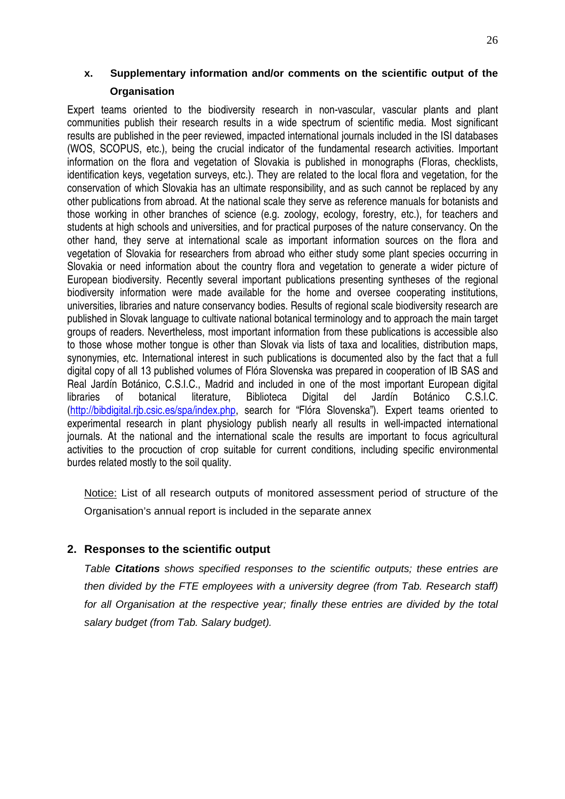### **x. Supplementary information and/or comments on the scientific output of the Organisation**

Expert teams oriented to the biodiversity research in non-vascular, vascular plants and plant communities publish their research results in a wide spectrum of scientific media. Most significant results are published in the peer reviewed, impacted international journals included in the ISI databases (WOS, SCOPUS, etc.), being the crucial indicator of the fundamental research activities. Important information on the flora and vegetation of Slovakia is published in monographs (Floras, checklists, identification keys, vegetation surveys, etc.). They are related to the local flora and vegetation, for the conservation of which Slovakia has an ultimate responsibility, and as such cannot be replaced by any other publications from abroad. At the national scale they serve as reference manuals for botanists and those working in other branches of science (e.g. zoology, ecology, forestry, etc.), for teachers and students at high schools and universities, and for practical purposes of the nature conservancy. On the other hand, they serve at international scale as important information sources on the flora and vegetation of Slovakia for researchers from abroad who either study some plant species occurring in Slovakia or need information about the country flora and vegetation to generate a wider picture of European biodiversity. Recently several important publications presenting syntheses of the regional biodiversity information were made available for the home and oversee cooperating institutions, universities, libraries and nature conservancy bodies. Results of regional scale biodiversity research are published in Slovak language to cultivate national botanical terminology and to approach the main target groups of readers. Nevertheless, most important information from these publications is accessible also to those whose mother tongue is other than Slovak via lists of taxa and localities, distribution maps, synonymies, etc. International interest in such publications is documented also by the fact that a full digital copy of all 13 published volumes of Flóra Slovenska was prepared in cooperation of IB SAS and Real Jardín Botánico, C.S.I.C., Madrid and included in one of the most important European digital libraries of botanical literature, Biblioteca Digital del Jardín Botánico C.S.I.C. (http://bibdigital.rjb.csic.es/spa/index.php, search for "Flóra Slovenska"). Expert teams oriented to experimental research in plant physiology publish nearly all results in well-impacted international journals. At the national and the international scale the results are important to focus agricultural activities to the procuction of crop suitable for current conditions, including specific environmental burdes related mostly to the soil quality.

Notice: List of all research outputs of monitored assessment period of structure of the Organisation's annual report is included in the separate annex

### **2. Responses to the scientific output**

Table **Citations** shows specified responses to the scientific outputs; these entries are then divided by the FTE employees with a university degree (from Tab. Research staff) for all Organisation at the respective year; finally these entries are divided by the total salary budget (from Tab. Salary budget).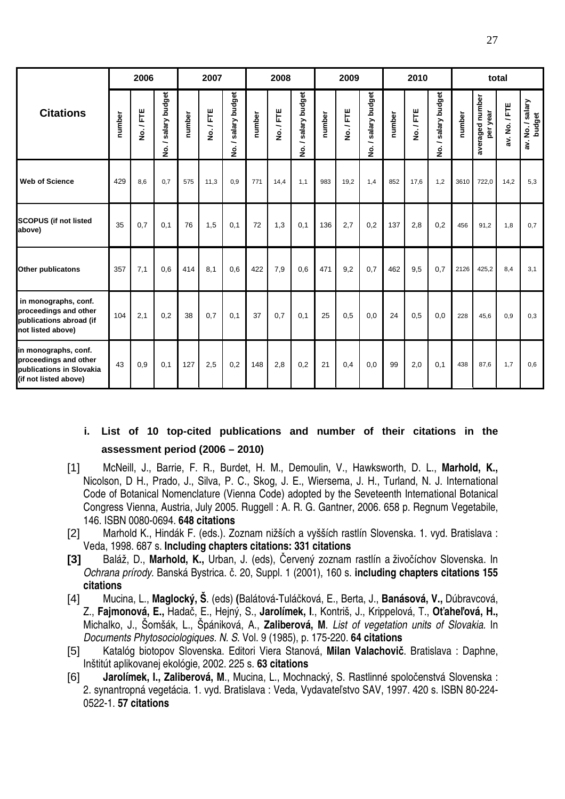|                                                                                                    | 2006   |         |                                          | 2007   |         |                         | 2008   |         |                                          | 2009   |         |                         |        | 2010    |                                          | total  |                             |               |                            |
|----------------------------------------------------------------------------------------------------|--------|---------|------------------------------------------|--------|---------|-------------------------|--------|---------|------------------------------------------|--------|---------|-------------------------|--------|---------|------------------------------------------|--------|-----------------------------|---------------|----------------------------|
| <b>Citations</b>                                                                                   | number | No./FTE | salary budget<br>∽<br>$\dot{\mathbf{z}}$ | number | No./FTE | salary budget<br>╮<br>ş | number | No./FTE | salary budget<br>∽<br>$\mathbf{\dot{g}}$ | number | No./FTE | salary budget<br>∼<br>ġ | number | No./FTE | salary budget<br>∽<br>$\dot{\mathbf{z}}$ | number | averaged number<br>per year | av. No. / FTE | av. No. / salary<br>budget |
| <b>Web of Science</b>                                                                              | 429    | 8.6     | 0.7                                      | 575    | 11,3    | 0.9                     | 771    | 14,4    | 1,1                                      | 983    | 19,2    | 1.4                     | 852    | 17.6    | 1,2                                      | 3610   | 722,0                       | 14,2          | 5,3                        |
| <b>SCOPUS (if not listed</b><br>above)                                                             | 35     | 0,7     | 0,1                                      | 76     | 1,5     | 0,1                     | 72     | 1,3     | 0,1                                      | 136    | 2,7     | 0,2                     | 137    | 2,8     | 0,2                                      | 456    | 91.2                        | 1,8           | 0,7                        |
| <b>Other publicatons</b>                                                                           | 357    | 7,1     | 0,6                                      | 414    | 8,1     | 0,6                     | 422    | 7,9     | 0.6                                      | 471    | 9,2     | 0,7                     | 462    | 9.5     | 0,7                                      | 2126   | 425.2                       | 8,4           | 3.1                        |
| in monographs, conf.<br>proceedings and other<br>publications abroad (if<br>not listed above)      | 104    | 2,1     | 0,2                                      | 38     | 0,7     | 0,1                     | 37     | 0,7     | 0,1                                      | 25     | 0,5     | 0,0                     | 24     | 0.5     | 0,0                                      | 228    | 45,6                        | 0,9           | 0,3                        |
| in monographs, conf.<br>proceedings and other<br>publications in Slovakia<br>(if not listed above) | 43     | 0,9     | 0,1                                      | 127    | 2,5     | 0,2                     | 148    | 2,8     | 0,2                                      | 21     | 0,4     | 0.0                     | 99     | 2,0     | 0,1                                      | 438    | 87.6                        | 1,7           | 0,6                        |

### **i. List of 10 top-cited publications and number of their citations in the assessment period (2006 – 2010)**

- [1] McNeill, J., Barrie, F. R., Burdet, H. M., Demoulin, V., Hawksworth, D. L., **Marhold, K.,** Nicolson, D H., Prado, J., Silva, P. C., Skog, J. E., Wiersema, J. H., Turland, N. J. International Code of Botanical Nomenclature (Vienna Code) adopted by the Seveteenth International Botanical Congress Vienna, Austria, July 2005. Ruggell : A. R. G. Gantner, 2006. 658 p. Regnum Vegetabile, 146. ISBN 0080-0694. **648 citations**
- [2] Marhold K., Hindák F. (eds.). Zoznam nižších a vyšších rastlín Slovenska. 1. vyd. Bratislava : Veda, 1998. 687 s. **Including chapters citations: 331 citations**
- **[3]** Baláž, D., **Marhold, K.,** Urban, J. (eds), Červený zoznam rastlín a živočíchov Slovenska. In Ochrana prírody. Banská Bystrica. č. 20, Suppl. 1 (2001), 160 s. **including chapters citations 155 citations**
- [4] Mucina, L., **Maglocký, Š**. (eds) **(**Balátová-Tuláčková, E., Berta, J., **Banásová, V.,** Dúbravcová, Z., **Fajmonová, E.,** Hadač, E., Hejný, S., **Jarolímek, I**., Kontriš, J., Krippelová, T., **O**ť**ahe**ľ**ová, H.,** Michalko, J., Šomšák, L., Špániková, A., **Zaliberová, M**. List of vegetation units of Slovakia. In Documents Phytosociologiques. N. S. Vol. 9 (1985), p. 175-220. **64 citations**
- [5] Katalóg biotopov Slovenska. Editori Viera Stanová, **Milan Valachovi**č. Bratislava : Daphne, Inštitút aplikovanej ekológie, 2002. 225 s. **63 citations**
- [6] **Jarolímek, I., Zaliberová, M**., Mucina, L., Mochnacký, S. Rastlinné spoločenstvá Slovenska : 2. synantropná vegetácia. 1. vyd. Bratislava : Veda, Vydavateľstvo SAV, 1997. 420 s. ISBN 80-224- 0522-1. **57 citations**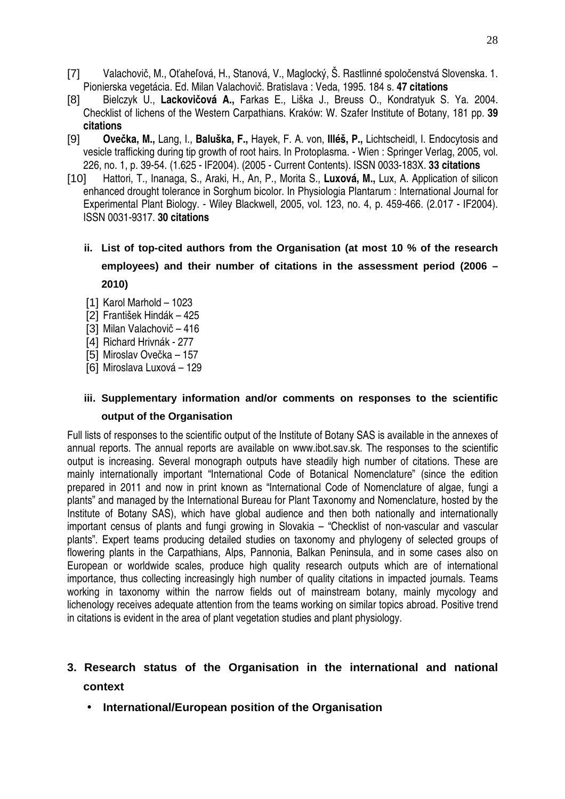- [7] Valachovič, M., Oťaheľová, H., Stanová, V., Maglocký, Š. Rastlinné spoločenstvá Slovenska. 1. Pionierska vegetácia. Ed. Milan Valachovič. Bratislava : Veda, 1995. 184 s. **47 citations**
- [8] Bielczyk U., **Lackovi**č**ová A.,** Farkas E., Liška J., Breuss O., Kondratyuk S. Ya. 2004. Checklist of lichens of the Western Carpathians. Kraków: W. Szafer Institute of Botany, 181 pp. **39 citations**
- [9] **Ove**č**ka, M.,** Lang, I., **Baluška, F.,** Hayek, F. A. von, **Illéš, P.,** Lichtscheidl, I. Endocytosis and vesicle trafficking during tip growth of root hairs. In Protoplasma. - Wien : Springer Verlag, 2005, vol. 226, no. 1, p. 39-54. (1.625 - IF2004). (2005 - Current Contents). ISSN 0033-183X. **33 citations**
- [10] Hattori, T., Inanaga, S., Araki, H., An, P., Morita S., **Luxová, M.,** Lux, A. Application of silicon enhanced drought tolerance in Sorghum bicolor. In Physiologia Plantarum : International Journal for Experimental Plant Biology. - Wiley Blackwell, 2005, vol. 123, no. 4, p. 459-466. (2.017 - IF2004). ISSN 0031-9317. **30 citations**
	- **ii. List of top-cited authors from the Organisation (at most 10 % of the research employees) and their number of citations in the assessment period (2006 – 2010)**
	- [1] Karol Marhold 1023
	- [2] František Hindák 425
	- [3] Milan Valachovič 416
	- [4] Richard Hrivnák 277
	- [5] Miroslav Ovečka 157
	- [6] Miroslava Luxová 129

## **iii. Supplementary information and/or comments on responses to the scientific output of the Organisation**

Full lists of responses to the scientific output of the Institute of Botany SAS is available in the annexes of annual reports. The annual reports are available on www.ibot.sav.sk. The responses to the scientific output is increasing. Several monograph outputs have steadily high number of citations. These are mainly internationally important "International Code of Botanical Nomenclature" (since the edition prepared in 2011 and now in print known as "International Code of Nomenclature of algae, fungi a plants" and managed by the International Bureau for Plant Taxonomy and Nomenclature, hosted by the Institute of Botany SAS), which have global audience and then both nationally and internationally important census of plants and fungi growing in Slovakia – "Checklist of non-vascular and vascular plants". Expert teams producing detailed studies on taxonomy and phylogeny of selected groups of flowering plants in the Carpathians, Alps, Pannonia, Balkan Peninsula, and in some cases also on European or worldwide scales, produce high quality research outputs which are of international importance, thus collecting increasingly high number of quality citations in impacted journals. Teams working in taxonomy within the narrow fields out of mainstream botany, mainly mycology and lichenology receives adequate attention from the teams working on similar topics abroad. Positive trend in citations is evident in the area of plant vegetation studies and plant physiology.

# **3. Research status of the Organisation in the international and national context**

• **International/European position of the Organisation**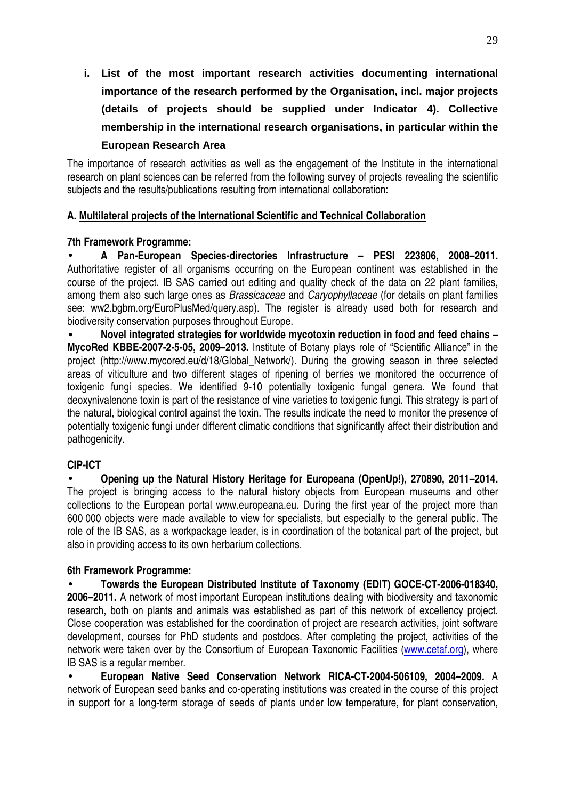**i. List of the most important research activities documenting international importance of the research performed by the Organisation, incl. major projects (details of projects should be supplied under Indicator 4). Collective membership in the international research organisations, in particular within the European Research Area** 

The importance of research activities as well as the engagement of the Institute in the international research on plant sciences can be referred from the following survey of projects revealing the scientific subjects and the results/publications resulting from international collaboration:

### **A. Multilateral projects of the International Scientific and Technical Collaboration**

### **7th Framework Programme:**

• **A Pan-European Species-directories Infrastructure – PESI 223806, 2008–2011.**  Authoritative register of all organisms occurring on the European continent was established in the course of the project. IB SAS carried out editing and quality check of the data on 22 plant families, among them also such large ones as Brassicaceae and Caryophyllaceae (for details on plant families see: ww2.bgbm.org/EuroPlusMed/query.asp). The register is already used both for research and biodiversity conservation purposes throughout Europe.

• **Novel integrated strategies for worldwide mycotoxin reduction in food and feed chains – MycoRed KBBE-2007-2-5-05, 2009–2013.** Institute of Botany plays role of "Scientific Alliance" in the project (http://www.mycored.eu/d/18/Global Network/). During the growing season in three selected areas of viticulture and two different stages of ripening of berries we monitored the occurrence of toxigenic fungi species. We identified 9-10 potentially toxigenic fungal genera. We found that deoxynivalenone toxin is part of the resistance of vine varieties to toxigenic fungi. This strategy is part of the natural, biological control against the toxin. The results indicate the need to monitor the presence of potentially toxigenic fungi under different climatic conditions that significantly affect their distribution and pathogenicity.

### **CIP-ICT**

• **Opening up the Natural History Heritage for Europeana (OpenUp!), 270890, 2011–2014.**  The project is bringing access to the natural history objects from European museums and other collections to the European portal www.europeana.eu. During the first year of the project more than 600 000 objects were made available to view for specialists, but especially to the general public. The role of the IB SAS, as a workpackage leader, is in coordination of the botanical part of the project, but also in providing access to its own herbarium collections.

### **6th Framework Programme:**

• **Towards the European Distributed Institute of Taxonomy (EDIT) GOCE-CT-2006-018340, 2006–2011.** A network of most important European institutions dealing with biodiversity and taxonomic research, both on plants and animals was established as part of this network of excellency project. Close cooperation was established for the coordination of project are research activities, joint software development, courses for PhD students and postdocs. After completing the project, activities of the network were taken over by the Consortium of European Taxonomic Facilities (www.cetaf.org), where IB SAS is a regular member.

• **European Native Seed Conservation Network RICA-CT-2004-506109, 2004–2009.** A network of European seed banks and co-operating institutions was created in the course of this project in support for a long-term storage of seeds of plants under low temperature, for plant conservation,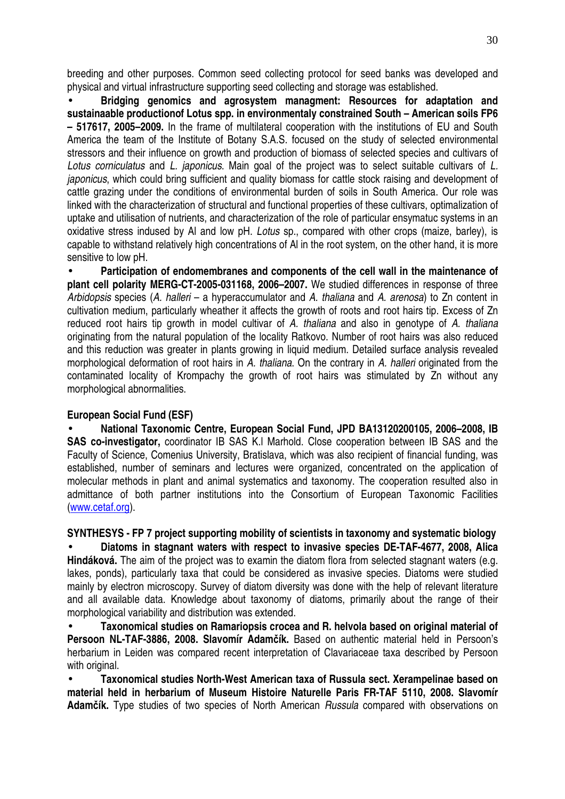breeding and other purposes. Common seed collecting protocol for seed banks was developed and physical and virtual infrastructure supporting seed collecting and storage was established.

• **Bridging genomics and agrosystem managment: Resources for adaptation and sustainaable productionof Lotus spp. in environmentaly constrained South – American soils FP6 – 517617, 2005–2009.** In the frame of multilateral cooperation with the institutions of EU and South America the team of the Institute of Botany S.A.S. focused on the study of selected environmental stressors and their influence on growth and production of biomass of selected species and cultivars of Lotus corniculatus and L. japonicus. Main goal of the project was to select suitable cultivars of L. japonicus, which could bring sufficient and quality biomass for cattle stock raising and development of cattle grazing under the conditions of environmental burden of soils in South America. Our role was linked with the characterization of structural and functional properties of these cultivars, optimalization of uptake and utilisation of nutrients, and characterization of the role of particular ensymatuc systems in an oxidative stress indused by AI and low pH. Lotus sp., compared with other crops (maize, barley), is capable to withstand relatively high concentrations of Al in the root system, on the other hand, it is more sensitive to low pH.

• **Participation of endomembranes and components of the cell wall in the maintenance of plant cell polarity MERG-CT-2005-031168, 2006–2007.** We studied differences in response of three Arbidopsis species (A. halleri – a hyperaccumulator and A. thaliana and A. arenosa) to Zn content in cultivation medium, particularly wheather it affects the growth of roots and root hairs tip. Excess of Zn reduced root hairs tip growth in model cultivar of A. thaliana and also in genotype of A. thaliana originating from the natural population of the locality Ratkovo. Number of root hairs was also reduced and this reduction was greater in plants growing in liquid medium. Detailed surface analysis revealed morphological deformation of root hairs in A. thaliana. On the contrary in A. halleri originated from the contaminated locality of Krompachy the growth of root hairs was stimulated by Zn without any morphological abnormalities.

### **European Social Fund (ESF)**

• **National Taxonomic Centre, European Social Fund, JPD BA13120200105, 2006–2008, IB SAS co-investigator,** coordinator IB SAS K.l Marhold. Close cooperation between IB SAS and the Faculty of Science, Comenius University, Bratislava, which was also recipient of financial funding, was established, number of seminars and lectures were organized, concentrated on the application of molecular methods in plant and animal systematics and taxonomy. The cooperation resulted also in admittance of both partner institutions into the Consortium of European Taxonomic Facilities (www.cetaf.org).

**SYNTHESYS - FP 7 project supporting mobility of scientists in taxonomy and systematic biology**  • **Diatoms in stagnant waters with respect to invasive species DE-TAF-4677, 2008, Alica Hindáková.** The aim of the project was to examin the diatom flora from selected stagnant waters (e.g. lakes, ponds), particularly taxa that could be considered as invasive species. Diatoms were studied mainly by electron microscopy. Survey of diatom diversity was done with the help of relevant literature and all available data. Knowledge about taxonomy of diatoms, primarily about the range of their morphological variability and distribution was extended.

• **Taxonomical studies on Ramariopsis crocea and R. helvola based on original material of Persoon NL-TAF-3886, 2008. Slavomír Adam**č**ík.** Based on authentic material held in Persoon's herbarium in Leiden was compared recent interpretation of Clavariaceae taxa described by Persoon with original.

• **Taxonomical studies North-West American taxa of Russula sect. Xerampelinae based on material held in herbarium of Museum Histoire Naturelle Paris FR-TAF 5110, 2008. Slavomír Adam**č**ík.** Type studies of two species of North American Russula compared with observations on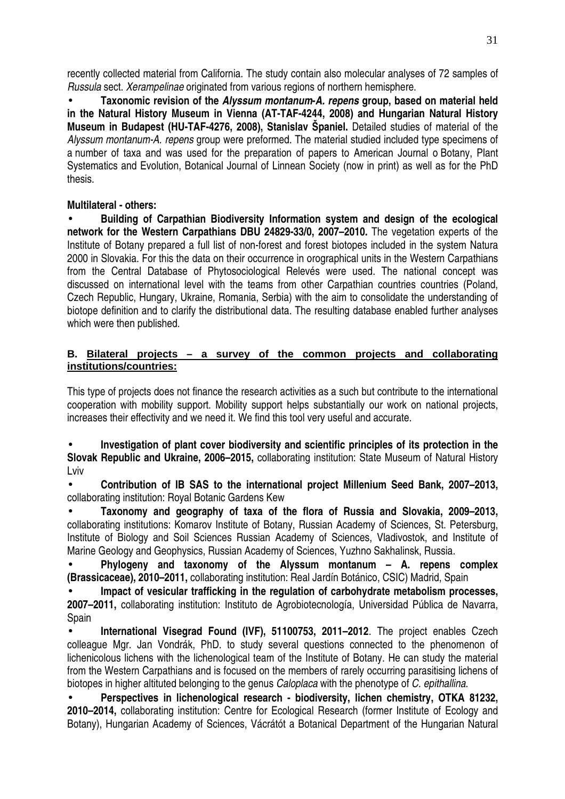recently collected material from California. The study contain also molecular analyses of 72 samples of Russula sect. Xerampelinae originated from various regions of northern hemisphere.

• **Taxonomic revision of the Alyssum montanum-A. repens group, based on material held in the Natural History Museum in Vienna (AT-TAF-4244, 2008) and Hungarian Natural History Museum in Budapest (HU-TAF-4276, 2008), Stanislav Španiel.** Detailed studies of material of the Alyssum montanum-A. repens group were preformed. The material studied included type specimens of a number of taxa and was used for the preparation of papers to American Journal o Botany, Plant Systematics and Evolution, Botanical Journal of Linnean Society (now in print) as well as for the PhD thesis.

### **Multilateral - others:**

• **Building of Carpathian Biodiversity Information system and design of the ecological network for the Western Carpathians DBU 24829-33/0, 2007–2010.** The vegetation experts of the Institute of Botany prepared a full list of non-forest and forest biotopes included in the system Natura 2000 in Slovakia. For this the data on their occurrence in orographical units in the Western Carpathians from the Central Database of Phytosociological Relevés were used. The national concept was discussed on international level with the teams from other Carpathian countries countries (Poland, Czech Republic, Hungary, Ukraine, Romania, Serbia) with the aim to consolidate the understanding of biotope definition and to clarify the distributional data. The resulting database enabled further analyses which were then published.

#### **B. Bilateral projects – a survey of the common projects and collaborating institutions/countries:**

This type of projects does not finance the research activities as a such but contribute to the international cooperation with mobility support. Mobility support helps substantially our work on national projects, increases their effectivity and we need it. We find this tool very useful and accurate.

• **Investigation of plant cover biodiversity and scientific principles of its protection in the Slovak Republic and Ukraine, 2006–2015,** collaborating institution: State Museum of Natural History Lviv

• **Contribution of IB SAS to the international project Millenium Seed Bank, 2007–2013,**  collaborating institution: Royal Botanic Gardens Kew

• **Taxonomy and geography of taxa of the flora of Russia and Slovakia, 2009–2013,**  collaborating institutions: Komarov Institute of Botany, Russian Academy of Sciences, St. Petersburg, Institute of Biology and Soil Sciences Russian Academy of Sciences, Vladivostok, and Institute of Marine Geology and Geophysics, Russian Academy of Sciences, Yuzhno Sakhalinsk, Russia.

• **Phylogeny and taxonomy of the Alyssum montanum – A. repens complex (Brassicaceae), 2010–2011,** collaborating institution: Real Jardín Botánico, CSIC) Madrid, Spain

• **Impact of vesicular trafficking in the regulation of carbohydrate metabolism processes, 2007–2011,** collaborating institution: Instituto de Agrobiotecnología, Universidad Pública de Navarra, Spain

• **International Visegrad Found (IVF), 51100753, 2011–2012**. The project enables Czech colleague Mgr. Jan Vondrák, PhD. to study several questions connected to the phenomenon of lichenicolous lichens with the lichenological team of the Institute of Botany. He can study the material from the Western Carpathians and is focused on the members of rarely occurring parasitising lichens of biotopes in higher altituted belonging to the genus Caloplaca with the phenotype of C. epithallina.

• **Perspectives in lichenological research - biodiversity, lichen chemistry, OTKA 81232, 2010–2014,** collaborating institution: Centre for Ecological Research (former Institute of Ecology and Botany), Hungarian Academy of Sciences, Vácrátót a Botanical Department of the Hungarian Natural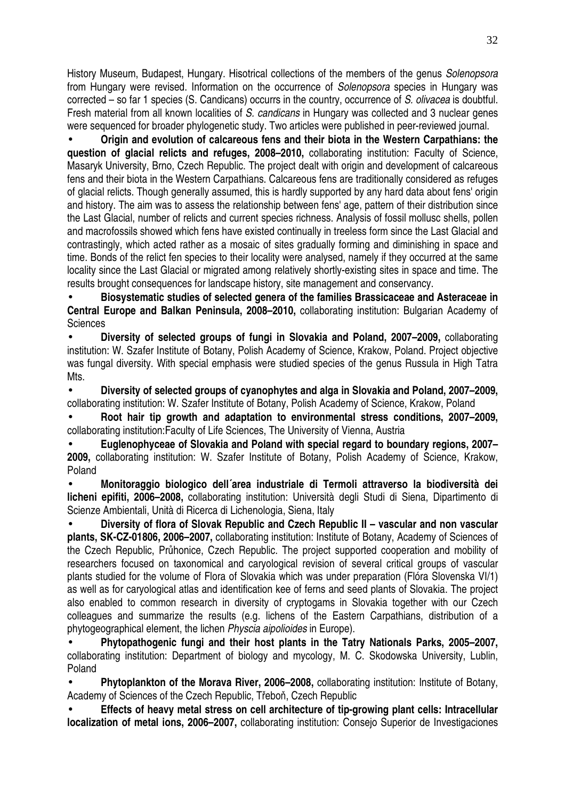History Museum, Budapest, Hungary. Hisotrical collections of the members of the genus Solenopsora from Hungary were revised. Information on the occurrence of Solenopsora species in Hungary was corrected – so far 1 species (S. Candicans) occurrs in the country, occurrence of S. olivacea is doubtful. Fresh material from all known localities of S. candicans in Hungary was collected and 3 nuclear genes were sequenced for broader phylogenetic study. Two articles were published in peer-reviewed journal.

• **Origin and evolution of calcareous fens and their biota in the Western Carpathians: the question of glacial relicts and refuges, 2008–2010,** collaborating institution: Faculty of Science, Masaryk University, Brno, Czech Republic. The project dealt with origin and development of calcareous fens and their biota in the Western Carpathians. Calcareous fens are traditionally considered as refuges of glacial relicts. Though generally assumed, this is hardly supported by any hard data about fens' origin and history. The aim was to assess the relationship between fens' age, pattern of their distribution since the Last Glacial, number of relicts and current species richness. Analysis of fossil mollusc shells, pollen and macrofossils showed which fens have existed continually in treeless form since the Last Glacial and contrastingly, which acted rather as a mosaic of sites gradually forming and diminishing in space and time. Bonds of the relict fen species to their locality were analysed, namely if they occurred at the same locality since the Last Glacial or migrated among relatively shortly-existing sites in space and time. The results brought consequences for landscape history, site management and conservancy.

• **Biosystematic studies of selected genera of the families Brassicaceae and Asteraceae in Central Europe and Balkan Peninsula, 2008–2010,** collaborating institution: Bulgarian Academy of **Sciences** 

• **Diversity of selected groups of fungi in Slovakia and Poland, 2007–2009,** collaborating institution: W. Szafer Institute of Botany, Polish Academy of Science, Krakow, Poland. Project objective was fungal diversity. With special emphasis were studied species of the genus Russula in High Tatra Mts.

• **Diversity of selected groups of cyanophytes and alga in Slovakia and Poland, 2007–2009,**  collaborating institution: W. Szafer Institute of Botany, Polish Academy of Science, Krakow, Poland

• **Root hair tip growth and adaptation to environmental stress conditions, 2007–2009,**  collaborating institution:Faculty of Life Sciences, The University of Vienna, Austria

• **Euglenophyceae of Slovakia and Poland with special regard to boundary regions, 2007– 2009,** collaborating institution: W. Szafer Institute of Botany, Polish Academy of Science, Krakow, Poland

• **Monitoraggio biologico dell´area industriale di Termoli attraverso la biodiversità dei licheni epifiti, 2006–2008,** collaborating institution: Università degli Studi di Siena, Dipartimento di Scienze Ambientali, Unità di Ricerca di Lichenologia, Siena, Italy

• **Diversity of flora of Slovak Republic and Czech Republic II – vascular and non vascular plants, SK-CZ-01806, 2006–2007,** collaborating institution: Institute of Botany, Academy of Sciences of the Czech Republic, Průhonice, Czech Republic. The project supported cooperation and mobility of researchers focused on taxonomical and caryological revision of several critical groups of vascular plants studied for the volume of Flora of Slovakia which was under preparation (Flóra Slovenska VI/1) as well as for caryological atlas and identification kee of ferns and seed plants of Slovakia. The project also enabled to common research in diversity of cryptogams in Slovakia together with our Czech colleagues and summarize the results (e.g. lichens of the Eastern Carpathians, distribution of a phytogeographical element, the lichen Physcia aipolioides in Europe).

• **Phytopathogenic fungi and their host plants in the Tatry Nationals Parks, 2005–2007,** collaborating institution: Department of biology and mycology, M. C. Skodowska University, Lublin, Poland

• **Phytoplankton of the Morava River, 2006–2008,** collaborating institution: Institute of Botany, Academy of Sciences of the Czech Republic, Třeboň, Czech Republic

• **Effects of heavy metal stress on cell architecture of tip-growing plant cells: Intracellular localization of metal ions, 2006–2007,** collaborating institution: Consejo Superior de Investigaciones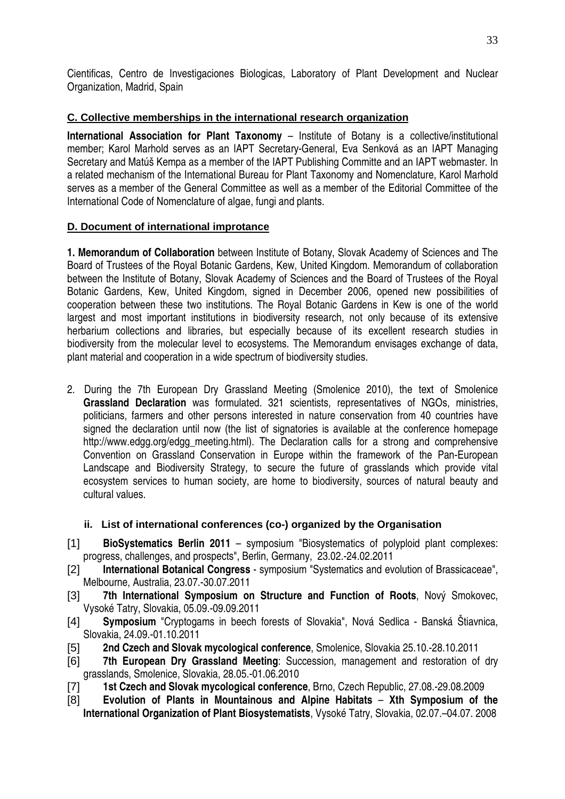Cientificas, Centro de Investigaciones Biologicas, Laboratory of Plant Development and Nuclear Organization, Madrid, Spain

### **C. Collective memberships in the international research organization**

**International Association for Plant Taxonomy** – Institute of Botany is a collective/institutional member; Karol Marhold serves as an IAPT Secretary-General, Eva Senková as an IAPT Managing Secretary and Matúš Kempa as a member of the IAPT Publishing Committe and an IAPT webmaster. In a related mechanism of the International Bureau for Plant Taxonomy and Nomenclature, Karol Marhold serves as a member of the General Committee as well as a member of the Editorial Committee of the International Code of Nomenclature of algae, fungi and plants.

### **D. Document of international improtance**

**1. Memorandum of Collaboration** between Institute of Botany, Slovak Academy of Sciences and The Board of Trustees of the Royal Botanic Gardens, Kew, United Kingdom. Memorandum of collaboration between the Institute of Botany, Slovak Academy of Sciences and the Board of Trustees of the Royal Botanic Gardens, Kew, United Kingdom, signed in December 2006, opened new possibilities of cooperation between these two institutions. The Royal Botanic Gardens in Kew is one of the world largest and most important institutions in biodiversity research, not only because of its extensive herbarium collections and libraries, but especially because of its excellent research studies in biodiversity from the molecular level to ecosystems. The Memorandum envisages exchange of data, plant material and cooperation in a wide spectrum of biodiversity studies.

2. During the 7th European Dry Grassland Meeting (Smolenice 2010), the text of Smolenice **Grassland Declaration** was formulated. 321 scientists, representatives of NGOs, ministries, politicians, farmers and other persons interested in nature conservation from 40 countries have signed the declaration until now (the list of signatories is available at the conference homepage http://www.edgg.org/edgg\_meeting.html). The Declaration calls for a strong and comprehensive Convention on Grassland Conservation in Europe within the framework of the Pan-European Landscape and Biodiversity Strategy, to secure the future of grasslands which provide vital ecosystem services to human society, are home to biodiversity, sources of natural beauty and cultural values.

### **ii. List of international conferences (co-) organized by the Organisation**

- [1] **BioSystematics Berlin 2011**  symposium "Biosystematics of polyploid plant complexes: progress, challenges, and prospects", Berlin, Germany, 23.02.-24.02.2011
- [2] **International Botanical Congress** symposium "Systematics and evolution of Brassicaceae", Melbourne, Australia, 23.07.-30.07.2011
- [3] **7th International Symposium on Structure and Function of Roots**, Nový Smokovec, Vysoké Tatry, Slovakia, 05.09.-09.09.2011
- [4] **Symposium** "Cryptogams in beech forests of Slovakia", Nová Sedlica Banská Štiavnica, Slovakia, 24.09.-01.10.2011
- [5] **2nd Czech and Slovak mycological conference**, Smolenice, Slovakia 25.10.-28.10.2011
- [6] **7th European Dry Grassland Meeting**: Succession, management and restoration of dry grasslands, Smolenice, Slovakia, 28.05.-01.06.2010
- [7] **1st Czech and Slovak mycological conference**, Brno, Czech Republic, 27.08.-29.08.2009
- [8] **Evolution of Plants in Mountainous and Alpine Habitats Xth Symposium of the International Organization of Plant Biosystematists**, Vysoké Tatry, Slovakia, 02.07.–04.07. 2008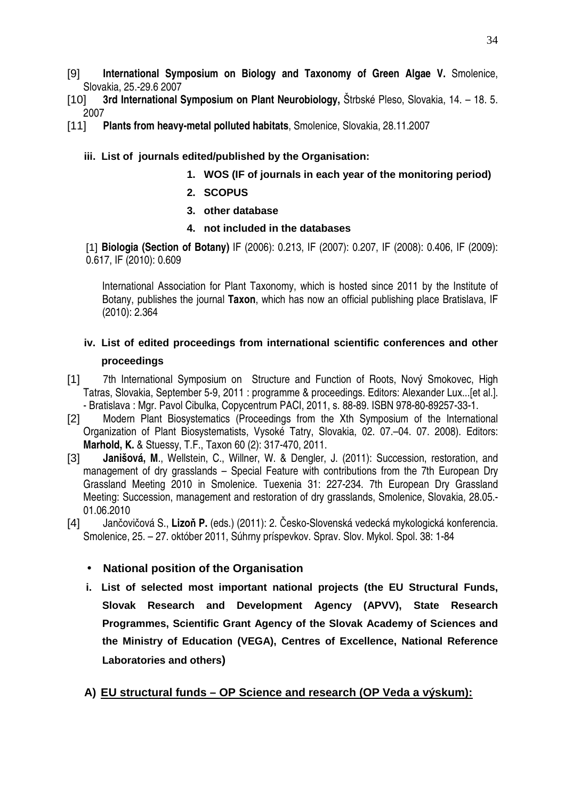- [9] **International Symposium on Biology and Taxonomy of Green Algae V.** Smolenice, Slovakia, 25.-29.6 2007
- [10] **3rd International Symposium on Plant Neurobiology,** Štrbské Pleso, Slovakia, 14. 18. 5. 2007
- [11] **Plants from heavy-metal polluted habitats**, Smolenice, Slovakia, 28.11.2007

### **iii. List of journals edited/published by the Organisation:**

- **1. WOS (IF of journals in each year of the monitoring period)**
- **2. SCOPUS**
- **3. other database**
- **4. not included in the databases**

[1] **Biologia (Section of Botany)** IF (2006): 0.213, IF (2007): 0.207, IF (2008): 0.406, IF (2009): 0.617, IF (2010): 0.609

International Association for Plant Taxonomy, which is hosted since 2011 by the Institute of Botany, publishes the journal **Taxon**, which has now an official publishing place Bratislava, IF (2010): 2.364

### **iv. List of edited proceedings from international scientific conferences and other proceedings**

- [1] 7th International Symposium on Structure and Function of Roots, Nový Smokovec, High Tatras, Slovakia, September 5-9, 2011 : programme & proceedings. Editors: Alexander Lux...[et al.]. - Bratislava : Mgr. Pavol Cibulka, Copycentrum PACI, 2011, s. 88-89. ISBN 978-80-89257-33-1.
- [2] Modern Plant Biosystematics (Proceedings from the Xth Symposium of the International Organization of Plant Biosystematists, Vysoké Tatry, Slovakia, 02. 07.–04. 07. 2008). Editors: **Marhold, K.** & Stuessy, T.F., Taxon 60 (2): 317-470, 2011.
- [3] **Janišová, M**., Wellstein, C., Willner, W. & Dengler, J. (2011): Succession, restoration, and management of dry grasslands – Special Feature with contributions from the 7th European Dry Grassland Meeting 2010 in Smolenice. Tuexenia 31: 227-234. 7th European Dry Grassland Meeting: Succession, management and restoration of dry grasslands, Smolenice, Slovakia, 28.05.- 01.06.2010
- [4] Jančovičová S., **Lizo**ň **P.** (eds.) (2011): 2. Česko-Slovenská vedecká mykologická konferencia. Smolenice, 25. – 27. október 2011, Súhrny príspevkov. Sprav. Slov. Mykol. Spol. 38: 1-84

### • **National position of the Organisation**

**i. List of selected most important national projects (the EU Structural Funds, Slovak Research and Development Agency (APVV), State Research Programmes, Scientific Grant Agency of the Slovak Academy of Sciences and the Ministry of Education (VEGA), Centres of Excellence, National Reference Laboratories and others)**

### **A) EU structural funds – OP Science and research (OP Veda a výskum):**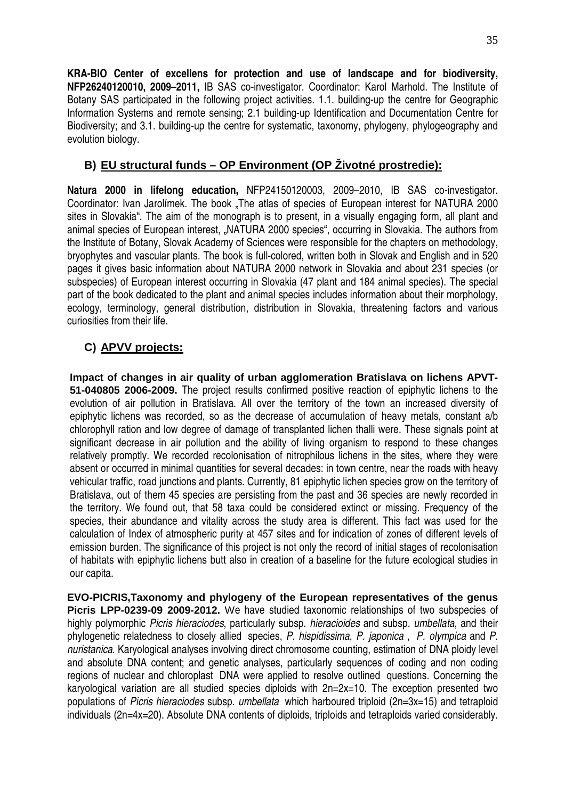**KRA-BIO Center of excellens for protection and use of landscape and for biodiversity, NFP26240120010, 2009–2011,** IB SAS co-investigator. Coordinator: Karol Marhold. The Institute of Botany SAS participated in the following project activities. 1.1. building-up the centre for Geographic Information Systems and remote sensing; 2.1 building-up Identification and Documentation Centre for Biodiversity; and 3.1. building-up the centre for systematic, taxonomy, phylogeny, phylogeography and evolution biology.

### **B) EU structural funds – OP Environment (OP Životné prostredie):**

**Natura 2000 in lifelong education,** NFP24150120003, 2009–2010, IB SAS co-investigator. Coordinator: Ivan Jarolímek. The book . The atlas of species of European interest for NATURA 2000 sites in Slovakia". The aim of the monograph is to present, in a visually engaging form, all plant and animal species of European interest, "NATURA 2000 species", occurring in Slovakia. The authors from the Institute of Botany, Slovak Academy of Sciences were responsible for the chapters on methodology, bryophytes and vascular plants. The book is full-colored, written both in Slovak and English and in 520 pages it gives basic information about NATURA 2000 network in Slovakia and about 231 species (or subspecies) of European interest occurring in Slovakia (47 plant and 184 animal species). The special part of the book dedicated to the plant and animal species includes information about their morphology, ecology, terminology, general distribution, distribution in Slovakia, threatening factors and various curiosities from their life.

### **C) APVV projects:**

**Impact of changes in air quality of urban agglomeration Bratislava on lichens APVT-51-040805 2006-2009.** The project results confirmed positive reaction of epiphytic lichens to the evolution of air pollution in Bratislava. All over the territory of the town an increased diversity of epiphytic lichens was recorded, so as the decrease of accumulation of heavy metals, constant a/b chlorophyll ration and low degree of damage of transplanted lichen thalli were. These signals point at significant decrease in air pollution and the ability of living organism to respond to these changes relatively promptly. We recorded recolonisation of nitrophilous lichens in the sites, where they were absent or occurred in minimal quantities for several decades: in town centre, near the roads with heavy vehicular traffic, road junctions and plants. Currently, 81 epiphytic lichen species grow on the territory of Bratislava, out of them 45 species are persisting from the past and 36 species are newly recorded in the territory. We found out, that 58 taxa could be considered extinct or missing. Frequency of the species, their abundance and vitality across the study area is different. This fact was used for the calculation of Index of atmospheric purity at 457 sites and for indication of zones of different levels of emission burden. The significance of this project is not only the record of initial stages of recolonisation of habitats with epiphytic lichens butt also in creation of a baseline for the future ecological studies in our capita.

**EVO-PICRIS,Taxonomy and phylogeny of the European representatives of the genus Picris LPP-0239-09 2009-2012.** We have studied taxonomic relationships of two subspecies of highly polymorphic Picris hieraciodes, particularly subsp. hieracioides and subsp. umbellata, and their phylogenetic relatedness to closely allied species, P. hispidissima, P. japonica , P. olympica and P. nuristanica. Karyological analyses involving direct chromosome counting, estimation of DNA ploidy level and absolute DNA content; and genetic analyses, particularly sequences of coding and non coding regions of nuclear and chloroplast DNA were applied to resolve outlined questions. Concerning the karyological variation are all studied species diploids with 2n=2x=10. The exception presented two populations of Picris hieraciodes subsp. umbellata which harboured triploid (2n=3x=15) and tetraploid individuals (2n=4x=20). Absolute DNA contents of diploids, triploids and tetraploids varied considerably.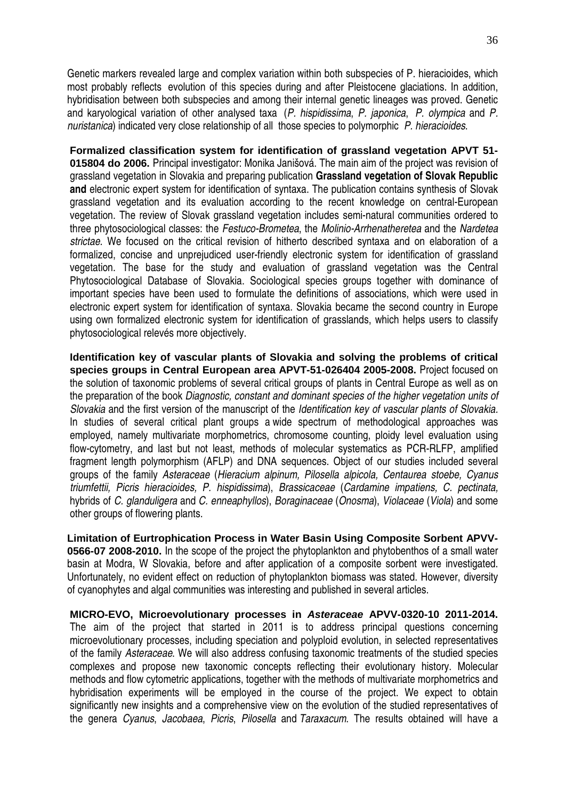Genetic markers revealed large and complex variation within both subspecies of P. hieracioides, which most probably reflects evolution of this species during and after Pleistocene glaciations. In addition, hybridisation between both subspecies and among their internal genetic lineages was proved. Genetic and karyological variation of other analysed taxa (P. hispidissima, P. japonica, P. olympica and P. nuristanica) indicated very close relationship of all those species to polymorphic P. hieracioides.

**Formalized classification system for identification of grassland vegetation APVT 51- 015804 do 2006.** Principal investigator: Monika Janišová. The main aim of the project was revision of grassland vegetation in Slovakia and preparing publication **Grassland vegetation of Slovak Republic and** electronic expert system for identification of syntaxa. The publication contains synthesis of Slovak grassland vegetation and its evaluation according to the recent knowledge on central-European vegetation. The review of Slovak grassland vegetation includes semi-natural communities ordered to three phytosociological classes: the Festuco-Brometea, the Molinio-Arrhenatheretea and the Nardetea strictae. We focused on the critical revision of hitherto described syntaxa and on elaboration of a formalized, concise and unprejudiced user-friendly electronic system for identification of grassland vegetation. The base for the study and evaluation of grassland vegetation was the Central Phytosociological Database of Slovakia. Sociological species groups together with dominance of important species have been used to formulate the definitions of associations, which were used in electronic expert system for identification of syntaxa. Slovakia became the second country in Europe using own formalized electronic system for identification of grasslands, which helps users to classify phytosociological relevés more objectively.

**Identification key of vascular plants of Slovakia and solving the problems of critical species groups in Central European area APVT-51-026404 2005-2008.** Project focused on the solution of taxonomic problems of several critical groups of plants in Central Europe as well as on the preparation of the book Diagnostic, constant and dominant species of the higher vegetation units of Slovakia and the first version of the manuscript of the Identification key of vascular plants of Slovakia. In studies of several critical plant groups a wide spectrum of methodological approaches was employed, namely multivariate morphometrics, chromosome counting, ploidy level evaluation using flow-cytometry, and last but not least, methods of molecular systematics as PCR-RLFP, amplified fragment length polymorphism (AFLP) and DNA sequences. Object of our studies included several groups of the family Asteraceae (Hieracium alpinum, Pilosella alpicola, Centaurea stoebe, Cyanus triumfettii, Picris hieracioides, P. hispidissima), Brassicaceae (Cardamine impatiens, C. pectinata, hybrids of C. glanduligera and C. enneaphyllos), Boraginaceae (Onosma), Violaceae (Viola) and some other groups of flowering plants.

**Limitation of Eurtrophication Process in Water Basin Using Composite Sorbent APVV-0566-07 2008-2010.** In the scope of the project the phytoplankton and phytobenthos of a small water basin at Modra, W Slovakia, before and after application of a composite sorbent were investigated. Unfortunately, no evident effect on reduction of phytoplankton biomass was stated. However, diversity of cyanophytes and algal communities was interesting and published in several articles.

**MICRO-EVO, Microevolutionary processes in Asteraceae APVV-0320-10 2011-2014.**  The aim of the project that started in 2011 is to address principal questions concerning microevolutionary processes, including speciation and polyploid evolution, in selected representatives of the family Asteraceae. We will also address confusing taxonomic treatments of the studied species complexes and propose new taxonomic concepts reflecting their evolutionary history. Molecular methods and flow cytometric applications, together with the methods of multivariate morphometrics and hybridisation experiments will be employed in the course of the project. We expect to obtain significantly new insights and a comprehensive view on the evolution of the studied representatives of the genera *Cyanus, Jacobaea, Picris, Pilosella* and *Taraxacum*. The results obtained will have a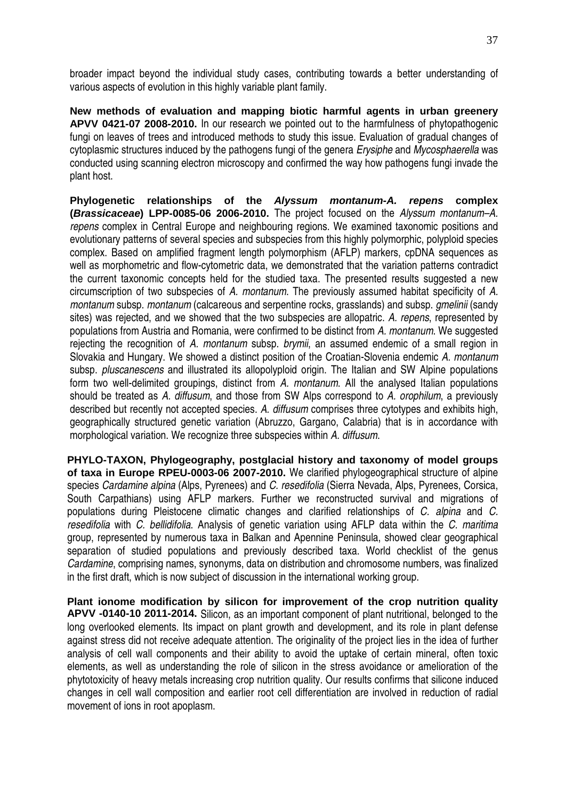broader impact beyond the individual study cases, contributing towards a better understanding of various aspects of evolution in this highly variable plant family.

**New methods of evaluation and mapping biotic harmful agents in urban greenery APVV 0421-07 2008-2010.** In our research we pointed out to the harmfulness of phytopathogenic fungi on leaves of trees and introduced methods to study this issue. Evaluation of gradual changes of cytoplasmic structures induced by the pathogens fungi of the genera Erysiphe and Mycosphaerella was conducted using scanning electron microscopy and confirmed the way how pathogens fungi invade the plant host.

**Phylogenetic relationships of the Alyssum montanum-A. repens complex (Brassicaceae) LPP-0085-06 2006-2010.** The project focused on the Alyssum montanum–A. repens complex in Central Europe and neighbouring regions. We examined taxonomic positions and evolutionary patterns of several species and subspecies from this highly polymorphic, polyploid species complex. Based on amplified fragment length polymorphism (AFLP) markers, cpDNA sequences as well as morphometric and flow-cytometric data, we demonstrated that the variation patterns contradict the current taxonomic concepts held for the studied taxa. The presented results suggested a new circumscription of two subspecies of A. montanum. The previously assumed habitat specificity of A. montanum subsp. montanum (calcareous and serpentine rocks, grasslands) and subsp. *gmelinii* (sandy sites) was rejected, and we showed that the two subspecies are allopatric. A. repens, represented by populations from Austria and Romania, were confirmed to be distinct from A, montanum. We suggested rejecting the recognition of A. montanum subsp. brymii, an assumed endemic of a small region in Slovakia and Hungary. We showed a distinct position of the Croatian-Slovenia endemic A. montanum subsp. *pluscanescens* and illustrated its allopolyploid origin. The Italian and SW Alpine populations form two well-delimited groupings, distinct from A. montanum. All the analysed Italian populations should be treated as A. diffusum, and those from SW Alps correspond to A. *orophilum*, a previously described but recently not accepted species. A. diffusum comprises three cytotypes and exhibits high, geographically structured genetic variation (Abruzzo, Gargano, Calabria) that is in accordance with morphological variation. We recognize three subspecies within A. diffusum.

**PHYLO-TAXON, Phylogeography, postglacial history and taxonomy of model groups of taxa in Europe RPEU-0003-06 2007-2010.** We clarified phylogeographical structure of alpine species Cardamine alpina (Alps, Pyrenees) and C. resedifolia (Sierra Nevada, Alps, Pyrenees, Corsica, South Carpathians) using AFLP markers. Further we reconstructed survival and migrations of populations during Pleistocene climatic changes and clarified relationships of C. alpina and C. resedifolia with C. bellidifolia. Analysis of genetic variation using AFLP data within the C. maritima group, represented by numerous taxa in Balkan and Apennine Peninsula, showed clear geographical separation of studied populations and previously described taxa. World checklist of the genus Cardamine, comprising names, synonyms, data on distribution and chromosome numbers, was finalized in the first draft, which is now subject of discussion in the international working group.

**Plant ionome modification by silicon for improvement of the crop nutrition quality APVV -0140-10 2011-2014.** Silicon, as an important component of plant nutritional, belonged to the long overlooked elements. Its impact on plant growth and development, and its role in plant defense against stress did not receive adequate attention. The originality of the project lies in the idea of further analysis of cell wall components and their ability to avoid the uptake of certain mineral, often toxic elements, as well as understanding the role of silicon in the stress avoidance or amelioration of the phytotoxicity of heavy metals increasing crop nutrition quality. Our results confirms that silicone induced changes in cell wall composition and earlier root cell differentiation are involved in reduction of radial movement of ions in root apoplasm.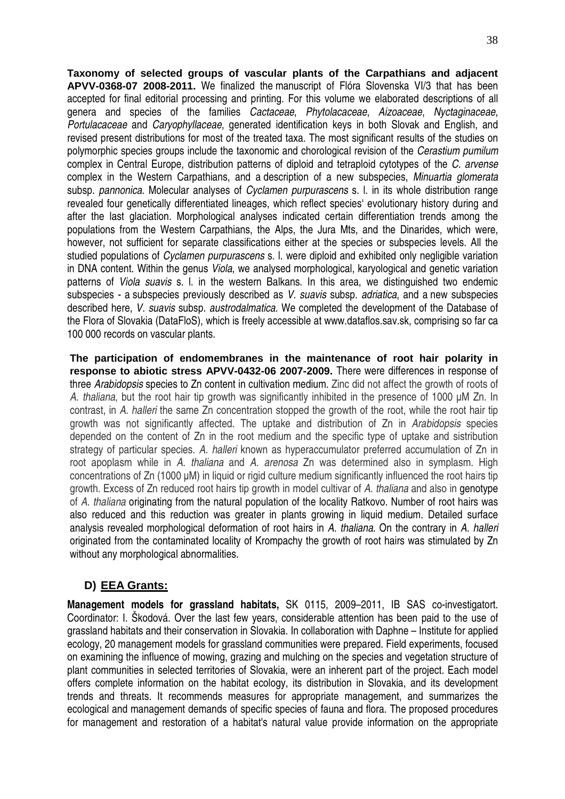38

**Taxonomy of selected groups of vascular plants of the Carpathians and adjacent APVV-0368-07 2008-2011.** We finalized the manuscript of Flóra Slovenska VI/3 that has been accepted for final editorial processing and printing. For this volume we elaborated descriptions of all genera and species of the families Cactaceae, Phytolacaceae, Aizoaceae, Nyctaginaceae, Portulacaceae and Caryophyllaceae, generated identification keys in both Slovak and English, and revised present distributions for most of the treated taxa. The most significant results of the studies on polymorphic species groups include the taxonomic and chorological revision of the Cerastium pumilum complex in Central Europe, distribution patterns of diploid and tetraploid cytotypes of the C. arvense complex in the Western Carpathians, and a description of a new subspecies, Minuartia glomerata subsp. pannonica. Molecular analyses of *Cyclamen purpurascens* s. I. in its whole distribution range revealed four genetically differentiated lineages, which reflect species' evolutionary history during and after the last glaciation. Morphological analyses indicated certain differentiation trends among the populations from the Western Carpathians, the Alps, the Jura Mts, and the Dinarides, which were, however, not sufficient for separate classifications either at the species or subspecies levels. All the studied populations of *Cyclamen purpurascens* s. I. were diploid and exhibited only negligible variation in DNA content. Within the genus Viola, we analysed morphological, karyological and genetic variation patterns of *Viola suavis* s. I, in the western Balkans. In this area, we distinguished two endemic subspecies - a subspecies previously described as V. suavis subsp. adriatica, and a new subspecies described here, V. suavis subsp. austrodalmatica. We completed the development of the Database of the Flora of Slovakia (DataFloS), which is freely accessible at www.dataflos.sav.sk, comprising so far ca 100 000 records on vascular plants.

**The participation of endomembranes in the maintenance of root hair polarity in response to abiotic stress APVV-0432-06 2007-2009.** There were differences in response of three Arabidopsis species to Zn content in cultivation medium. Zinc did not affect the growth of roots of A. thaliana, but the root hair tip growth was significantly inhibited in the presence of 1000 µM Zn. In contrast, in A. halleri the same Zn concentration stopped the growth of the root, while the root hair tip growth was not significantly affected. The uptake and distribution of Zn in Arabidopsis species depended on the content of Zn in the root medium and the specific type of uptake and sistribution strategy of particular species. A. halleri known as hyperaccumulator preferred accumulation of Zn in root apoplasm while in A. thaliana and A. arenosa Zn was determined also in symplasm. High concentrations of Zn (1000 µM) in liquid or rigid culture medium significantly influenced the root hairs tip growth. Excess of Zn reduced root hairs tip growth in model cultivar of A. thaliana and also in genotype of A. thaliana originating from the natural population of the locality Ratkovo. Number of root hairs was also reduced and this reduction was greater in plants growing in liquid medium. Detailed surface analysis revealed morphological deformation of root hairs in A. thaliana. On the contrary in A. halleri originated from the contaminated locality of Krompachy the growth of root hairs was stimulated by Zn without any morphological abnormalities.

## **D) EEA Grants:**

**Management models for grassland habitats,** SK 0115, 2009–2011, IB SAS co-investigatort. Coordinator: I. Škodová. Over the last few years, considerable attention has been paid to the use of grassland habitats and their conservation in Slovakia. In collaboration with Daphne – Institute for applied ecology, 20 management models for grassland communities were prepared. Field experiments, focused on examining the influence of mowing, grazing and mulching on the species and vegetation structure of plant communities in selected territories of Slovakia, were an inherent part of the project. Each model offers complete information on the habitat ecology, its distribution in Slovakia, and its development trends and threats. It recommends measures for appropriate management, and summarizes the ecological and management demands of specific species of fauna and flora. The proposed procedures for management and restoration of a habitat's natural value provide information on the appropriate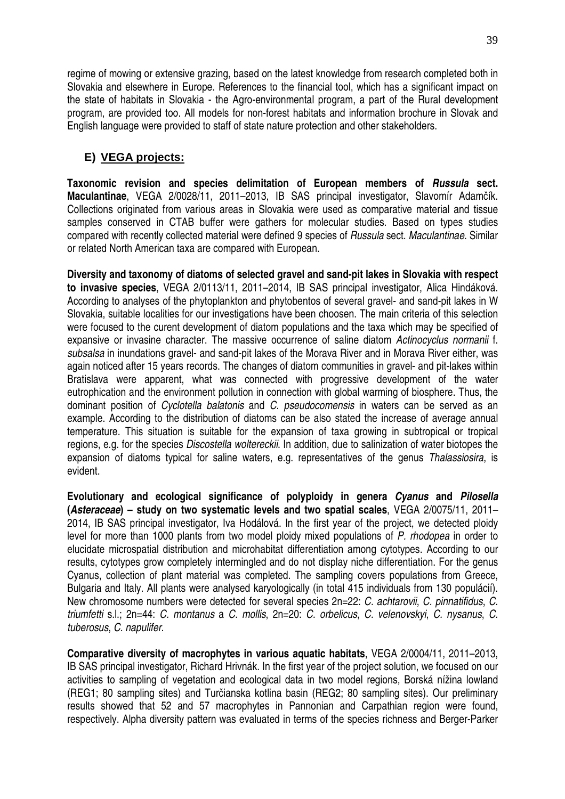regime of mowing or extensive grazing, based on the latest knowledge from research completed both in Slovakia and elsewhere in Europe. References to the financial tool, which has a significant impact on the state of habitats in Slovakia - the Agro-environmental program, a part of the Rural development program, are provided too. All models for non-forest habitats and information brochure in Slovak and English language were provided to staff of state nature protection and other stakeholders.

## **E) VEGA projects:**

**Taxonomic revision and species delimitation of European members of Russula sect. Maculantinae**, VEGA 2/0028/11, 2011–2013, IB SAS principal investigator, Slavomír Adamčík. Collections originated from various areas in Slovakia were used as comparative material and tissue samples conserved in CTAB buffer were gathers for molecular studies. Based on types studies compared with recently collected material were defined 9 species of Russula sect. Maculantinae. Similar or related North American taxa are compared with European.

**Diversity and taxonomy of diatoms of selected gravel and sand-pit lakes in Slovakia with respect to invasive species**, VEGA 2/0113/11, 2011–2014, IB SAS principal investigator, Alica Hindáková. According to analyses of the phytoplankton and phytobentos of several gravel- and sand-pit lakes in W Slovakia, suitable localities for our investigations have been choosen. The main criteria of this selection were focused to the curent development of diatom populations and the taxa which may be specified of expansive or invasine character. The massive occurrence of saline diatom Actinocyclus normanii f. subsalsa in inundations gravel- and sand-pit lakes of the Morava River and in Morava River either, was again noticed after 15 years records. The changes of diatom communities in gravel- and pit-lakes within Bratislava were apparent, what was connected with progressive development of the water eutrophication and the environment pollution in connection with global warming of biosphere. Thus, the dominant position of Cyclotella balatonis and C. pseudocomensis in waters can be served as an example. According to the distribution of diatoms can be also stated the increase of average annual temperature. This situation is suitable for the expansion of taxa growing in subtropical or tropical regions, e.g. for the species Discostella woltereckii. In addition, due to salinization of water biotopes the expansion of diatoms typical for saline waters, e.g. representatives of the genus Thalassiosira, is evident.

**Evolutionary and ecological significance of polyploidy in genera Cyanus and Pilosella (Asteraceae) – study on two systematic levels and two spatial scales**, VEGA 2/0075/11, 2011– 2014, IB SAS principal investigator, Iva Hodálová. In the first year of the project, we detected ploidy level for more than 1000 plants from two model ploidy mixed populations of P. rhodopea in order to elucidate microspatial distribution and microhabitat differentiation among cytotypes. According to our results, cytotypes grow completely intermingled and do not display niche differentiation. For the genus Cyanus, collection of plant material was completed. The sampling covers populations from Greece, Bulgaria and Italy. All plants were analysed karyologically (in total 415 individuals from 130 populácií). New chromosome numbers were detected for several species 2n=22: C. achtarovii, C. pinnatifidus, C. triumfetti s.l.; 2n=44: C. montanus a C. mollis, 2n=20: C. orbelicus, C. velenovskyi, C. nysanus, C. tuberosus, C. napulifer.

**Comparative diversity of macrophytes in various aquatic habitats**, VEGA 2/0004/11, 2011–2013, IB SAS principal investigator, Richard Hrivnák. In the first year of the project solution, we focused on our activities to sampling of vegetation and ecological data in two model regions, Borská nížina lowland (REG1; 80 sampling sites) and Turčianska kotlina basin (REG2; 80 sampling sites). Our preliminary results showed that 52 and 57 macrophytes in Pannonian and Carpathian region were found, respectively. Alpha diversity pattern was evaluated in terms of the species richness and Berger-Parker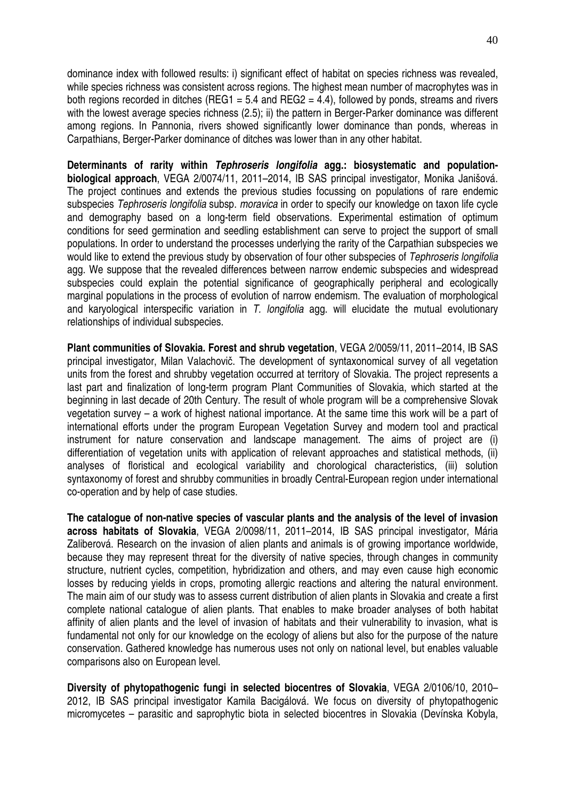dominance index with followed results: i) significant effect of habitat on species richness was revealed, while species richness was consistent across regions. The highest mean number of macrophytes was in both regions recorded in ditches (REG1 = 5.4 and REG2 = 4.4), followed by ponds, streams and rivers with the lowest average species richness (2.5); ii) the pattern in Berger-Parker dominance was different among regions. In Pannonia, rivers showed significantly lower dominance than ponds, whereas in Carpathians, Berger-Parker dominance of ditches was lower than in any other habitat.

**Determinants of rarity within Tephroseris longifolia agg.: biosystematic and populationbiological approach**, VEGA 2/0074/11, 2011–2014, IB SAS principal investigator, Monika Janišová. The project continues and extends the previous studies focussing on populations of rare endemic subspecies Tephroseris longifolia subsp. moravica in order to specify our knowledge on taxon life cycle and demography based on a long-term field observations. Experimental estimation of optimum conditions for seed germination and seedling establishment can serve to project the support of small populations. In order to understand the processes underlying the rarity of the Carpathian subspecies we would like to extend the previous study by observation of four other subspecies of Tephroseris longifolia agg. We suppose that the revealed differences between narrow endemic subspecies and widespread subspecies could explain the potential significance of geographically peripheral and ecologically marginal populations in the process of evolution of narrow endemism. The evaluation of morphological and karyological interspecific variation in T. longifolia agg. will elucidate the mutual evolutionary relationships of individual subspecies.

**Plant communities of Slovakia. Forest and shrub vegetation**, VEGA 2/0059/11, 2011–2014, IB SAS principal investigator, Milan Valachovič. The development of syntaxonomical survey of all vegetation units from the forest and shrubby vegetation occurred at territory of Slovakia. The project represents a last part and finalization of long-term program Plant Communities of Slovakia, which started at the beginning in last decade of 20th Century. The result of whole program will be a comprehensive Slovak vegetation survey – a work of highest national importance. At the same time this work will be a part of international efforts under the program European Vegetation Survey and modern tool and practical instrument for nature conservation and landscape management. The aims of project are (i) differentiation of vegetation units with application of relevant approaches and statistical methods, (ii) analyses of floristical and ecological variability and chorological characteristics, (iii) solution syntaxonomy of forest and shrubby communities in broadly Central-European region under international co-operation and by help of case studies.

**The catalogue of non-native species of vascular plants and the analysis of the level of invasion across habitats of Slovakia**, VEGA 2/0098/11, 2011–2014, IB SAS principal investigator, Mária Zaliberová. Research on the invasion of alien plants and animals is of growing importance worldwide, because they may represent threat for the diversity of native species, through changes in community structure, nutrient cycles, competition, hybridization and others, and may even cause high economic losses by reducing yields in crops, promoting allergic reactions and altering the natural environment. The main aim of our study was to assess current distribution of alien plants in Slovakia and create a first complete national catalogue of alien plants. That enables to make broader analyses of both habitat affinity of alien plants and the level of invasion of habitats and their vulnerability to invasion, what is fundamental not only for our knowledge on the ecology of aliens but also for the purpose of the nature conservation. Gathered knowledge has numerous uses not only on national level, but enables valuable comparisons also on European level.

**Diversity of phytopathogenic fungi in selected biocentres of Slovakia**, VEGA 2/0106/10, 2010– 2012, IB SAS principal investigator Kamila Bacigálová. We focus on diversity of phytopathogenic micromycetes – parasitic and saprophytic biota in selected biocentres in Slovakia (Devínska Kobyla,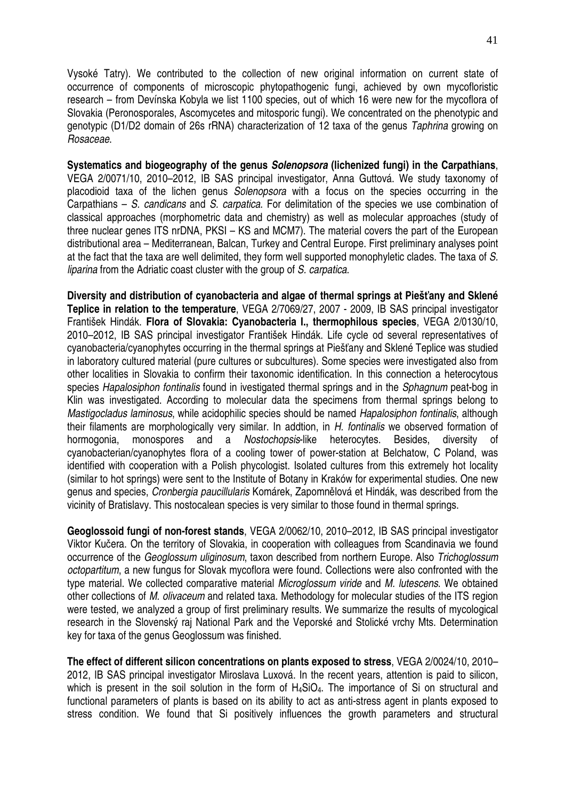Vysoké Tatry). We contributed to the collection of new original information on current state of occurrence of components of microscopic phytopathogenic fungi, achieved by own mycofloristic research – from Devínska Kobyla we list 1100 species, out of which 16 were new for the mycoflora of Slovakia (Peronosporales, Ascomycetes and mitosporic fungi). We concentrated on the phenotypic and genotypic (D1/D2 domain of 26s rRNA) characterization of 12 taxa of the genus Taphrina growing on Rosaceae.

**Systematics and biogeography of the genus Solenopsora (lichenized fungi) in the Carpathians**, VEGA 2/0071/10, 2010–2012, IB SAS principal investigator, Anna Guttová. We study taxonomy of placodioid taxa of the lichen genus Solenopsora with a focus on the species occurring in the Carpathians – S. candicans and S. carpatica. For delimitation of the species we use combination of classical approaches (morphometric data and chemistry) as well as molecular approaches (study of three nuclear genes ITS nrDNA, PKSI – KS and MCM7). The material covers the part of the European distributional area – Mediterranean, Balcan, Turkey and Central Europe. First preliminary analyses point at the fact that the taxa are well delimited, they form well supported monophyletic clades. The taxa of S. liparina from the Adriatic coast cluster with the group of S. carpatica.

**Diversity and distribution of cyanobacteria and algae of thermal springs at Pieš**ť**any and Sklené Teplice in relation to the temperature**, VEGA 2/7069/27, 2007 - 2009, IB SAS principal investigator František Hindák. **Flora of Slovakia: Cyanobacteria I., thermophilous species**, VEGA 2/0130/10, 2010–2012, IB SAS principal investigator František Hindák. Life cycle od several representatives of cyanobacteria/cyanophytes occurring in the thermal springs at Piešťany and Sklené Teplice was studied in laboratory cultured material (pure cultures or subcultures). Some species were investigated also from other localities in Slovakia to confirm their taxonomic identification. In this connection a heterocytous species Hapalosiphon fontinalis found in ivestigated thermal springs and in the Sphagnum peat-bog in Klin was investigated. According to molecular data the specimens from thermal springs belong to Mastigocladus laminosus, while acidophilic species should be named Hapalosiphon fontinalis, although their filaments are morphologically very similar. In addtion, in H. fontinalis we observed formation of hormogonia, monospores and a Nostochopsis-like heterocytes. Besides, diversity cyanobacterian/cyanophytes flora of a cooling tower of power-station at Belchatow, C Poland, was identified with cooperation with a Polish phycologist. Isolated cultures from this extremely hot locality (similar to hot springs) were sent to the Institute of Botany in Kraków for experimental studies. One new genus and species, Cronbergia paucillularis Komárek, Zapomnělová et Hindák, was described from the vicinity of Bratislavy. This nostocalean species is very similar to those found in thermal springs.

**Geoglossoid fungi of non-forest stands**, VEGA 2/0062/10, 2010–2012, IB SAS principal investigator Viktor Kučera. On the territory of Slovakia, in cooperation with colleagues from Scandinavia we found occurrence of the Geoglossum uliginosum, taxon described from northern Europe. Also Trichoglossum octopartitum, a new fungus for Slovak mycoflora were found. Collections were also confronted with the type material. We collected comparative material Microglossum viride and M. lutescens. We obtained other collections of M. olivaceum and related taxa. Methodology for molecular studies of the ITS region were tested, we analyzed a group of first preliminary results. We summarize the results of mycological research in the Slovenský raj National Park and the Veporské and Stolické vrchy Mts. Determination key for taxa of the genus Geoglossum was finished.

**The effect of different silicon concentrations on plants exposed to stress**, VEGA 2/0024/10, 2010– 2012, IB SAS principal investigator Miroslava Luxová. In the recent years, attention is paid to silicon, which is present in the soil solution in the form of H<sub>4</sub>SiO<sub>4</sub>. The importance of Si on structural and functional parameters of plants is based on its ability to act as anti-stress agent in plants exposed to stress condition. We found that Si positively influences the growth parameters and structural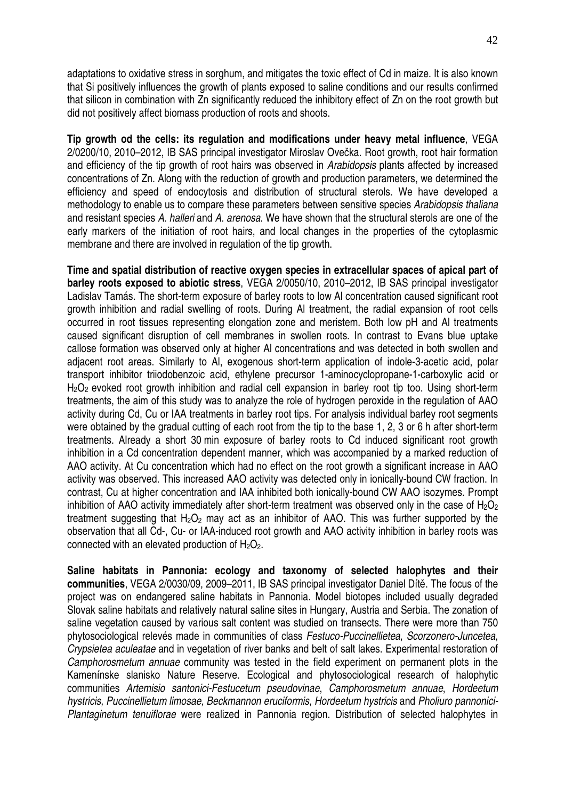adaptations to oxidative stress in sorghum, and mitigates the toxic effect of Cd in maize. It is also known that Si positively influences the growth of plants exposed to saline conditions and our results confirmed that silicon in combination with Zn significantly reduced the inhibitory effect of Zn on the root growth but did not positively affect biomass production of roots and shoots.

**Tip growth od the cells: its regulation and modifications under heavy metal influence**, VEGA 2/0200/10, 2010–2012, IB SAS principal investigator Miroslav Ovečka. Root growth, root hair formation and efficiency of the tip growth of root hairs was observed in Arabidopsis plants affected by increased concentrations of Zn. Along with the reduction of growth and production parameters, we determined the efficiency and speed of endocytosis and distribution of structural sterols. We have developed a methodology to enable us to compare these parameters between sensitive species Arabidopsis thaliana and resistant species A. halleri and A. arenosa. We have shown that the structural sterols are one of the early markers of the initiation of root hairs, and local changes in the properties of the cytoplasmic membrane and there are involved in regulation of the tip growth.

**Time and spatial distribution of reactive oxygen species in extracellular spaces of apical part of barley roots exposed to abiotic stress**, VEGA 2/0050/10, 2010–2012, IB SAS principal investigator Ladislav Tamás. The short-term exposure of barley roots to low Al concentration caused significant root growth inhibition and radial swelling of roots. During Al treatment, the radial expansion of root cells occurred in root tissues representing elongation zone and meristem. Both low pH and Al treatments caused significant disruption of cell membranes in swollen roots. In contrast to Evans blue uptake callose formation was observed only at higher Al concentrations and was detected in both swollen and adjacent root areas. Similarly to Al, exogenous short-term application of indole-3-acetic acid, polar transport inhibitor triiodobenzoic acid, ethylene precursor 1-aminocyclopropane-1-carboxylic acid or H<sub>2</sub>O<sub>2</sub> evoked root growth inhibition and radial cell expansion in barley root tip too. Using short-term treatments, the aim of this study was to analyze the role of hydrogen peroxide in the regulation of AAO activity during Cd, Cu or IAA treatments in barley root tips. For analysis individual barley root segments were obtained by the gradual cutting of each root from the tip to the base 1, 2, 3 or 6 h after short-term treatments. Already a short 30 min exposure of barley roots to Cd induced significant root growth inhibition in a Cd concentration dependent manner, which was accompanied by a marked reduction of AAO activity. At Cu concentration which had no effect on the root growth a significant increase in AAO activity was observed. This increased AAO activity was detected only in ionically-bound CW fraction. In contrast, Cu at higher concentration and IAA inhibited both ionically-bound CW AAO isozymes. Prompt inhibition of AAO activity immediately after short-term treatment was observed only in the case of  $H_2O_2$ treatment suggesting that  $H_2O_2$  may act as an inhibitor of AAO. This was further supported by the observation that all Cd-, Cu- or IAA-induced root growth and AAO activity inhibition in barley roots was connected with an elevated production of  $H_2O_2$ .

**Saline habitats in Pannonia: ecology and taxonomy of selected halophytes and their communities**, VEGA 2/0030/09, 2009–2011, IB SAS principal investigator Daniel Dítě. The focus of the project was on endangered saline habitats in Pannonia. Model biotopes included usually degraded Slovak saline habitats and relatively natural saline sites in Hungary, Austria and Serbia. The zonation of saline vegetation caused by various salt content was studied on transects. There were more than 750 phytosociological relevés made in communities of class Festuco-Puccinellietea, Scorzonero-Juncetea, Crypsietea aculeatae and in vegetation of river banks and belt of salt lakes. Experimental restoration of Camphorosmetum annuae community was tested in the field experiment on permanent plots in the Kamenínske slanisko Nature Reserve. Ecological and phytosociological research of halophytic communities Artemisio santonici-Festucetum pseudovinae, Camphorosmetum annuae, Hordeetum hystricis, Puccinellietum limosae, Beckmannon eruciformis, Hordeetum hystricis and Pholiuro pannonici-Plantaginetum tenuiflorae were realized in Pannonia region. Distribution of selected halophytes in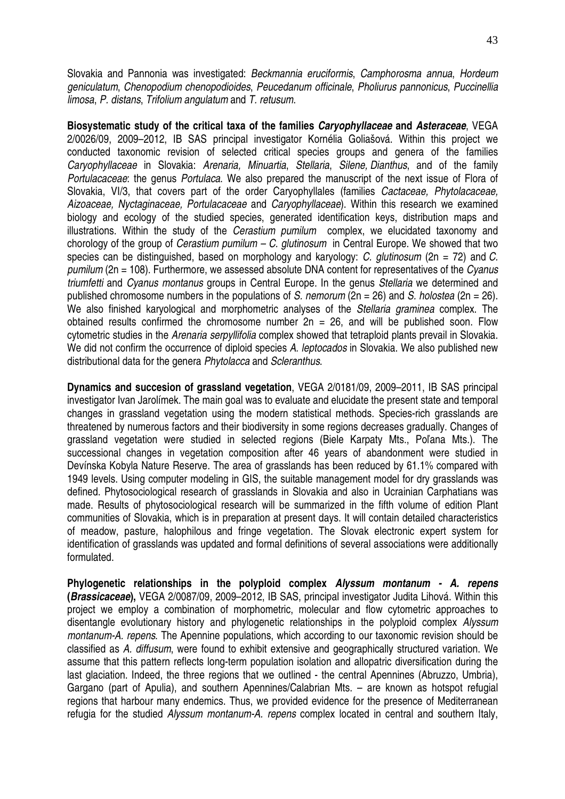Slovakia and Pannonia was investigated: Beckmannia eruciformis, Camphorosma annua, Hordeum geniculatum, Chenopodium chenopodioides, Peucedanum officinale, Pholiurus pannonicus, Puccinellia limosa, P. distans, Trifolium angulatum and T. retusum.

**Biosystematic study of the critical taxa of the families Caryophyllaceae and Asteraceae**, VEGA 2/0026/09, 2009–2012, IB SAS principal investigator Kornélia Goliašová. Within this project we conducted taxonomic revision of selected critical species groups and genera of the families Caryophyllaceae in Slovakia: Arenaria, Minuartia, Stellaria, Silene, Dianthus, and of the family Portulacaceae: the genus Portulaca. We also prepared the manuscript of the next issue of Flora of Slovakia, VI/3, that covers part of the order Caryophyllales (families Cactaceae, Phytolacaceae, Aizoaceae, Nyctaginaceae, Portulacaceae and Caryophyllaceae). Within this research we examined biology and ecology of the studied species, generated identification keys, distribution maps and illustrations. Within the study of the *Cerastium pumilum* complex, we elucidated taxonomy and chorology of the group of *Cerastium pumilum – C. glutinosum* in Central Europe. We showed that two species can be distinguished, based on morphology and karyology: C. glutinosum (2n = 72) and C. pumilum ( $2n = 108$ ). Furthermore, we assessed absolute DNA content for representatives of the Cyanus triumfetti and Cyanus montanus groups in Central Europe. In the genus Stellaria we determined and published chromosome numbers in the populations of S. nemorum ( $2n = 26$ ) and S. holostea ( $2n = 26$ ). We also finished karyological and morphometric analyses of the Stellaria graminea complex. The obtained results confirmed the chromosome number  $2n = 26$ , and will be published soon. Flow cytometric studies in the Arenaria serpyllifolia complex showed that tetraploid plants prevail in Slovakia. We did not confirm the occurrence of diploid species A. leptocados in Slovakia. We also published new distributional data for the genera Phytolacca and Scleranthus.

**Dynamics and succesion of grassland vegetation**, VEGA 2/0181/09, 2009–2011, IB SAS principal investigator Ivan Jarolímek. The main goal was to evaluate and elucidate the present state and temporal changes in grassland vegetation using the modern statistical methods. Species-rich grasslands are threatened by numerous factors and their biodiversity in some regions decreases gradually. Changes of grassland vegetation were studied in selected regions (Biele Karpaty Mts., Poľana Mts.). The successional changes in vegetation composition after 46 years of abandonment were studied in Devínska Kobyla Nature Reserve. The area of grasslands has been reduced by 61.1% compared with 1949 levels. Using computer modeling in GIS, the suitable management model for dry grasslands was defined. Phytosociological research of grasslands in Slovakia and also in Ucrainian Carphatians was made. Results of phytosociological research will be summarized in the fifth volume of edition Plant communities of Slovakia, which is in preparation at present days. It will contain detailed characteristics of meadow, pasture, halophilous and fringe vegetation. The Slovak electronic expert system for identification of grasslands was updated and formal definitions of several associations were additionally formulated.

**Phylogenetic relationships in the polyploid complex Alyssum montanum - A. repens (Brassicaceae),** VEGA 2/0087/09, 2009–2012, IB SAS, principal investigator Judita Lihová. Within this project we employ a combination of morphometric, molecular and flow cytometric approaches to disentangle evolutionary history and phylogenetic relationships in the polyploid complex Alyssum montanum-A. repens. The Apennine populations, which according to our taxonomic revision should be classified as A. diffusum, were found to exhibit extensive and geographically structured variation. We assume that this pattern reflects long-term population isolation and allopatric diversification during the last glaciation. Indeed, the three regions that we outlined - the central Apennines (Abruzzo, Umbria), Gargano (part of Apulia), and southern Apennines/Calabrian Mts. – are known as hotspot refugial regions that harbour many endemics. Thus, we provided evidence for the presence of Mediterranean refugia for the studied Alyssum montanum-A. repens complex located in central and southern Italy,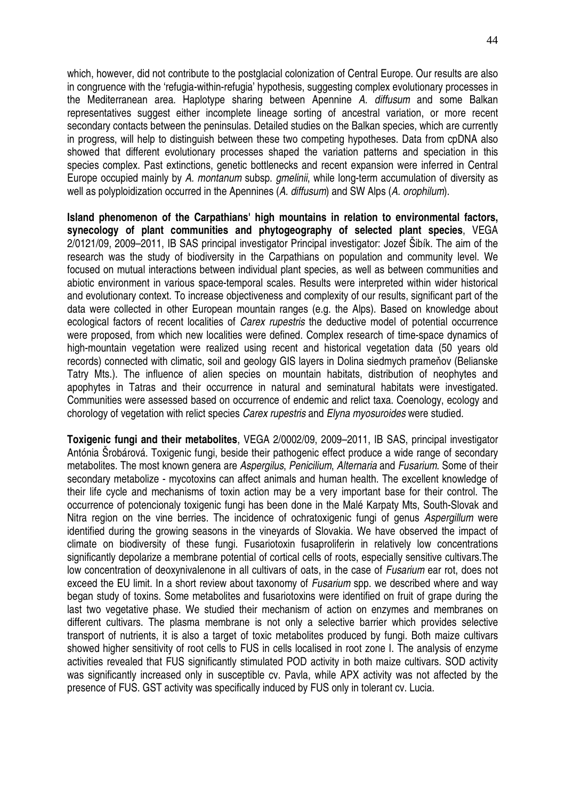which, however, did not contribute to the postglacial colonization of Central Europe. Our results are also in congruence with the 'refugia-within-refugia' hypothesis, suggesting complex evolutionary processes in the Mediterranean area. Haplotype sharing between Apennine A. diffusum and some Balkan representatives suggest either incomplete lineage sorting of ancestral variation, or more recent secondary contacts between the peninsulas. Detailed studies on the Balkan species, which are currently in progress, will help to distinguish between these two competing hypotheses. Data from cpDNA also showed that different evolutionary processes shaped the variation patterns and speciation in this species complex. Past extinctions, genetic bottlenecks and recent expansion were inferred in Central Europe occupied mainly by A. montanum subsp. *gmelinii*, while long-term accumulation of diversity as well as polyploidization occurred in the Apennines (A. diffusum) and SW Alps (A. orophilum).

**Island phenomenon of the Carpathians' high mountains in relation to environmental factors, synecology of plant communities and phytogeography of selected plant species**, VEGA 2/0121/09, 2009–2011, IB SAS principal investigator Principal investigator: Jozef Šibík. The aim of the research was the study of biodiversity in the Carpathians on population and community level. We focused on mutual interactions between individual plant species, as well as between communities and abiotic environment in various space-temporal scales. Results were interpreted within wider historical and evolutionary context. To increase objectiveness and complexity of our results, significant part of the data were collected in other European mountain ranges (e.g. the Alps). Based on knowledge about ecological factors of recent localities of Carex rupestris the deductive model of potential occurrence were proposed, from which new localities were defined. Complex research of time-space dynamics of high-mountain vegetation were realized using recent and historical vegetation data (50 years old records) connected with climatic, soil and geology GIS layers in Dolina siedmych prameňov (Belianske Tatry Mts.). The influence of alien species on mountain habitats, distribution of neophytes and apophytes in Tatras and their occurrence in natural and seminatural habitats were investigated. Communities were assessed based on occurrence of endemic and relict taxa. Coenology, ecology and chorology of vegetation with relict species Carex rupestris and Elyna myosuroides were studied.

**Toxigenic fungi and their metabolites**, VEGA 2/0002/09, 2009–2011, IB SAS, principal investigator Antónia Šrobárová. Toxigenic fungi, beside their pathogenic effect produce a wide range of secondary metabolites. The most known genera are Aspergilus, Penicilium, Alternaria and Fusarium. Some of their secondary metabolize - mycotoxins can affect animals and human health. The excellent knowledge of their life cycle and mechanisms of toxin action may be a very important base for their control. The occurrence of potencionaly toxigenic fungi has been done in the Malé Karpaty Mts, South-Slovak and Nitra region on the vine berries. The incidence of ochratoxigenic fungi of genus Aspergillum were identified during the growing seasons in the vineyards of Slovakia. We have observed the impact of climate on biodiversity of these fungi. Fusariotoxin fusaproliferin in relatively low concentrations significantly depolarize a membrane potential of cortical cells of roots, especially sensitive cultivars. The low concentration of deoxynivalenone in all cultivars of oats, in the case of Fusarium ear rot, does not exceed the EU limit. In a short review about taxonomy of Fusarium spp. we described where and way began study of toxins. Some metabolites and fusariotoxins were identified on fruit of grape during the last two vegetative phase. We studied their mechanism of action on enzymes and membranes on different cultivars. The plasma membrane is not only a selective barrier which provides selective transport of nutrients, it is also a target of toxic metabolites produced by fungi. Both maize cultivars showed higher sensitivity of root cells to FUS in cells localised in root zone I. The analysis of enzyme activities revealed that FUS significantly stimulated POD activity in both maize cultivars. SOD activity was significantly increased only in susceptible cv. Pavla, while APX activity was not affected by the presence of FUS. GST activity was specifically induced by FUS only in tolerant cv. Lucia.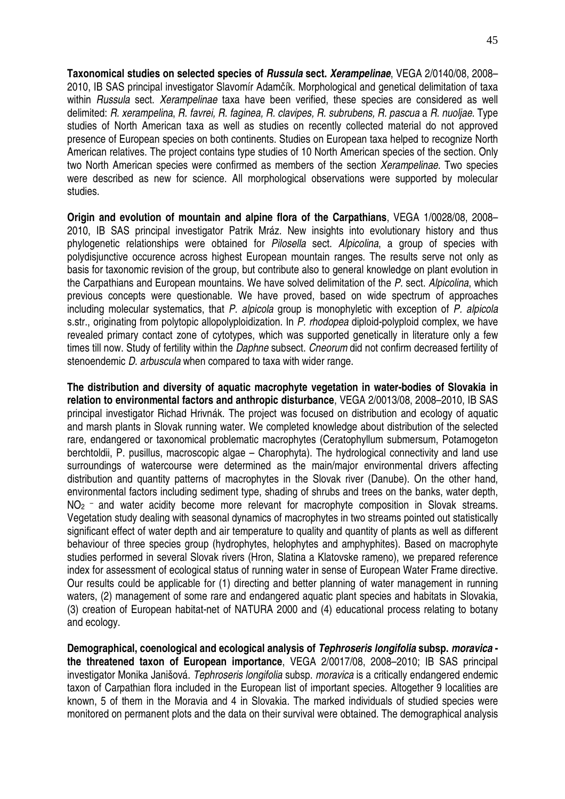**Taxonomical studies on selected species of Russula sect. Xerampelinae**, VEGA 2/0140/08, 2008– 2010, IB SAS principal investigator Slavomír Adamčík. Morphological and genetical delimitation of taxa within Russula sect. Xerampelinae taxa have been verified, these species are considered as well delimited: R. xerampelina, R. favrei, R. faginea, R. clavipes, R. subrubens, R. pascua a R. nuoljae. Type studies of North American taxa as well as studies on recently collected material do not approved presence of European species on both continents. Studies on European taxa helped to recognize North American relatives. The project contains type studies of 10 North American species of the section. Only two North American species were confirmed as members of the section Xerampelinae. Two species were described as new for science. All morphological observations were supported by molecular studies.

**Origin and evolution of mountain and alpine flora of the Carpathians**, VEGA 1/0028/08, 2008– 2010, IB SAS principal investigator Patrik Mráz. New insights into evolutionary history and thus phylogenetic relationships were obtained for Pilosella sect. Alpicolina, a group of species with polydisjunctive occurence across highest European mountain ranges. The results serve not only as basis for taxonomic revision of the group, but contribute also to general knowledge on plant evolution in the Carpathians and European mountains. We have solved delimitation of the P. sect. Alpicolina, which previous concepts were questionable. We have proved, based on wide spectrum of approaches including molecular systematics, that P. alpicola group is monophyletic with exception of P. alpicola s.str., originating from polytopic allopolyploidization. In P. rhodopea diploid-polyploid complex, we have revealed primary contact zone of cytotypes, which was supported genetically in literature only a few times till now. Study of fertility within the *Daphne* subsect. Cneorum did not confirm decreased fertility of stenoendemic *D. arbuscula* when compared to taxa with wider range.

**The distribution and diversity of aquatic macrophyte vegetation in water-bodies of Slovakia in relation to environmental factors and anthropic disturbance**, VEGA 2/0013/08, 2008–2010, IB SAS principal investigator Richad Hrivnák. The project was focused on distribution and ecology of aquatic and marsh plants in Slovak running water. We completed knowledge about distribution of the selected rare, endangered or taxonomical problematic macrophytes (Ceratophyllum submersum, Potamogeton berchtoldii, P. pusillus, macroscopic algae – Charophyta). The hydrological connectivity and land use surroundings of watercourse were determined as the main/major environmental drivers affecting distribution and quantity patterns of macrophytes in the Slovak river (Danube). On the other hand, environmental factors including sediment type, shading of shrubs and trees on the banks, water depth,  $NO<sub>2</sub>$  – and water acidity become more relevant for macrophyte composition in Slovak streams. Vegetation study dealing with seasonal dynamics of macrophytes in two streams pointed out statistically significant effect of water depth and air temperature to quality and quantity of plants as well as different behaviour of three species group (hydrophytes, helophytes and amphyphites). Based on macrophyte studies performed in several Slovak rivers (Hron, Slatina a Klatovske rameno), we prepared reference index for assessment of ecological status of running water in sense of European Water Frame directive. Our results could be applicable for (1) directing and better planning of water management in running waters, (2) management of some rare and endangered aquatic plant species and habitats in Slovakia, (3) creation of European habitat-net of NATURA 2000 and (4) educational process relating to botany and ecology.

**Demographical, coenological and ecological analysis of Tephroseris longifolia subsp. moravica the threatened taxon of European importance**, VEGA 2/0017/08, 2008–2010; IB SAS principal investigator Monika Janišová. Tephroseris longifolia subsp. moravica is a critically endangered endemic taxon of Carpathian flora included in the European list of important species. Altogether 9 localities are known, 5 of them in the Moravia and 4 in Slovakia. The marked individuals of studied species were monitored on permanent plots and the data on their survival were obtained. The demographical analysis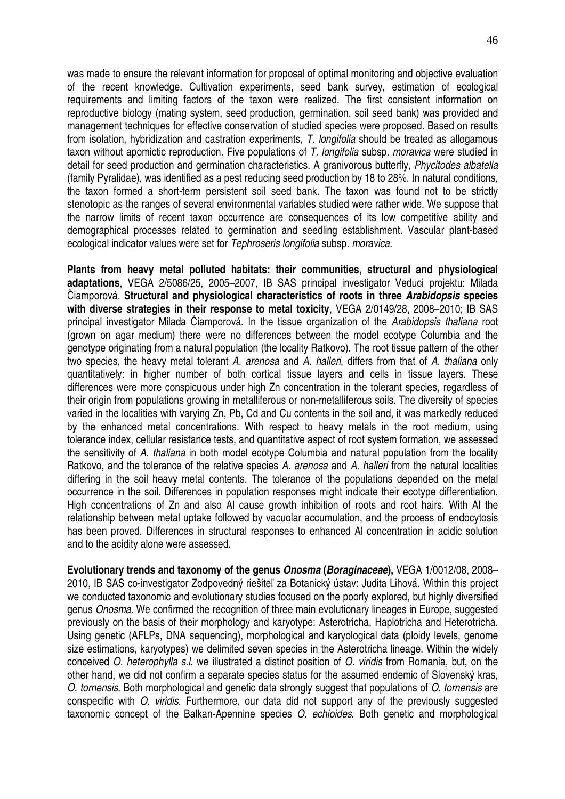was made to ensure the relevant information for proposal of optimal monitoring and objective evaluation of the recent knowledge. Cultivation experiments, seed bank survey, estimation of ecological requirements and limiting factors of the taxon were realized. The first consistent information on reproductive biology (mating system, seed production, germination, soil seed bank) was provided and management techniques for effective conservation of studied species were proposed. Based on results from isolation, hybridization and castration experiments, T. longifolia should be treated as allogamous taxon without apomictic reproduction. Five populations of T. longifolia subsp. moravica were studied in detail for seed production and germination characteristics. A granivorous butterfly, Phycitodes albatella (family Pyralidae), was identified as a pest reducing seed production by 18 to 28%. In natural conditions, the taxon formed a short-term persistent soil seed bank. The taxon was found not to be strictly stenotopic as the ranges of several environmental variables studied were rather wide. We suppose that the narrow limits of recent taxon occurrence are consequences of its low competitive ability and demographical processes related to germination and seedling establishment. Vascular plant-based ecological indicator values were set for Tephroseris longifolia subsp. moravica.

**Plants from heavy metal polluted habitats: their communities, structural and physiological adaptations**, VEGA 2/5086/25, 2005–2007, IB SAS principal investigator Veduci projektu: Milada Čiamporová. **Structural and physiological characteristics of roots in three Arabidopsis species with diverse strategies in their response to metal toxicity**, VEGA 2/0149/28, 2008–2010; IB SAS principal investigator Milada Čiamporová. In the tissue organization of the Arabidopsis thaliana root (grown on agar medium) there were no differences between the model ecotype Columbia and the genotype originating from a natural population (the locality Ratkovo). The root tissue pattern of the other two species, the heavy metal tolerant A. arenosa and A. halleri, differs from that of A. thaliana only quantitatively: in higher number of both cortical tissue layers and cells in tissue layers. These differences were more conspicuous under high Zn concentration in the tolerant species, regardless of their origin from populations growing in metalliferous or non-metalliferous soils. The diversity of species varied in the localities with varying Zn, Pb, Cd and Cu contents in the soil and, it was markedly reduced by the enhanced metal concentrations. With respect to heavy metals in the root medium, using tolerance index, cellular resistance tests, and quantitative aspect of root system formation, we assessed the sensitivity of A. thaliana in both model ecotype Columbia and natural population from the locality Ratkovo, and the tolerance of the relative species A. arenosa and A. halleri from the natural localities differing in the soil heavy metal contents. The tolerance of the populations depended on the metal occurrence in the soil. Differences in population responses might indicate their ecotype differentiation. High concentrations of Zn and also Al cause growth inhibition of roots and root hairs. With Al the relationship between metal uptake followed by vacuolar accumulation, and the process of endocytosis has been proved. Differences in structural responses to enhanced Al concentration in acidic solution and to the acidity alone were assessed.

**Evolutionary trends and taxonomy of the genus Onosma (Boraginaceae),** VEGA 1/0012/08, 2008– 2010, IB SAS co-investigator Zodpovedný riešiteľ za Botanický ústav: Judita Lihová. Within this project we conducted taxonomic and evolutionary studies focused on the poorly explored, but highly diversified genus Onosma. We confirmed the recognition of three main evolutionary lineages in Europe, suggested previously on the basis of their morphology and karyotype: Asterotricha, Haplotricha and Heterotricha. Using genetic (AFLPs, DNA sequencing), morphological and karyological data (ploidy levels, genome size estimations, karyotypes) we delimited seven species in the Asterotricha lineage. Within the widely conceived O. heterophylla s.l. we illustrated a distinct position of O. viridis from Romania, but, on the other hand, we did not confirm a separate species status for the assumed endemic of Slovenský kras, O. tornensis. Both morphological and genetic data strongly suggest that populations of O. tornensis are conspecific with O. viridis. Furthermore, our data did not support any of the previously suggested taxonomic concept of the Balkan-Apennine species O. echioides. Both genetic and morphological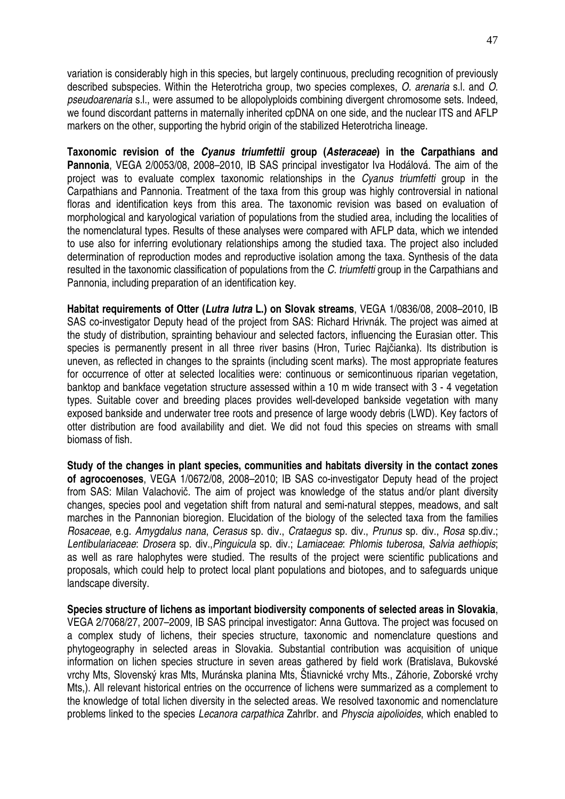variation is considerably high in this species, but largely continuous, precluding recognition of previously described subspecies. Within the Heterotricha group, two species complexes, O. arenaria s.l. and O. pseudoarenaria s.l., were assumed to be allopolyploids combining divergent chromosome sets. Indeed, we found discordant patterns in maternally inherited cpDNA on one side, and the nuclear ITS and AFLP markers on the other, supporting the hybrid origin of the stabilized Heterotricha lineage.

**Taxonomic revision of the Cyanus triumfettii group (Asteraceae) in the Carpathians and Pannonia**, VEGA 2/0053/08, 2008–2010, IB SAS principal investigator Iva Hodálová. The aim of the project was to evaluate complex taxonomic relationships in the Cyanus triumfetti group in the Carpathians and Pannonia. Treatment of the taxa from this group was highly controversial in national floras and identification keys from this area. The taxonomic revision was based on evaluation of morphological and karyological variation of populations from the studied area, including the localities of the nomenclatural types. Results of these analyses were compared with AFLP data, which we intended to use also for inferring evolutionary relationships among the studied taxa. The project also included determination of reproduction modes and reproductive isolation among the taxa. Synthesis of the data resulted in the taxonomic classification of populations from the C. triumfetti group in the Carpathians and Pannonia, including preparation of an identification key.

**Habitat requirements of Otter (Lutra lutra L.) on Slovak streams**, VEGA 1/0836/08, 2008–2010, IB SAS co-investigator Deputy head of the project from SAS: Richard Hrivnák. The project was aimed at the study of distribution, sprainting behaviour and selected factors, influencing the Eurasian otter. This species is permanently present in all three river basins (Hron, Turiec Rajčianka). Its distribution is uneven, as reflected in changes to the spraints (including scent marks). The most appropriate features for occurrence of otter at selected localities were: continuous or semicontinuous riparian vegetation, banktop and bankface vegetation structure assessed within a 10 m wide transect with 3 - 4 vegetation types. Suitable cover and breeding places provides well-developed bankside vegetation with many exposed bankside and underwater tree roots and presence of large woody debris (LWD). Key factors of otter distribution are food availability and diet. We did not foud this species on streams with small biomass of fish.

**Study of the changes in plant species, communities and habitats diversity in the contact zones of agrocoenoses**, VEGA 1/0672/08, 2008–2010; IB SAS co-investigator Deputy head of the project from SAS: Milan Valachovič. The aim of project was knowledge of the status and/or plant diversity changes, species pool and vegetation shift from natural and semi-natural steppes, meadows, and salt marches in the Pannonian bioregion. Elucidation of the biology of the selected taxa from the families Rosaceae, e.g. Amygdalus nana, Cerasus sp. div., Crataegus sp. div., Prunus sp. div., Rosa sp.div.; Lentibulariaceae: Drosera sp. div.,Pinguicula sp. div.; Lamiaceae: Phlomis tuberosa, Salvia aethiopis; as well as rare halophytes were studied. The results of the project were scientific publications and proposals, which could help to protect local plant populations and biotopes, and to safeguards unique landscape diversity.

**Species structure of lichens as important biodiversity components of selected areas in Slovakia**, VEGA 2/7068/27, 2007–2009, IB SAS principal investigator: Anna Guttova. The project was focused on a complex study of lichens, their species structure, taxonomic and nomenclature questions and phytogeography in selected areas in Slovakia. Substantial contribution was acquisition of unique information on lichen species structure in seven areas gathered by field work (Bratislava, Bukovské vrchy Mts, Slovenský kras Mts, Muránska planina Mts, Štiavnické vrchy Mts., Záhorie, Zoborské vrchy Mts,). All relevant historical entries on the occurrence of lichens were summarized as a complement to the knowledge of total lichen diversity in the selected areas. We resolved taxonomic and nomenclature problems linked to the species Lecanora carpathica Zahrlbr. and Physcia aipolioides, which enabled to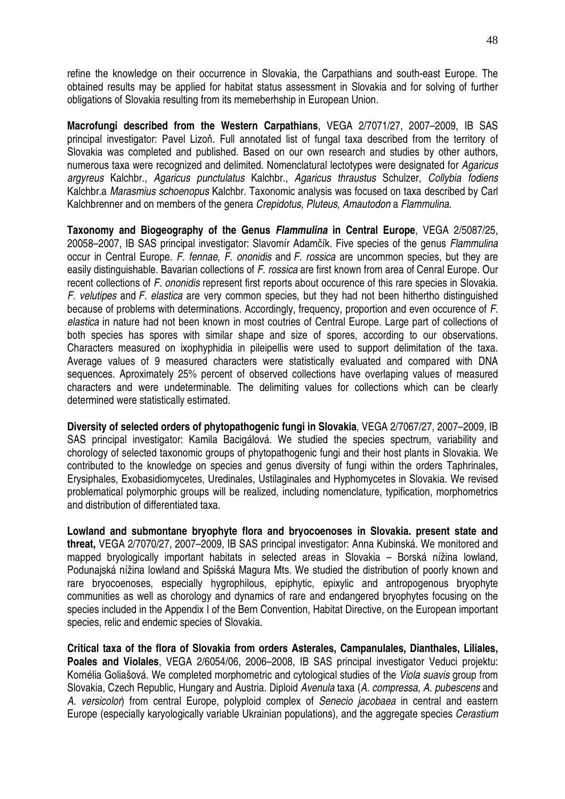refine the knowledge on their occurrence in Slovakia, the Carpathians and south-east Europe. The obtained results may be applied for habitat status assessment in Slovakia and for solving of further obligations of Slovakia resulting from its memeberhship in European Union.

**Macrofungi described from the Western Carpathians**, VEGA 2/7071/27, 2007–2009, IB SAS principal investigator: Pavel Lizoň. Full annotated list of fungal taxa described from the territory of Slovakia was completed and published. Based on our own research and studies by other authors, numerous taxa were recognized and delimited. Nomenclatural lectotypes were designated for Agaricus argyreus Kalchbr., Agaricus punctulatus Kalchbr., Agaricus thraustus Schulzer, Collybia fodiens Kalchbr.a Marasmius schoenopus Kalchbr. Taxonomic analysis was focused on taxa described by Carl Kalchbrenner and on members of the genera Crepidotus, Pluteus, Amautodon a Flammulina.

**Taxonomy and Biogeography of the Genus Flammulina in Central Europe**, VEGA 2/5087/25, 20058–2007, IB SAS principal investigator: Slavomír Adamčík. Five species of the genus Flammulina occur in Central Europe. F. fennae, F. ononidis and F. rossica are uncommon species, but they are easily distinguishable. Bavarian collections of F. rossica are first known from area of Cenral Europe. Our recent collections of F. ononidis represent first reports about occurence of this rare species in Slovakia. F. velutipes and F. elastica are very common species, but they had not been hithertho distinguished because of problems with determinations. Accordingly, frequency, proportion and even occurence of F. elastica in nature had not been known in most coutries of Central Europe. Large part of collections of both species has spores with similar shape and size of spores, according to our observations. Characters measured on ixophyphidia in pileipellis were used to support delimitation of the taxa. Average values of 9 measured characters were statistically evaluated and compared with DNA sequences. Aproximately 25% percent of observed collections have overlaping values of measured characters and were undeterminable. The delimiting values for collections which can be clearly determined were statistically estimated.

**Diversity of selected orders of phytopathogenic fungi in Slovakia**, VEGA 2/7067/27, 2007–2009, IB SAS principal investigator: Kamila Bacigálová. We studied the species spectrum, variability and chorology of selected taxonomic groups of phytopathogenic fungi and their host plants in Slovakia. We contributed to the knowledge on species and genus diversity of fungi within the orders Taphrinales, Erysiphales, Exobasidiomycetes, Uredinales, Ustilaginales and Hyphomycetes in Slovakia. We revised problematical polymorphic groups will be realized, including nomenclature, typification, morphometrics and distribution of differentiated taxa.

**Lowland and submontane bryophyte flora and bryocoenoses in Slovakia. present state and threat,** VEGA 2/7070/27, 2007–2009, IB SAS principal investigator: Anna Kubinská. We monitored and mapped bryologically important habitats in selected areas in Slovakia – Borská nížina lowland, Podunajská nížina lowland and Spišská Magura Mts. We studied the distribution of poorly known and rare bryocoenoses, especially hygrophilous, epiphytic, epixylic and antropogenous bryophyte communities as well as chorology and dynamics of rare and endangered bryophytes focusing on the species included in the Appendix I of the Bern Convention, Habitat Directive, on the European important species, relic and endemic species of Slovakia.

**Critical taxa of the flora of Slovakia from orders Asterales, Campanulales, Dianthales, Liliales, Poales and Violales**, VEGA 2/6054/06, 2006–2008, IB SAS principal investigator Veduci projektu: Kornélia Goliašová. We completed morphometric and cytological studies of the Viola suavis group from Slovakia, Czech Republic, Hungary and Austria. Diploid Avenula taxa (A. compressa, A. pubescens and A. versicolor) from central Europe, polyploid complex of Senecio jacobaea in central and eastern Europe (especially karyologically variable Ukrainian populations), and the aggregate species Cerastium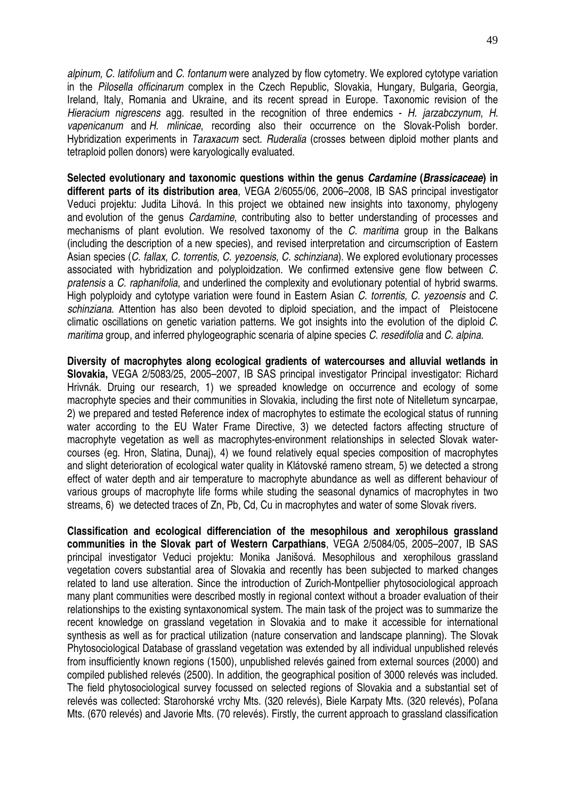alpinum, C. latifolium and C. fontanum were analyzed by flow cytometry. We explored cytotype variation in the Pilosella officinarum complex in the Czech Republic, Slovakia, Hungary, Bulgaria, Georgia, Ireland, Italy, Romania and Ukraine, and its recent spread in Europe. Taxonomic revision of the Hieracium nigrescens agg. resulted in the recognition of three endemics - H. jarzabczynum, H. vapenicanum and H. mlinicae, recording also their occurrence on the Slovak-Polish border. Hybridization experiments in Taraxacum sect. Ruderalia (crosses between diploid mother plants and tetraploid pollen donors) were karyologically evaluated.

**Selected evolutionary and taxonomic questions within the genus Cardamine (Brassicaceae) in different parts of its distribution area**, VEGA 2/6055/06, 2006–2008, IB SAS principal investigator Veduci projektu: Judita Lihová. In this project we obtained new insights into taxonomy, phylogeny and evolution of the genus Cardamine, contributing also to better understanding of processes and mechanisms of plant evolution. We resolved taxonomy of the C. maritima group in the Balkans (including the description of a new species), and revised interpretation and circumscription of Eastern Asian species (C. fallax, C. torrentis, C. yezoensis, C. schinziana). We explored evolutionary processes associated with hybridization and polyploidzation. We confirmed extensive gene flow between C. pratensis a C. raphanifolia, and underlined the complexity and evolutionary potential of hybrid swarms. High polyploidy and cytotype variation were found in Eastern Asian C. torrentis, C. yezoensis and C. schinziana. Attention has also been devoted to diploid speciation, and the impact of Pleistocene climatic oscillations on genetic variation patterns. We got insights into the evolution of the diploid C. maritima group, and inferred phylogeographic scenaria of alpine species C. resedifolia and C. alpina.

**Diversity of macrophytes along ecological gradients of watercourses and alluvial wetlands in Slovakia,** VEGA 2/5083/25, 2005–2007, IB SAS principal investigator Principal investigator: Richard Hrivnák. Druing our research, 1) we spreaded knowledge on occurrence and ecology of some macrophyte species and their communities in Slovakia, including the first note of Nitelletum syncarpae, 2) we prepared and tested Reference index of macrophytes to estimate the ecological status of running water according to the EU Water Frame Directive, 3) we detected factors affecting structure of macrophyte vegetation as well as macrophytes-environment relationships in selected Slovak watercourses (eg. Hron, Slatina, Dunaj), 4) we found relatively equal species composition of macrophytes and slight deterioration of ecological water quality in Klátovské rameno stream, 5) we detected a strong effect of water depth and air temperature to macrophyte abundance as well as different behaviour of various groups of macrophyte life forms while studing the seasonal dynamics of macrophytes in two streams, 6) we detected traces of Zn, Pb, Cd, Cu in macrophytes and water of some Slovak rivers.

**Classification and ecological differenciation of the mesophilous and xerophilous grassland communities in the Slovak part of Western Carpathians**, VEGA 2/5084/05, 2005–2007, IB SAS principal investigator Veduci projektu: Monika Janišová. Mesophilous and xerophilous grassland vegetation covers substantial area of Slovakia and recently has been subjected to marked changes related to land use alteration. Since the introduction of Zurich-Montpellier phytosociological approach many plant communities were described mostly in regional context without a broader evaluation of their relationships to the existing syntaxonomical system. The main task of the project was to summarize the recent knowledge on grassland vegetation in Slovakia and to make it accessible for international synthesis as well as for practical utilization (nature conservation and landscape planning). The Slovak Phytosociological Database of grassland vegetation was extended by all individual unpublished relevés from insufficiently known regions (1500), unpublished relevés gained from external sources (2000) and compiled published relevés (2500). In addition, the geographical position of 3000 relevés was included. The field phytosociological survey focussed on selected regions of Slovakia and a substantial set of relevés was collected: Starohorské vrchy Mts. (320 relevés), Biele Karpaty Mts. (320 relevés), Poľana Mts. (670 relevés) and Javorie Mts. (70 relevés). Firstly, the current approach to grassland classification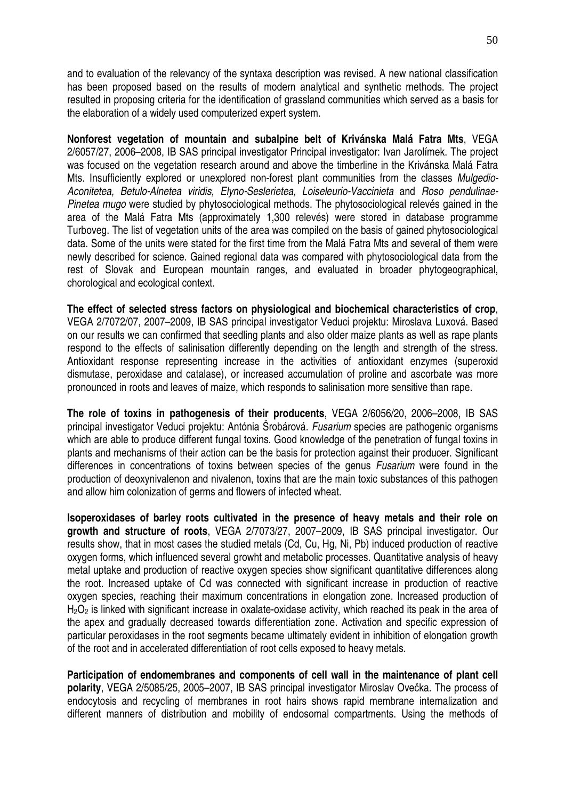and to evaluation of the relevancy of the syntaxa description was revised. A new national classification has been proposed based on the results of modern analytical and synthetic methods. The project resulted in proposing criteria for the identification of grassland communities which served as a basis for the elaboration of a widely used computerized expert system.

**Nonforest vegetation of mountain and subalpine belt of Krivánska Malá Fatra Mts**, VEGA 2/6057/27, 2006–2008, IB SAS principal investigator Principal investigator: Ivan Jarolímek. The project was focused on the vegetation research around and above the timberline in the Krivánska Malá Fatra Mts. Insufficiently explored or unexplored non-forest plant communities from the classes Mulgedio-Aconitetea, Betulo-Alnetea viridis, Elyno-Seslerietea, Loiseleurio-Vaccinieta and Roso pendulinae-Pinetea mugo were studied by phytosociological methods. The phytosociological relevés gained in the area of the Malá Fatra Mts (approximately 1,300 relevés) were stored in database programme Turboveg. The list of vegetation units of the area was compiled on the basis of gained phytosociological data. Some of the units were stated for the first time from the Malá Fatra Mts and several of them were newly described for science. Gained regional data was compared with phytosociological data from the rest of Slovak and European mountain ranges, and evaluated in broader phytogeographical, chorological and ecological context.

**The effect of selected stress factors on physiological and biochemical characteristics of crop**, VEGA 2/7072/07, 2007–2009, IB SAS principal investigator Veduci projektu: Miroslava Luxová. Based on our results we can confirmed that seedling plants and also older maize plants as well as rape plants respond to the effects of salinisation differently depending on the length and strength of the stress. Antioxidant response representing increase in the activities of antioxidant enzymes (superoxid dismutase, peroxidase and catalase), or increased accumulation of proline and ascorbate was more pronounced in roots and leaves of maize, which responds to salinisation more sensitive than rape.

**The role of toxins in pathogenesis of their producents**, VEGA 2/6056/20, 2006–2008, IB SAS principal investigator Veduci projektu: Antónia Šrobárová. Fusarium species are pathogenic organisms which are able to produce different fungal toxins. Good knowledge of the penetration of fungal toxins in plants and mechanisms of their action can be the basis for protection against their producer. Significant differences in concentrations of toxins between species of the genus Fusarium were found in the production of deoxynivalenon and nivalenon, toxins that are the main toxic substances of this pathogen and allow him colonization of germs and flowers of infected wheat.

**Isoperoxidases of barley roots cultivated in the presence of heavy metals and their role on growth and structure of roots**, VEGA 2/7073/27, 2007–2009, IB SAS principal investigator. Our results show, that in most cases the studied metals (Cd, Cu, Hg, Ni, Pb) induced production of reactive oxygen forms, which influenced several growht and metabolic processes. Quantitative analysis of heavy metal uptake and production of reactive oxygen species show significant quantitative differences along the root. Increased uptake of Cd was connected with significant increase in production of reactive oxygen species, reaching their maximum concentrations in elongation zone. Increased production of  $H_2O_2$  is linked with significant increase in oxalate-oxidase activity, which reached its peak in the area of the apex and gradually decreased towards differentiation zone. Activation and specific expression of particular peroxidases in the root segments became ultimately evident in inhibition of elongation growth of the root and in accelerated differentiation of root cells exposed to heavy metals.

**Participation of endomembranes and components of cell wall in the maintenance of plant cell polarity**, VEGA 2/5085/25, 2005–2007, IB SAS principal investigator Miroslav Ovečka. The process of endocytosis and recycling of membranes in root hairs shows rapid membrane internalization and different manners of distribution and mobility of endosomal compartments. Using the methods of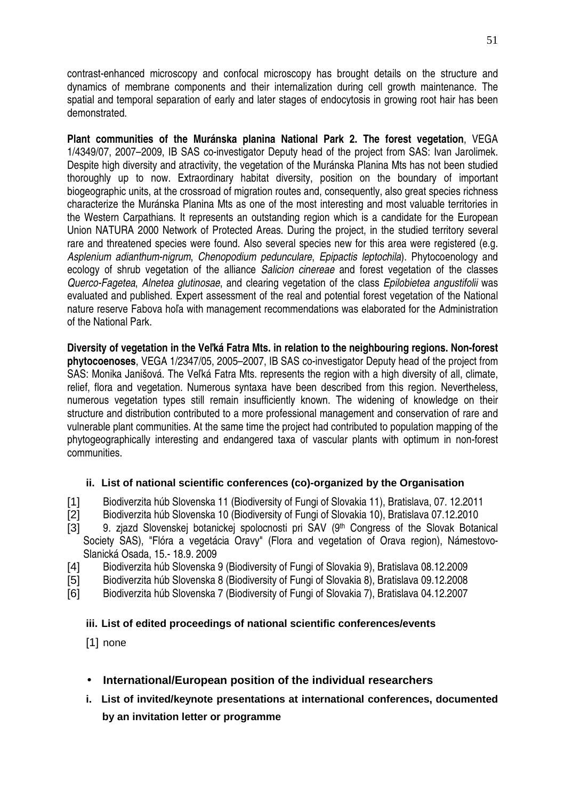contrast-enhanced microscopy and confocal microscopy has brought details on the structure and dynamics of membrane components and their internalization during cell growth maintenance. The spatial and temporal separation of early and later stages of endocytosis in growing root hair has been demonstrated.

**Plant communities of the Muránska planina National Park 2. The forest vegetation**, VEGA 1/4349/07, 2007–2009, IB SAS co-investigator Deputy head of the project from SAS: Ivan Jarolimek. Despite high diversity and atractivity, the vegetation of the Muránska Planina Mts has not been studied thoroughly up to now. Extraordinary habitat diversity, position on the boundary of important biogeographic units, at the crossroad of migration routes and, consequently, also great species richness characterize the Muránska Planina Mts as one of the most interesting and most valuable territories in the Western Carpathians. It represents an outstanding region which is a candidate for the European Union NATURA 2000 Network of Protected Areas. During the project, in the studied territory several rare and threatened species were found. Also several species new for this area were registered (e.g. Asplenium adianthum-nigrum, Chenopodium pedunculare, Epipactis leptochila). Phytocoenology and ecology of shrub vegetation of the alliance Salicion cinereae and forest vegetation of the classes Querco-Fagetea, Alnetea glutinosae, and clearing vegetation of the class Epilobietea angustifolii was evaluated and published. Expert assessment of the real and potential forest vegetation of the National nature reserve Fabova hoľa with management recommendations was elaborated for the Administration of the National Park.

**Diversity of vegetation in the Ve**ľ**ká Fatra Mts. in relation to the neighbouring regions. Non-forest phytocoenoses**, VEGA 1/2347/05, 2005–2007, IB SAS co-investigator Deputy head of the project from SAS: Monika Janišová. The Veľká Fatra Mts. represents the region with a high diversity of all, climate, relief, flora and vegetation. Numerous syntaxa have been described from this region. Nevertheless, numerous vegetation types still remain insufficiently known. The widening of knowledge on their structure and distribution contributed to a more professional management and conservation of rare and vulnerable plant communities. At the same time the project had contributed to population mapping of the phytogeographically interesting and endangered taxa of vascular plants with optimum in non-forest communities.

#### **ii. List of national scientific conferences (co)-organized by the Organisation**

- [1] Biodiverzita húb Slovenska 11 (Biodiversity of Fungi of Slovakia 11), Bratislava, 07. 12.2011
- [2] Biodiverzita húb Slovenska 10 (Biodiversity of Fungi of Slovakia 10), Bratislava 07.12.2010
- [3] 9. zjazd Slovenskej botanickej spolocnosti pri SAV (9th Congress of the Slovak Botanical Society SAS), "Flóra a vegetácia Oravy" (Flora and vegetation of Orava region), Námestovo-Slanická Osada, 15.- 18.9. 2009
- [4] Biodiverzita húb Slovenska 9 (Biodiversity of Fungi of Slovakia 9), Bratislava 08.12.2009
- [5] Biodiverzita húb Slovenska 8 (Biodiversity of Fungi of Slovakia 8), Bratislava 09.12.2008
- [6] Biodiverzita húb Slovenska 7 (Biodiversity of Fungi of Slovakia 7), Bratislava 04.12.2007

#### **iii. List of edited proceedings of national scientific conferences/events**

[1] none

- **International/European position of the individual researchers**
- **i. List of invited/keynote presentations at international conferences, documented by an invitation letter or programme**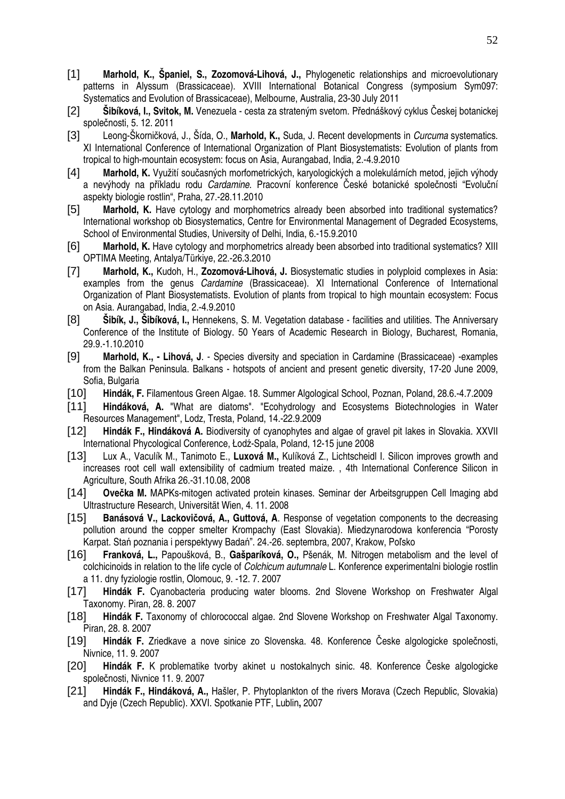- [1] **Marhold, K., Španiel, S., Zozomová-Lihová, J.,** Phylogenetic relationships and microevolutionary patterns in Alyssum (Brassicaceae). XVIII International Botanical Congress (symposium Sym097: Systematics and Evolution of Brassicaceae), Melbourne, Australia, 23-30 July 2011
- [2] **Šibíková, I., Svitok, M.** Venezuela cesta za strateným svetom. Přednáškový cyklus Českej botanickej společnosti, 5. 12. 2011
- [3] Leong-Škorničková, J., Šída, O., **Marhold, K.,** Suda, J. Recent developments in Curcuma systematics. XI International Conference of International Organization of Plant Biosystematists: Evolution of plants from tropical to high-mountain ecosystem: focus on Asia, Aurangabad, India, 2.-4.9.2010
- [4] **Marhold, K.** Využití současných morfometrických, karyologických a molekulárních metod, jejich výhody a nevýhody na příkladu rodu Cardamine. Pracovní konference České botanické společnosti "Evoluční aspekty biologie rostlin", Praha, 27.-28.11.2010
- [5] **Marhold, K.** Have cytology and morphometrics already been absorbed into traditional systematics? International workshop ob Biosystematics, Centre for Environmental Management of Degraded Ecosystems, School of Environmental Studies, University of Delhi, India, 6.-15.9.2010
- [6] **Marhold, K.** Have cytology and morphometrics already been absorbed into traditional systematics? XIII OPTIMA Meeting, Antalya/Türkiye, 22.-26.3.2010
- [7] **Marhold, K.,** Kudoh, H., **Zozomová-Lihová, J.** Biosystematic studies in polyploid complexes in Asia: examples from the genus Cardamine (Brassicaceae). XI International Conference of International Organization of Plant Biosystematists. Evolution of plants from tropical to high mountain ecosystem: Focus on Asia. Aurangabad, India, 2.-4.9.2010
- [8] **Šibík, J., Šibíková, I.,** Hennekens, S. M. Vegetation database facilities and utilities. The Anniversary Conference of the Institute of Biology. 50 Years of Academic Research in Biology, Bucharest, Romania, 29.9.-1.10.2010
- [9] **Marhold, K., Lihová, J**. Species diversity and speciation in Cardamine (Brassicaceae) -examples from the Balkan Peninsula. Balkans - hotspots of ancient and present genetic diversity, 17-20 June 2009, Sofia, Bulgaria
- [10] **Hindák, F.** Filamentous Green Algae. 18. Summer Algological School, Poznan, Poland, 28.6.-4.7.2009
- [11] **Hindáková, A.** "What are diatoms". "Ecohydrology and Ecosystems Biotechnologies in Water Resources Management", Lodz, Tresta, Poland, 14.-22.9.2009
- [12] **Hindák F., Hindáková A.** Biodiversity of cyanophytes and algae of gravel pit lakes in Slovakia. XXVII International Phycological Conference, Łodź-Spala, Poland, 12-15 june 2008
- [13] Lux A., Vaculík M., Tanimoto E., **Luxová M.,** Kulíková Z., Lichtscheidl I. Silicon improves growth and increases root cell wall extensibility of cadmium treated maize. , 4th International Conference Silicon in Agriculture, South Afrika 26.-31.10.08, 2008
- [14] **Ove**č**ka M.** MAPKs-mitogen activated protein kinases. Seminar der Arbeitsgruppen Cell Imaging abd Ultrastructure Research, Universität Wien, 4. 11. 2008
- [15] **Banásová V., Lackovi**č**ová, A., Guttová, A**. Response of vegetation components to the decreasing pollution around the copper smelter Krompachy (East Slovakia). Miedzynarodowa konferencia "Porosty Karpat. Stań poznania i perspektywy Badań". 24.-26. septembra, 2007, Krakow, Poľsko
- [16] **Franková, L.,** Papoušková, B., **Gašparíková, O.,** Pšenák, M. Nitrogen metabolism and the level of colchicinoids in relation to the life cycle of Colchicum autumnale L. Konference experimentalni biologie rostlin a 11. dny fyziologie rostlin, Olomouc, 9. -12. 7. 2007
- [17] **Hindák F.** Cyanobacteria producing water blooms. 2nd Slovene Workshop on Freshwater Algal Taxonomy. Piran, 28. 8. 2007
- [18] Hindák F. Taxonomy of chlorococcal algae. 2nd Slovene Workshop on Freshwater Algal Taxonomy. Piran, 28. 8. 2007
- [19] **Hindák F.** Zriedkave a nove sinice zo Slovenska. 48. Konference Česke algologicke společnosti, Nivnice, 11. 9. 2007
- [20] **Hindák F.** K problematike tvorby akinet u nostokalnych sinic. 48. Konference Česke algologicke společnosti, Nivnice 11. 9. 2007
- [21] **Hindák F., Hindáková, A.,** Hašler, P. Phytoplankton of the rivers Morava (Czech Republic, Slovakia) and Dyje (Czech Republic). XXVI. Spotkanie PTF, Lublin**,** 2007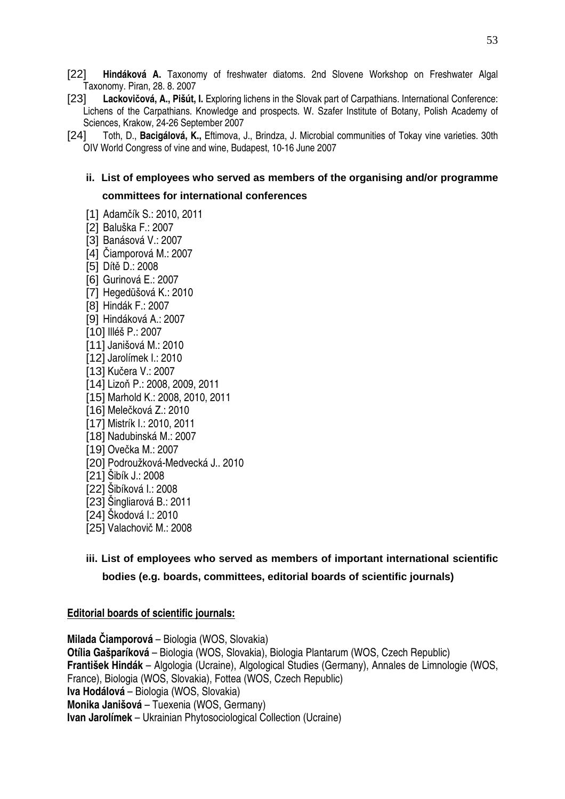- [22] **Hindáková A.** Taxonomy of freshwater diatoms. 2nd Slovene Workshop on Freshwater Algal Taxonomy. Piran, 28. 8. 2007
- [23] Lackovičová, A., Pišút, I. Exploring lichens in the Slovak part of Carpathians. International Conference: Lichens of the Carpathians. Knowledge and prospects. W. Szafer Institute of Botany, Polish Academy of Sciences, Krakow, 24-26 September 2007
- [24] Toth, D., **Bacigálová, K.,** Eftimova, J., Brindza, J. Microbial communities of Tokay vine varieties. 30th OIV World Congress of vine and wine, Budapest, 10-16 June 2007

## **ii. List of employees who served as members of the organising and/or programme committees for international conferences**

[1] Adamčík S.: 2010, 2011 [2] Baluška F.: 2007 [3] Banásová V.: 2007 [4] Čiamporová M.: 2007 [5] Dítě D.: 2008 [6] Gurinová E.: 2007 [7] Hegedüšová K.: 2010 [8] Hindák F.: 2007 [9] Hindáková A.: 2007 [10] Illéš P.: 2007 [11] Janišová M.: 2010 [12] Jarolímek I.: 2010 [13] Kučera V.: 2007 [14] Lizoň P.: 2008, 2009, 2011 [15] Marhold K.: 2008, 2010, 2011 [16] Melečková Z.: 2010 [17] Mistrík I.: 2010, 2011 [18] Nadubinská M.: 2007 [19] Ovečka M.: 2007 [20] Podroužková-Medvecká J.. 2010 [21] Šibík J.: 2008 [22] Šibíková I.: 2008 [23] Šingliarová B.: 2011 [24] Škodová I.: 2010 [25] Valachovič M.: 2008

# **iii. List of employees who served as members of important international scientific bodies (e.g. boards, committees, editorial boards of scientific journals)**

#### **Editorial boards of scientific journals:**

**Milada** Č**iamporová** – Biologia (WOS, Slovakia) **Otília Gašparíková** – Biologia (WOS, Slovakia), Biologia Plantarum (WOS, Czech Republic) **František Hindák** – Algologia (Ucraine), Algological Studies (Germany), Annales de Limnologie (WOS, France), Biologia (WOS, Slovakia), Fottea (WOS, Czech Republic) **Iva Hodálová** – Biologia (WOS, Slovakia) **Monika Janišová** – Tuexenia (WOS, Germany) **Ivan Jarolímek** – Ukrainian Phytosociological Collection (Ucraine)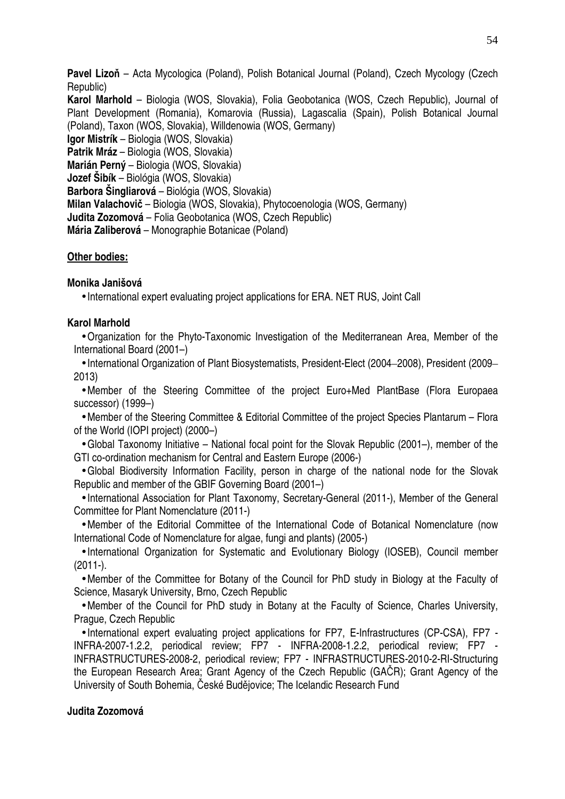**Pavel Lizo**ň – Acta Mycologica (Poland), Polish Botanical Journal (Poland), Czech Mycology (Czech Republic)

**Karol Marhold** – Biologia (WOS, Slovakia), Folia Geobotanica (WOS, Czech Republic), Journal of Plant Development (Romania), Komarovia (Russia), Lagascalia (Spain), Polish Botanical Journal (Poland), Taxon (WOS, Slovakia), Willdenowia (WOS, Germany)

**Igor Mistrík** – Biologia (WOS, Slovakia) **Patrik Mráz** – Biologia (WOS, Slovakia) **Marián Perný** – Biologia (WOS, Slovakia) **Jozef Šibík** – Biológia (WOS, Slovakia) **Barbora Šingliarová** – Biológia (WOS, Slovakia) **Milan Valachovi**č – Biologia (WOS, Slovakia), Phytocoenologia (WOS, Germany) **Judita Zozomová** – Folia Geobotanica (WOS, Czech Republic) **Mária Zaliberová** – Monographie Botanicae (Poland)

#### **Other bodies:**

#### **Monika Janišová**

• International expert evaluating project applications for ERA. NET RUS, Joint Call

#### **Karol Marhold**

•Organization for the Phyto-Taxonomic Investigation of the Mediterranean Area, Member of the International Board (2001–)

• International Organization of Plant Biosystematists, President-Elect (2004–2008), President (2009– 2013)

•Member of the Steering Committee of the project Euro+Med PlantBase (Flora Europaea successor) (1999–)

•Member of the Steering Committee & Editorial Committee of the project Species Plantarum – Flora of the World (IOPI project) (2000–)

•Global Taxonomy Initiative – National focal point for the Slovak Republic (2001–), member of the GTI co-ordination mechanism for Central and Eastern Europe (2006-)

•Global Biodiversity Information Facility, person in charge of the national node for the Slovak Republic and member of the GBIF Governing Board (2001–)

• International Association for Plant Taxonomy, Secretary-General (2011-), Member of the General Committee for Plant Nomenclature (2011-)

•Member of the Editorial Committee of the International Code of Botanical Nomenclature (now International Code of Nomenclature for algae, fungi and plants) (2005-)

• International Organization for Systematic and Evolutionary Biology (IOSEB), Council member (2011-).

•Member of the Committee for Botany of the Council for PhD study in Biology at the Faculty of Science, Masaryk University, Brno, Czech Republic

•Member of the Council for PhD study in Botany at the Faculty of Science, Charles University, Prague, Czech Republic

• International expert evaluating project applications for FP7, E-Infrastructures (CP-CSA), FP7 - INFRA-2007-1.2.2, periodical review; FP7 - INFRA-2008-1.2.2, periodical review; FP7 - INFRASTRUCTURES-2008-2, periodical review; FP7 - INFRASTRUCTURES-2010-2-RI-Structuring the European Research Area; Grant Agency of the Czech Republic (GAČR); Grant Agency of the University of South Bohemia, České Budějovice; The Icelandic Research Fund

#### **Judita Zozomová**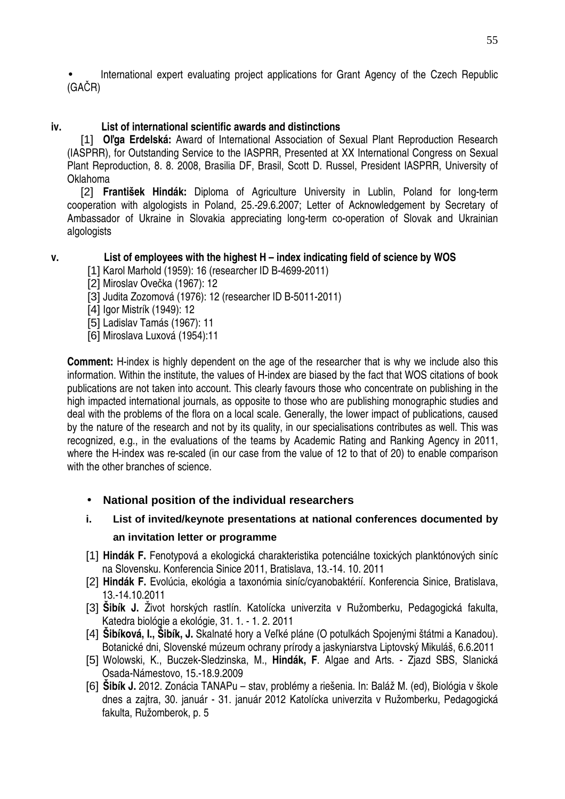• International expert evaluating project applications for Grant Agency of the Czech Republic (GAČR)

## **iv. List of international scientific awards and distinctions**

[1] **O**ľ**ga Erdelská:** Award of International Association of Sexual Plant Reproduction Research (IASPRR), for Outstanding Service to the IASPRR, Presented at XX International Congress on Sexual Plant Reproduction, 8. 8. 2008, Brasilia DF, Brasil, Scott D. Russel, President IASPRR, University of Oklahoma

[2] **František Hindák:** Diploma of Agriculture University in Lublin, Poland for long-term cooperation with algologists in Poland, 25.-29.6.2007; Letter of Acknowledgement by Secretary of Ambassador of Ukraine in Slovakia appreciating long-term co-operation of Slovak and Ukrainian algologists

## **v. List of employees with the highest H – index indicating field of science by WOS**

- [1] Karol Marhold (1959): 16 (researcher ID B-4699-2011)
- [2] Miroslav Ovečka (1967): 12
- [3] Judita Zozomová (1976): 12 (researcher ID B-5011-2011)
- [4] Igor Mistrík (1949): 12

[5] Ladislav Tamás (1967): 11

[6] Miroslava Luxová (1954):11

**Comment:** H-index is highly dependent on the age of the researcher that is why we include also this information. Within the institute, the values of H-index are biased by the fact that WOS citations of book publications are not taken into account. This clearly favours those who concentrate on publishing in the high impacted international journals, as opposite to those who are publishing monographic studies and deal with the problems of the flora on a local scale. Generally, the lower impact of publications, caused by the nature of the research and not by its quality, in our specialisations contributes as well. This was recognized, e.g., in the evaluations of the teams by Academic Rating and Ranking Agency in 2011, where the H-index was re-scaled (in our case from the value of 12 to that of 20) to enable comparison with the other branches of science.

## • **National position of the individual researchers**

# **i. List of invited/keynote presentations at national conferences documented by an invitation letter or programme**

- [1] **Hindák F.** Fenotypová a ekologická charakteristika potenciálne toxických planktónových siníc na Slovensku. Konferencia Sinice 2011, Bratislava, 13.-14. 10. 2011
- [2] **Hindák F.** Evolúcia, ekológia a taxonómia siníc/cyanobaktérií. Konferencia Sinice, Bratislava, 13.-14.10.2011
- [3] **Šibík J.** Život horských rastlín. Katolícka univerzita v Ružomberku, Pedagogická fakulta, Katedra biológie a ekológie, 31. 1. - 1. 2. 2011
- [4] **Šibíková, I., Šibík, J.** Skalnaté hory a Veľké pláne (O potulkách Spojenými štátmi a Kanadou). Botanické dni, Slovenské múzeum ochrany prírody a jaskyniarstva Liptovský Mikuláš, 6.6.2011
- [5] Wolowski, K., Buczek-Sledzinska, M., **Hindák, F**. Algae and Arts. Zjazd SBS, Slanická Osada-Námestovo, 15.-18.9.2009
- [6] **Šibík J.** 2012. Zonácia TANAPu stav, problémy a riešenia. In: Baláž M. (ed), Biológia v škole dnes a zajtra, 30. január - 31. január 2012 Katolícka univerzita v Ružomberku, Pedagogická fakulta, Ružomberok, p. 5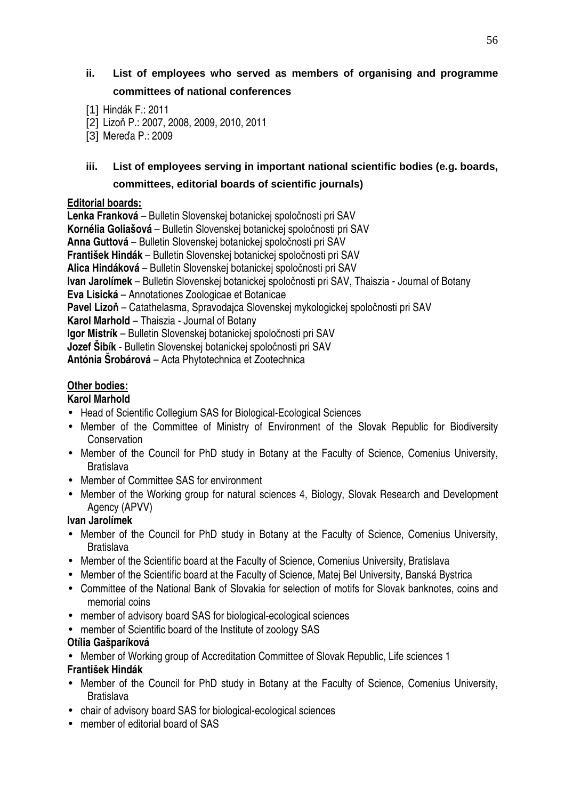# **ii. List of employees who served as members of organising and programme committees of national conferences**

- [2] Lizoň P.: 2007, 2008, 2009, 2010, 2011
- [3] Mereďa P.: 2009

# **iii. List of employees serving in important national scientific bodies (e.g. boards, committees, editorial boards of scientific journals)**

#### **Editorial boards:**

**Lenka Franková** – Bulletin Slovenskej botanickej spoločnosti pri SAV **Kornélia Goliašová** – Bulletin Slovenskej botanickej spoločnosti pri SAV **Anna Guttová** – Bulletin Slovenskej botanickej spoločnosti pri SAV **František Hindák** – Bulletin Slovenskej botanickej spoločnosti pri SAV **Alica Hindáková** – Bulletin Slovenskej botanickej spoločnosti pri SAV **Ivan Jarolímek** – Bulletin Slovenskej botanickej spoločnosti pri SAV, Thaiszia - Journal of Botany **Eva Lisická** – Annotationes Zoologicae et Botanicae **Pavel Lizo**ň – Catathelasma, Spravodajca Slovenskej mykologickej spoločnosti pri SAV **Karol Marhold** – Thaiszia - Journal of Botany **Igor Mistrík** – Bulletin Slovenskej botanickej spoločnosti pri SAV **Jozef Šibík** - Bulletin Slovenskej botanickej spoločnosti pri SAV **Antónia Šrobárová** – Acta Phytotechnica et Zootechnica

## **Other bodies:**

## **Karol Marhold**

- Head of Scientific Collegium SAS for Biological-Ecological Sciences
- Member of the Committee of Ministry of Environment of the Slovak Republic for Biodiversity **Conservation**
- Member of the Council for PhD study in Botany at the Faculty of Science, Comenius University, **Bratislava**
- Member of Committee SAS for environment
- Member of the Working group for natural sciences 4, Biology, Slovak Research and Development Agency (APVV)

## **Ivan Jarolímek**

- Member of the Council for PhD study in Botany at the Faculty of Science, Comenius University, **Bratislava**
- Member of the Scientific board at the Faculty of Science, Comenius University, Bratislava
- Member of the Scientific board at the Faculty of Science, Matej Bel University, Banská Bystrica
- Committee of the National Bank of Slovakia for selection of motifs for Slovak banknotes, coins and memorial coins
- member of advisory board SAS for biological-ecological sciences
- member of Scientific board of the Institute of zoology SAS

## **Otília Gašparíková**

- Member of Working group of Accreditation Committee of Slovak Republic, Life sciences 1 **František Hindák**
- Member of the Council for PhD study in Botany at the Faculty of Science, Comenius University, Bratislava
- chair of advisory board SAS for biological-ecological sciences
- member of editorial board of SAS

<sup>[1]</sup> Hindák F.: 2011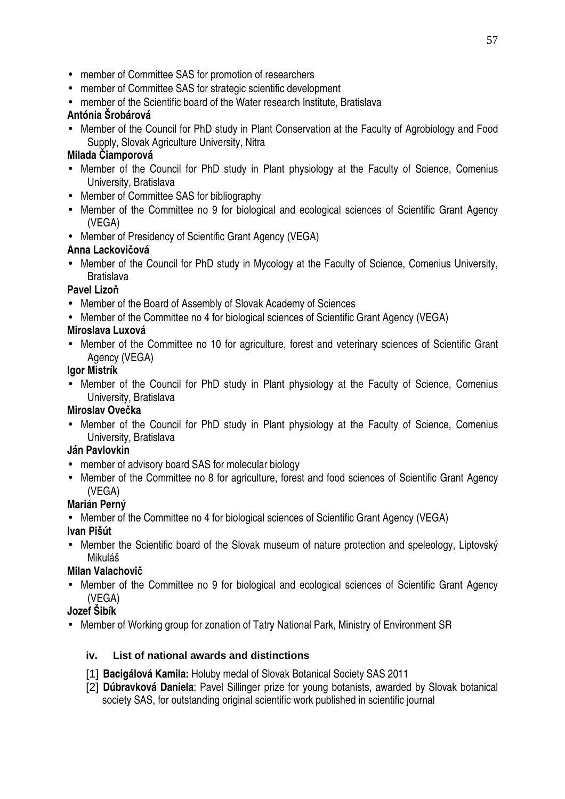- member of Committee SAS for promotion of researchers
- member of Committee SAS for strategic scientific development
- member of the Scientific board of the Water research Institute. Bratislava

## **Antónia Šrobárová**

• Member of the Council for PhD study in Plant Conservation at the Faculty of Agrobiology and Food Supply, Slovak Agriculture University, Nitra

## **Milada** Č**iamporová**

- Member of the Council for PhD study in Plant physiology at the Faculty of Science, Comenius University, Bratislava
- Member of Committee SAS for bibliography
- Member of the Committee no 9 for biological and ecological sciences of Scientific Grant Agency (VEGA)
- Member of Presidency of Scientific Grant Agency (VEGA)

## **Anna Lackovi**č**ová**

• Member of the Council for PhD study in Mycology at the Faculty of Science, Comenius University, **Bratislava** 

# **Pavel Lizo**ň

- Member of the Board of Assembly of Slovak Academy of Sciences
- Member of the Committee no 4 for biological sciences of Scientific Grant Agency (VEGA)

# **Miroslava Luxová**

• Member of the Committee no 10 for agriculture, forest and veterinary sciences of Scientific Grant Agency (VEGA)

## **Igor Mistrík**

• Member of the Council for PhD study in Plant physiology at the Faculty of Science, Comenius University, Bratislava

# **Miroslav Ove**č**ka**

• Member of the Council for PhD study in Plant physiology at the Faculty of Science, Comenius University, Bratislava

## **Ján Pavlovkin**

- member of advisory board SAS for molecular biology
- Member of the Committee no 8 for agriculture, forest and food sciences of Scientific Grant Agency (VEGA)

# **Marián Perný**

• Member of the Committee no 4 for biological sciences of Scientific Grant Agency (VEGA)

## **Ivan Pišút**

• Member the Scientific board of the Slovak museum of nature protection and speleology, Liptovský Mikuláš

# **Milan Valachovi**č

• Member of the Committee no 9 for biological and ecological sciences of Scientific Grant Agency (VEGA)

# **Jozef Šibík**

• Member of Working group for zonation of Tatry National Park, Ministry of Environment SR

# **iv. List of national awards and distinctions**

- [1] **Bacigálová Kamila:** Holuby medal of Slovak Botanical Society SAS 2011
- [2] **Dúbravková Daniela**: Pavel Sillinger prize for young botanists, awarded by Slovak botanical society SAS, for outstanding original scientific work published in scientific journal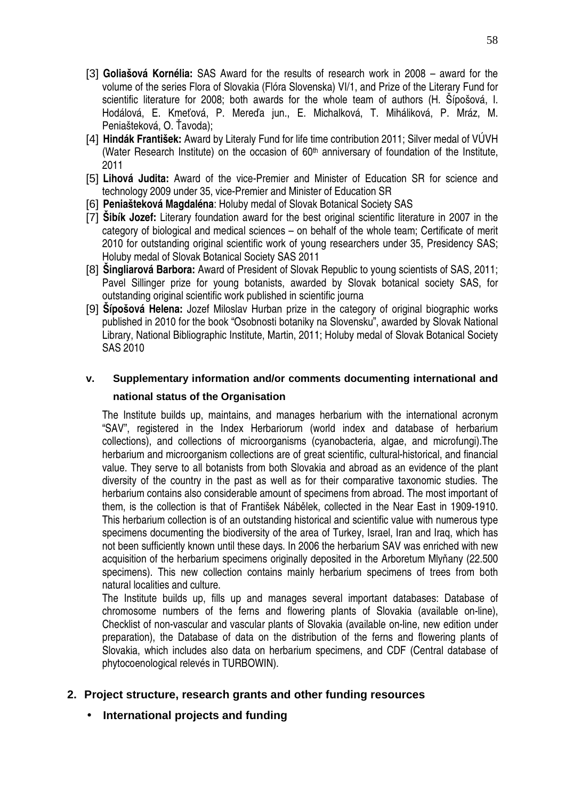- [3] **Goliašová Kornélia:** SAS Award for the results of research work in 2008 award for the volume of the series Flora of Slovakia (Flóra Slovenska) VI/1, and Prize of the Literary Fund for scientific literature for 2008; both awards for the whole team of authors (H. Šípošová, I. Hodálová, E. Kmeťová, P. Mereďa jun., E. Michalková, T. Miháliková, P. Mráz, M. Peniašteková, O. Ťavoda);
- [4] **Hindák František:** Award by Literaly Fund for life time contribution 2011; Silver medal of VÚVH (Water Research Institute) on the occasion of  $60<sup>th</sup>$  anniversary of foundation of the Institute, 2011
- [5] **Lihová Judita:** Award of the vice-Premier and Minister of Education SR for science and technology 2009 under 35, vice-Premier and Minister of Education SR
- [6] **Peniašteková Magdaléna**: Holuby medal of Slovak Botanical Society SAS
- [7] **Šibík Jozef:** Literary foundation award for the best original scientific literature in 2007 in the category of biological and medical sciences – on behalf of the whole team; Certificate of merit 2010 for outstanding original scientific work of young researchers under 35, Presidency SAS; Holuby medal of Slovak Botanical Society SAS 2011
- [8] **Šingliarová Barbora:** Award of President of Slovak Republic to young scientists of SAS, 2011; Pavel Sillinger prize for young botanists, awarded by Slovak botanical society SAS, for outstanding original scientific work published in scientific journa
- [9] **Šípošová Helena:** Jozef Miloslav Hurban prize in the category of original biographic works published in 2010 for the book "Osobnosti botaniky na Slovensku", awarded by Slovak National Library, National Bibliographic Institute, Martin, 2011; Holuby medal of Slovak Botanical Society SAS 2010

# **v. Supplementary information and/or comments documenting international and**

#### **national status of the Organisation**

The Institute builds up, maintains, and manages herbarium with the international acronym "SAV", registered in the Index Herbariorum (world index and database of herbarium collections), and collections of microorganisms (cyanobacteria, algae, and microfungi).The herbarium and microorganism collections are of great scientific, cultural-historical, and financial value. They serve to all botanists from both Slovakia and abroad as an evidence of the plant diversity of the country in the past as well as for their comparative taxonomic studies. The herbarium contains also considerable amount of specimens from abroad. The most important of them, is the collection is that of František Nábělek, collected in the Near East in 1909-1910. This herbarium collection is of an outstanding historical and scientific value with numerous type specimens documenting the biodiversity of the area of Turkey, Israel, Iran and Iraq, which has not been sufficiently known until these days. In 2006 the herbarium SAV was enriched with new acquisition of the herbarium specimens originally deposited in the Arboretum Mlyňany (22.500 specimens). This new collection contains mainly herbarium specimens of trees from both natural localities and culture.

The Institute builds up, fills up and manages several important databases: Database of chromosome numbers of the ferns and flowering plants of Slovakia (available on-line), Checklist of non-vascular and vascular plants of Slovakia (available on-line, new edition under preparation), the Database of data on the distribution of the ferns and flowering plants of Slovakia, which includes also data on herbarium specimens, and CDF (Central database of phytocoenological relevés in TURBOWIN).

## **2. Project structure, research grants and other funding resources**

• **International projects and funding**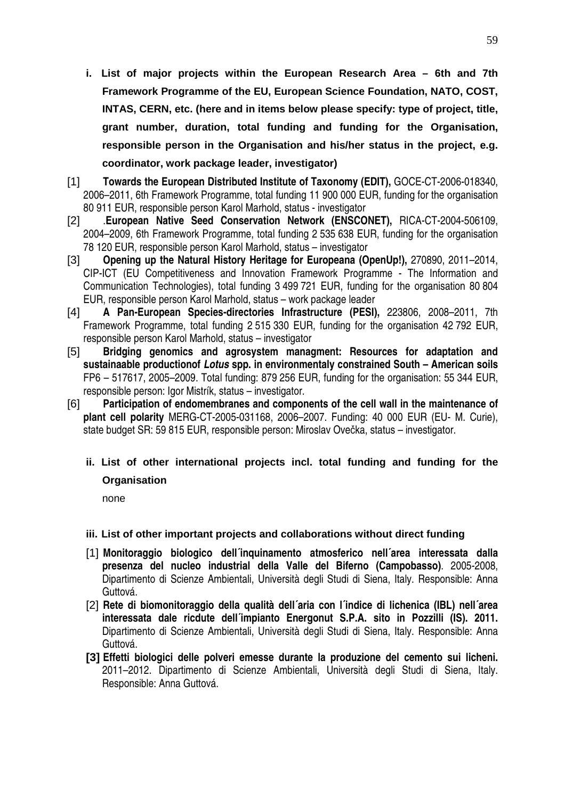- **i. List of major projects within the European Research Area 6th and 7th Framework Programme of the EU, European Science Foundation, NATO, COST, INTAS, CERN, etc. (here and in items below please specify: type of project, title, grant number, duration, total funding and funding for the Organisation, responsible person in the Organisation and his/her status in the project, e.g. coordinator, work package leader, investigator)**
- [1] **Towards the European Distributed Institute of Taxonomy (EDIT),** GOCE-CT-2006-018340, 2006–2011, 6th Framework Programme, total funding 11 900 000 EUR, funding for the organisation 80 911 EUR, responsible person Karol Marhold, status - investigator
- [2] .**European Native Seed Conservation Network (ENSCONET),** RICA-CT-2004-506109, 2004–2009, 6th Framework Programme, total funding 2 535 638 EUR, funding for the organisation 78 120 EUR, responsible person Karol Marhold, status – investigator
- [3] **Opening up the Natural History Heritage for Europeana (OpenUp!),** 270890, 2011–2014, CIP-ICT (EU Competitiveness and Innovation Framework Programme - The Information and Communication Technologies), total funding 3 499 721 EUR, funding for the organisation 80 804 EUR, responsible person Karol Marhold, status – work package leader
- [4] **A Pan-European Species-directories Infrastructure (PESI),** 223806, 2008–2011, 7th Framework Programme, total funding 2 515 330 EUR, funding for the organisation 42 792 EUR, responsible person Karol Marhold, status – investigator
- [5] **Bridging genomics and agrosystem managment: Resources for adaptation and sustainaable productionof Lotus spp. in environmentaly constrained South – American soils**  FP6 – 517617, 2005–2009. Total funding: 879 256 EUR, funding for the organisation: 55 344 EUR, responsible person: Igor Mistrík, status – investigator.
- [6] **Participation of endomembranes and components of the cell wall in the maintenance of plant cell polarity** MERG-CT-2005-031168, 2006–2007. Funding: 40 000 EUR (EU- M. Curie), state budget SR: 59 815 EUR, responsible person: Miroslav Ovečka, status – investigator.
	- **ii. List of other international projects incl. total funding and funding for the Organisation**

none

#### **iii. List of other important projects and collaborations without direct funding**

- [1] **Monitoraggio biologico dell´inquinamento atmosferico nell´area interessata dalla presenza del nucleo industrial della Valle del Biferno (Campobasso)**. 2005-2008, Dipartimento di Scienze Ambientali, Università degli Studi di Siena, Italy. Responsible: Anna Guttová.
- [2] **Rete di biomonitoraggio della qualità dell´aria con l´indice di lichenica (IBL) nell´area interessata dale ricdute dell´impianto Energonut S.P.A. sito in Pozzilli (IS). 2011.**  Dipartimento di Scienze Ambientali, Università degli Studi di Siena, Italy. Responsible: Anna Guttová.
- **[3] Effetti biologici delle polveri emesse durante la produzione del cemento sui licheni.**  2011–2012. Dipartimento di Scienze Ambientali, Università degli Studi di Siena, Italy. Responsible: Anna Guttová.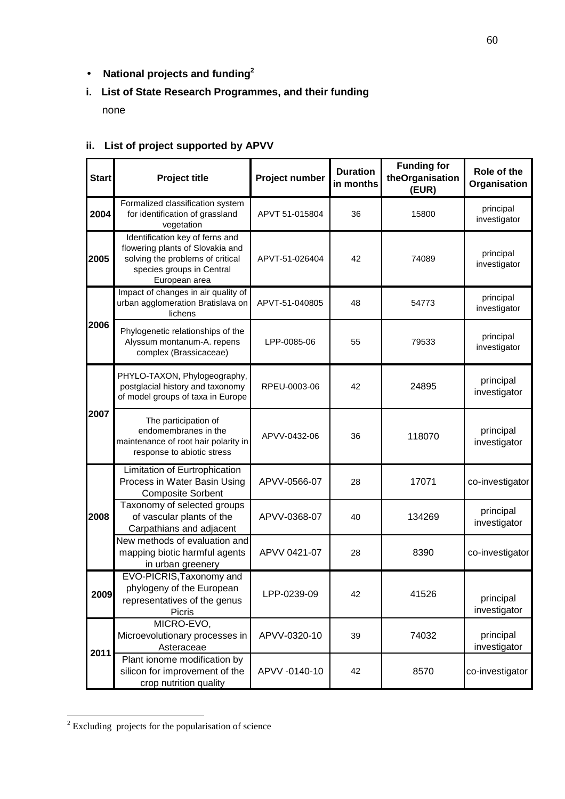# • **National projects and funding<sup>2</sup>**

# **i. List of State Research Programmes, and their funding**

none

| <b>Start</b> | Project title                                                                                                                                         | Project number | <b>Duration</b><br>in months | <b>Funding for</b><br>theOrganisation<br>(EUR) | Role of the<br>Organisation |
|--------------|-------------------------------------------------------------------------------------------------------------------------------------------------------|----------------|------------------------------|------------------------------------------------|-----------------------------|
| 2004         | Formalized classification system<br>for identification of grassland<br>vegetation                                                                     | APVT 51-015804 | 36                           | 15800                                          | principal<br>investigator   |
| 2005         | Identification key of ferns and<br>flowering plants of Slovakia and<br>solving the problems of critical<br>species groups in Central<br>European area | APVT-51-026404 | 42                           | 74089                                          | principal<br>investigator   |
|              | Impact of changes in air quality of<br>urban agglomeration Bratislava on<br>lichens                                                                   | APVT-51-040805 | 48                           | 54773                                          | principal<br>investigator   |
| 2006         | Phylogenetic relationships of the<br>Alyssum montanum-A. repens<br>complex (Brassicaceae)                                                             | LPP-0085-06    | 55                           | 79533                                          | principal<br>investigator   |
|              | PHYLO-TAXON, Phylogeography,<br>postglacial history and taxonomy<br>of model groups of taxa in Europe                                                 | RPEU-0003-06   | 42                           | 24895                                          | principal<br>investigator   |
| 2007         | The participation of<br>endomembranes in the<br>maintenance of root hair polarity in<br>response to abiotic stress                                    | APVV-0432-06   | 36                           | 118070                                         | principal<br>investigator   |
|              | Limitation of Eurtrophication<br>Process in Water Basin Using<br><b>Composite Sorbent</b>                                                             | APVV-0566-07   | 28                           | 17071                                          | co-investigator             |
| 2008         | Taxonomy of selected groups<br>of vascular plants of the<br>Carpathians and adjacent                                                                  | APVV-0368-07   | 40                           | 134269                                         | principal<br>investigator   |
|              | New methods of evaluation and<br>mapping biotic harmful agents<br>in urban greenery                                                                   | APVV 0421-07   | 28                           | 8390                                           | co-investigator             |
| 2009         | EVO-PICRIS, Taxonomy and<br>phylogeny of the European<br>representatives of the genus<br>Picris                                                       | LPP-0239-09    | 42                           | 41526                                          | principal<br>investigator   |
| 2011         | MICRO-EVO,<br>Microevolutionary processes in<br>Asteraceae                                                                                            | APVV-0320-10   | 39                           | 74032                                          | principal<br>investigator   |
|              | Plant ionome modification by<br>silicon for improvement of the<br>crop nutrition quality                                                              | APVV-0140-10   | 42                           | 8570                                           | co-investigator             |

# **ii. List of project supported by APVV**

<sup>&</sup>lt;sup>2</sup> Excluding projects for the popularisation of science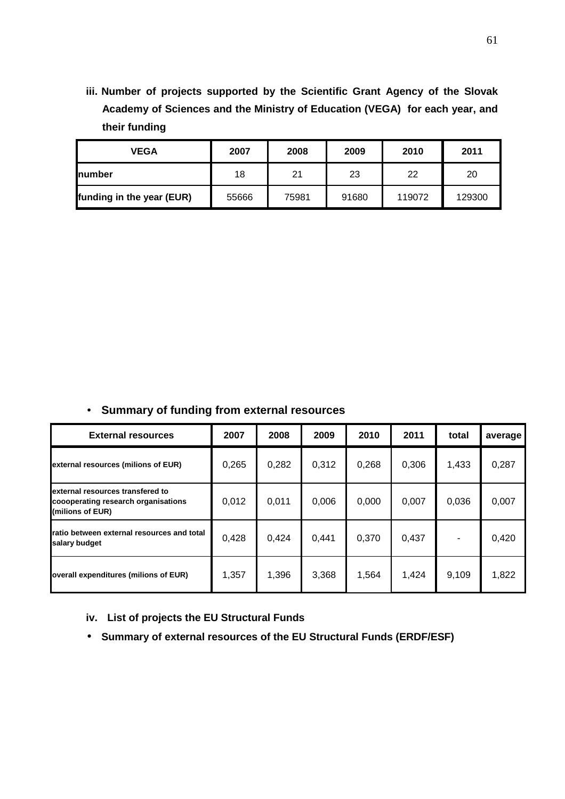**iii. Number of projects supported by the Scientific Grant Agency of the Slovak Academy of Sciences and the Ministry of Education (VEGA) for each year, and their funding** 

| <b>VEGA</b>               | 2007  | 2008  | 2009  | 2010   | 2011   |
|---------------------------|-------|-------|-------|--------|--------|
| Inumber                   | 18    | 21    | 23    | 22     | 20     |
| funding in the year (EUR) | 55666 | 75981 | 91680 | 119072 | 129300 |

• **Summary of funding from external resources**

| <b>External resources</b>                                                                   | 2007  | 2008  | 2009  | 2010  | 2011  | total | average |
|---------------------------------------------------------------------------------------------|-------|-------|-------|-------|-------|-------|---------|
| external resources (milions of EUR)                                                         | 0,265 | 0,282 | 0,312 | 0,268 | 0,306 | 1,433 | 0,287   |
| external resources transfered to<br>coooperating research organisations<br>(milions of EUR) | 0,012 | 0,011 | 0,006 | 0,000 | 0,007 | 0,036 | 0,007   |
| ratio between external resources and total<br>salary budget                                 | 0,428 | 0,424 | 0,441 | 0,370 | 0,437 |       | 0,420   |
| overall expenditures (milions of EUR)                                                       | 1,357 | 1,396 | 3,368 | 1,564 | 1,424 | 9,109 | 1,822   |

**iv. List of projects the EU Structural Funds** 

• **Summary of external resources of the EU Structural Funds (ERDF/ESF)**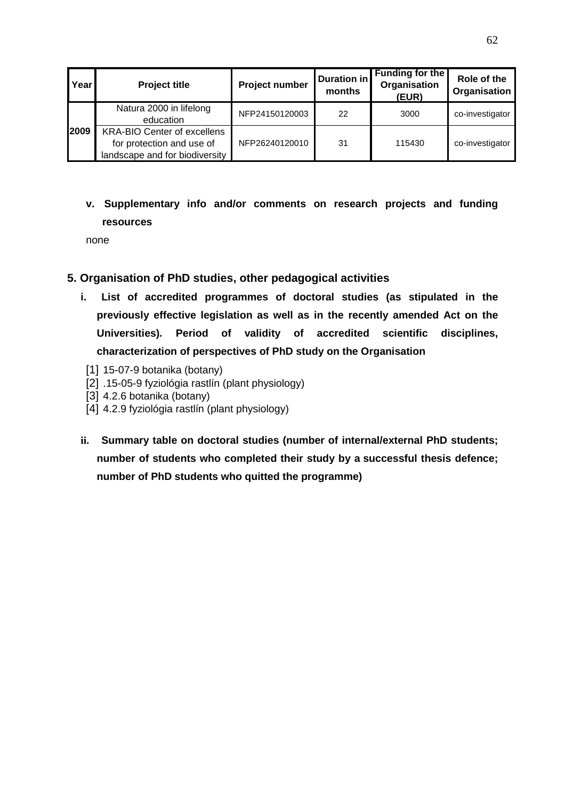| Year | <b>Project title</b>                                                                              | Project number | <b>Duration in</b><br>months | <b>Funding for the</b><br>Organisation<br>(EUR) | Role of the<br>Organisation |
|------|---------------------------------------------------------------------------------------------------|----------------|------------------------------|-------------------------------------------------|-----------------------------|
|      | Natura 2000 in lifelong<br>education                                                              | NFP24150120003 | 22                           | 3000                                            | co-investigator             |
| 2009 | <b>KRA-BIO Center of excellens</b><br>for protection and use of<br>landscape and for biodiversity | NFP26240120010 | 31                           | 115430                                          | co-investigator             |

# **v. Supplementary info and/or comments on research projects and funding resources**

none

#### **5. Organisation of PhD studies, other pedagogical activities**

- **i. List of accredited programmes of doctoral studies (as stipulated in the previously effective legislation as well as in the recently amended Act on the Universities). Period of validity of accredited scientific disciplines, characterization of perspectives of PhD study on the Organisation**
- [1] 15-07-9 botanika (botany)
- [2] .15-05-9 fyziológia rastlín (plant physiology)
- [3] 4.2.6 botanika (botany)
- [4] 4.2.9 fyziológia rastlín (plant physiology)
- **ii. Summary table on doctoral studies (number of internal/external PhD students; number of students who completed their study by a successful thesis defence; number of PhD students who quitted the programme)**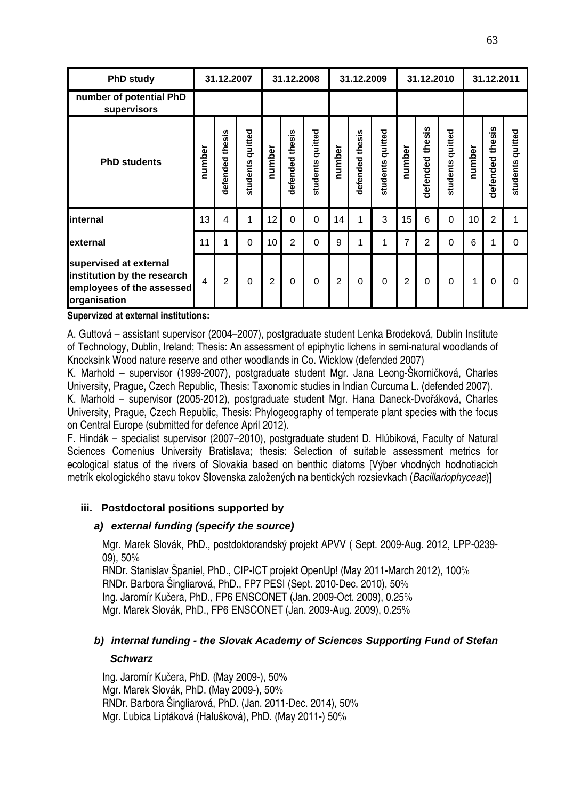| <b>PhD study</b>                                                                                   |                | 31.12.2007      |                     |                 | 31.12.2008      |                  |                | 31.12.2009      |                     |        | 31.12.2010         |                     |        | 31.12.2011                                |                     |
|----------------------------------------------------------------------------------------------------|----------------|-----------------|---------------------|-----------------|-----------------|------------------|----------------|-----------------|---------------------|--------|--------------------|---------------------|--------|-------------------------------------------|---------------------|
| number of potential PhD<br>supervisors                                                             |                |                 |                     |                 |                 |                  |                |                 |                     |        |                    |                     |        |                                           |                     |
| <b>PhD students</b>                                                                                | number         | defended thesis | quitted<br>students | number          | defended thesis | students quitted | number         | defended thesis | quitted<br>students | number | thesis<br>defended | quitted<br>students | number | $\ddot{\mathbf{s}}$<br>й<br>Д<br>defended | quitted<br>students |
| internal                                                                                           | 13             | 4               | 1                   | 12              | $\Omega$        | $\overline{0}$   | 14             | 1               | 3                   | 15     | 6                  | $\mathbf 0$         | 10     | $\overline{2}$                            | 1                   |
| external                                                                                           | 11             | 1               | $\mathbf 0$         | 10 <sup>1</sup> | $\overline{2}$  | $\overline{0}$   | 9              | 1               | 1                   | 7      | $\overline{2}$     | $\mathbf 0$         | 6      | 1                                         | $\Omega$            |
| supervised at external<br>institution by the research<br>employees of the assessed<br>organisation | $\overline{4}$ | $\overline{2}$  | $\Omega$            | $\overline{2}$  | $\Omega$        | $\overline{0}$   | $\overline{2}$ | $\Omega$        | $\mathbf 0$         | 2      | $\Omega$           | 0                   | 1      | $\Omega$                                  | $\Omega$            |

**Supervized at external institutions:** 

A. Guttová – assistant supervisor (2004–2007), postgraduate student Lenka Brodeková, Dublin Institute of Technology, Dublin, Ireland; Thesis: An assessment of epiphytic lichens in semi-natural woodlands of Knocksink Wood nature reserve and other woodlands in Co. Wicklow (defended 2007)

K. Marhold – supervisor (1999-2007), postgraduate student Mgr. Jana Leong-Škorničková, Charles University, Prague, Czech Republic, Thesis: Taxonomic studies in Indian Curcuma L. (defended 2007).

K. Marhold – supervisor (2005-2012), postgraduate student Mgr. Hana Daneck-Dvořáková, Charles University, Prague, Czech Republic, Thesis: Phylogeography of temperate plant species with the focus on Central Europe (submitted for defence April 2012).

F. Hindák – specialist supervisor (2007–2010), postgraduate student D. Hlúbiková, Faculty of Natural Sciences Comenius University Bratislava; thesis: Selection of suitable assessment metrics for ecological status of the rivers of Slovakia based on benthic diatoms [Výber vhodných hodnotiacich metrík ekologického stavu tokov Slovenska založených na bentických rozsievkach (Bacillariophyceae)]

#### **iii. Postdoctoral positions supported by**

#### **a) external funding (specify the source)**

Mgr. Marek Slovák, PhD., postdoktorandský projekt APVV ( Sept. 2009-Aug. 2012, LPP-0239- 09), 50%

RNDr. Stanislav Španiel, PhD., CIP-ICT projekt OpenUp! (May 2011-March 2012), 100% RNDr. Barbora Šingliarová, PhD., FP7 PESI (Sept. 2010-Dec. 2010), 50% Ing. Jaromír Kučera, PhD., FP6 ENSCONET (Jan. 2009-Oct. 2009), 0.25% Mgr. Marek Slovák, PhD., FP6 ENSCONET (Jan. 2009-Aug. 2009), 0.25%

## **b) internal funding - the Slovak Academy of Sciences Supporting Fund of Stefan**

#### **Schwarz**

Ing. Jaromír Kučera, PhD. (May 2009-), 50% Mgr. Marek Slovák, PhD. (May 2009-), 50% RNDr. Barbora Šingliarová, PhD. (Jan. 2011-Dec. 2014), 50% Mgr. Ľubica Liptáková (Halušková), PhD. (May 2011-) 50%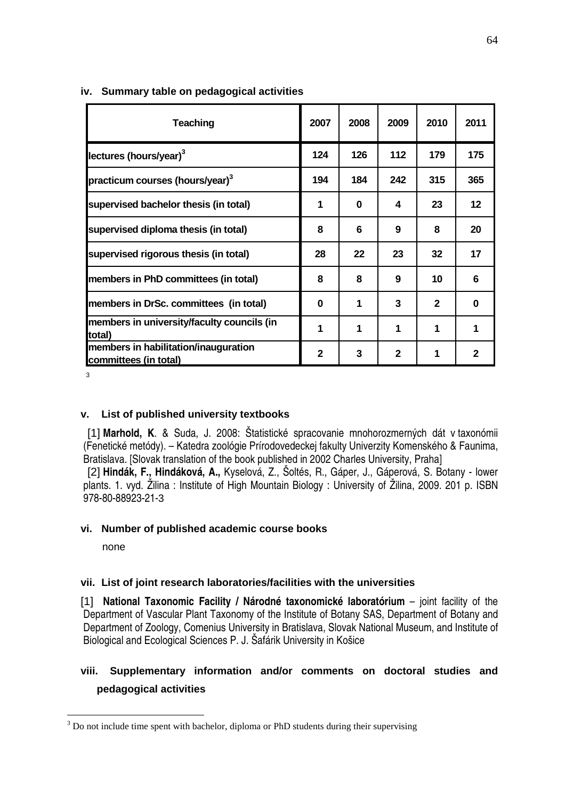| <b>Teaching</b>                                               | 2007         | 2008 | 2009         | 2010         | 2011         |
|---------------------------------------------------------------|--------------|------|--------------|--------------|--------------|
| lectures (hours/year) $3$                                     | 124          | 126  | 112          | 179          | 175          |
| practicum courses (hours/year) <sup>3</sup>                   | 194          | 184  | 242          | 315          | 365          |
| supervised bachelor thesis (in total)                         | 1            | 0    | 4            | 23           | $12 \,$      |
| supervised diploma thesis (in total)                          | 8            | 6    | 9            | 8            | 20           |
| supervised rigorous thesis (in total)                         | 28           | 22   | 23           | 32           | 17           |
| members in PhD committees (in total)                          | 8            | 8    | 9            | 10           | 6            |
| members in DrSc. committees (in total)                        | 0            | 1    | 3            | $\mathbf{2}$ | 0            |
| members in university/faculty councils (in<br>total)          | 1            | 1    | 1            | 1            | 1            |
| members in habilitation/inauguration<br>committees (in total) | $\mathbf{2}$ | 3    | $\mathbf{2}$ | 1            | $\mathbf{2}$ |

#### **iv. Summary table on pedagogical activities**

3

#### **v. List of published university textbooks**

[1] **Marhold, K**. & Suda, J. 2008: Štatistické spracovanie mnohorozmerných dát v taxonómii (Fenetické metódy). – Katedra zoológie Prírodovedeckej fakulty Univerzity Komenského & Faunima, Bratislava. [Slovak translation of the book published in 2002 Charles University, Praha]

[2] **Hindák, F., Hindáková, A.,** Kyselová, Z., Šoltés, R., Gáper, J., Gáperová, S. Botany - lower plants. 1. vyd. Žilina : Institute of High Mountain Biology : University of Žilina, 2009. 201 p. ISBN 978-80-88923-21-3

#### **vi. Number of published academic course books**

none

 $\overline{a}$ 

#### **vii. List of joint research laboratories/facilities with the universities**

[1] **National Taxonomic Facility / Národné taxonomické laboratórium** – joint facility of the Department of Vascular Plant Taxonomy of the Institute of Botany SAS, Department of Botany and Department of Zoology, Comenius University in Bratislava, Slovak National Museum, and Institute of Biological and Ecological Sciences P. J. Šafárik University in Košice

# **viii. Supplementary information and/or comments on doctoral studies and pedagogical activities**

 $3$  Do not include time spent with bachelor, diploma or PhD students during their supervising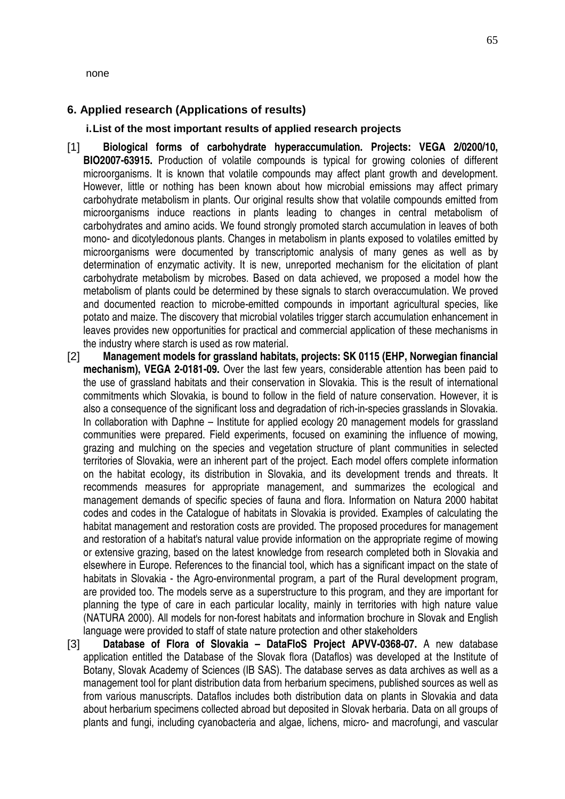#### none

#### **6. Applied research (Applications of results)**

#### **i. List of the most important results of applied research projects**

- [1] **Biological forms of carbohydrate hyperaccumulation. Projects: VEGA 2/0200/10, BIO2007-63915.** Production of volatile compounds is typical for growing colonies of different microorganisms. It is known that volatile compounds may affect plant growth and development. However, little or nothing has been known about how microbial emissions may affect primary carbohydrate metabolism in plants. Our original results show that volatile compounds emitted from microorganisms induce reactions in plants leading to changes in central metabolism of carbohydrates and amino acids. We found strongly promoted starch accumulation in leaves of both mono- and dicotyledonous plants. Changes in metabolism in plants exposed to volatiles emitted by microorganisms were documented by transcriptomic analysis of many genes as well as by determination of enzymatic activity. It is new, unreported mechanism for the elicitation of plant carbohydrate metabolism by microbes. Based on data achieved, we proposed a model how the metabolism of plants could be determined by these signals to starch overaccumulation. We proved and documented reaction to microbe-emitted compounds in important agricultural species, like potato and maize. The discovery that microbial volatiles trigger starch accumulation enhancement in leaves provides new opportunities for practical and commercial application of these mechanisms in the industry where starch is used as row material.
- [2] **Management models for grassland habitats, projects: SK 0115 (EHP, Norwegian financial mechanism), VEGA 2-0181-09.** Over the last few years, considerable attention has been paid to the use of grassland habitats and their conservation in Slovakia. This is the result of international commitments which Slovakia, is bound to follow in the field of nature conservation. However, it is also a consequence of the significant loss and degradation of rich-in-species grasslands in Slovakia. In collaboration with Daphne – Institute for applied ecology 20 management models for grassland communities were prepared. Field experiments, focused on examining the influence of mowing, grazing and mulching on the species and vegetation structure of plant communities in selected territories of Slovakia, were an inherent part of the project. Each model offers complete information on the habitat ecology, its distribution in Slovakia, and its development trends and threats. It recommends measures for appropriate management, and summarizes the ecological and management demands of specific species of fauna and flora. Information on Natura 2000 habitat codes and codes in the Catalogue of habitats in Slovakia is provided. Examples of calculating the habitat management and restoration costs are provided. The proposed procedures for management and restoration of a habitat's natural value provide information on the appropriate regime of mowing or extensive grazing, based on the latest knowledge from research completed both in Slovakia and elsewhere in Europe. References to the financial tool, which has a significant impact on the state of habitats in Slovakia - the Agro-environmental program, a part of the Rural development program, are provided too. The models serve as a superstructure to this program, and they are important for planning the type of care in each particular locality, mainly in territories with high nature value (NATURA 2000). All models for non-forest habitats and information brochure in Slovak and English language were provided to staff of state nature protection and other stakeholders
- [3] **Database of Flora of Slovakia DataFloS Project APVV-0368-07.** A new database application entitled the Database of the Slovak flora (Dataflos) was developed at the Institute of Botany, Slovak Academy of Sciences (IB SAS). The database serves as data archives as well as a management tool for plant distribution data from herbarium specimens, published sources as well as from various manuscripts. Dataflos includes both distribution data on plants in Slovakia and data about herbarium specimens collected abroad but deposited in Slovak herbaria. Data on all groups of plants and fungi, including cyanobacteria and algae, lichens, micro- and macrofungi, and vascular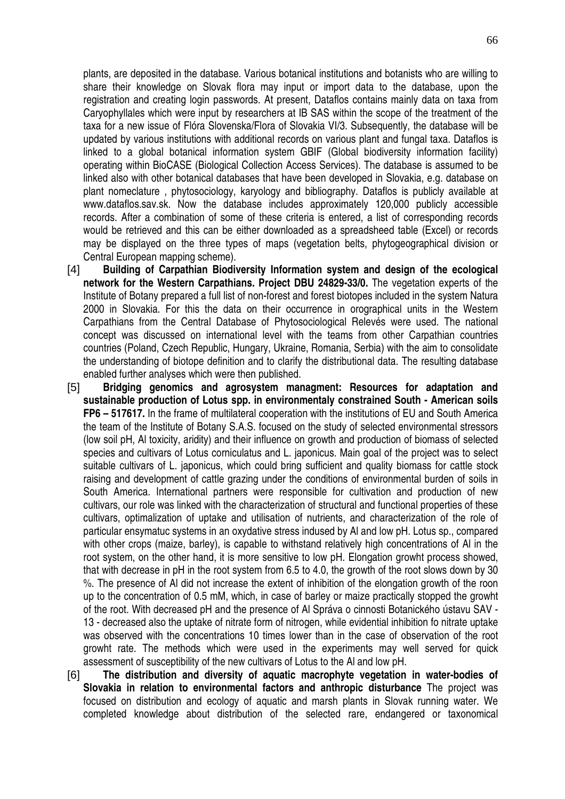plants, are deposited in the database. Various botanical institutions and botanists who are willing to share their knowledge on Slovak flora may input or import data to the database, upon the registration and creating login passwords. At present, Dataflos contains mainly data on taxa from Caryophyllales which were input by researchers at IB SAS within the scope of the treatment of the taxa for a new issue of Flóra Slovenska/Flora of Slovakia VI/3. Subsequently, the database will be updated by various institutions with additional records on various plant and fungal taxa. Dataflos is linked to a global botanical information system GBIF (Global biodiversity information facility) operating within BioCASE (Biological Collection Access Services). The database is assumed to be linked also with other botanical databases that have been developed in Slovakia, e.g. database on plant nomeclature , phytosociology, karyology and bibliography. Dataflos is publicly available at www.dataflos.sav.sk. Now the database includes approximately 120,000 publicly accessible records. After a combination of some of these criteria is entered, a list of corresponding records would be retrieved and this can be either downloaded as a spreadsheed table (Excel) or records may be displayed on the three types of maps (vegetation belts, phytogeographical division or Central European mapping scheme).

- [4] **Building of Carpathian Biodiversity Information system and design of the ecological network for the Western Carpathians. Project DBU 24829-33/0.** The vegetation experts of the Institute of Botany prepared a full list of non-forest and forest biotopes included in the system Natura 2000 in Slovakia. For this the data on their occurrence in orographical units in the Western Carpathians from the Central Database of Phytosociological Relevés were used. The national concept was discussed on international level with the teams from other Carpathian countries countries (Poland, Czech Republic, Hungary, Ukraine, Romania, Serbia) with the aim to consolidate the understanding of biotope definition and to clarify the distributional data. The resulting database enabled further analyses which were then published.
- [5] **Bridging genomics and agrosystem managment: Resources for adaptation and sustainable production of Lotus spp. in environmentaly constrained South - American soils FP6 – 517617.** In the frame of multilateral cooperation with the institutions of EU and South America the team of the Institute of Botany S.A.S. focused on the study of selected environmental stressors (low soil pH, Al toxicity, aridity) and their influence on growth and production of biomass of selected species and cultivars of Lotus corniculatus and L. japonicus. Main goal of the project was to select suitable cultivars of L. japonicus, which could bring sufficient and quality biomass for cattle stock raising and development of cattle grazing under the conditions of environmental burden of soils in South America. International partners were responsible for cultivation and production of new cultivars, our role was linked with the characterization of structural and functional properties of these cultivars, optimalization of uptake and utilisation of nutrients, and characterization of the role of particular ensymatuc systems in an oxydative stress indused by Al and low pH. Lotus sp., compared with other crops (maize, barley), is capable to withstand relatively high concentrations of AI in the root system, on the other hand, it is more sensitive to low pH. Elongation growht process showed, that with decrease in pH in the root system from 6.5 to 4.0, the growth of the root slows down by 30 %. The presence of Al did not increase the extent of inhibition of the elongation growth of the roon up to the concentration of 0.5 mM, which, in case of barley or maize practically stopped the growht of the root. With decreased pH and the presence of Al Správa o cinnosti Botanického ústavu SAV - 13 - decreased also the uptake of nitrate form of nitrogen, while evidential inhibition fo nitrate uptake was observed with the concentrations 10 times lower than in the case of observation of the root growht rate. The methods which were used in the experiments may well served for quick assessment of susceptibility of the new cultivars of Lotus to the Al and low pH.
- [6] **The distribution and diversity of aquatic macrophyte vegetation in water-bodies of Slovakia in relation to environmental factors and anthropic disturbance** The project was focused on distribution and ecology of aquatic and marsh plants in Slovak running water. We completed knowledge about distribution of the selected rare, endangered or taxonomical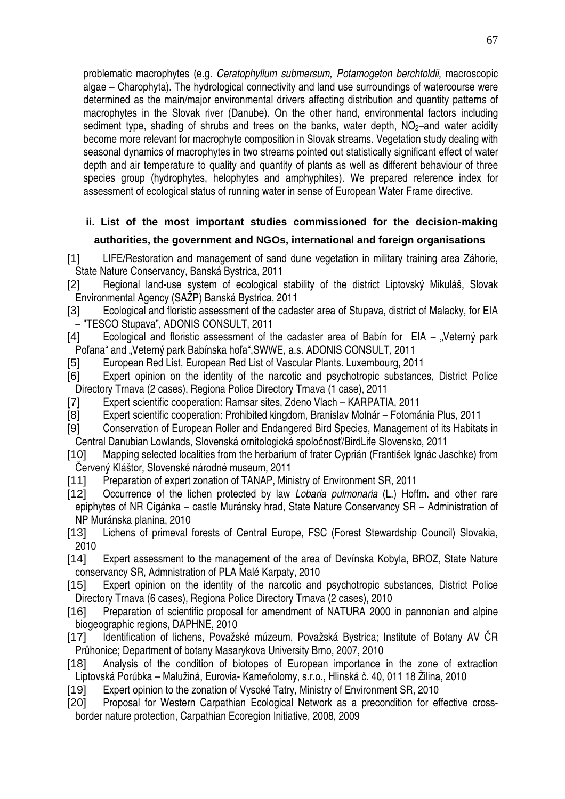problematic macrophytes (e.g. Ceratophyllum submersum, Potamogeton berchtoldii, macroscopic algae – Charophyta). The hydrological connectivity and land use surroundings of watercourse were determined as the main/major environmental drivers affecting distribution and quantity patterns of macrophytes in the Slovak river (Danube). On the other hand, environmental factors including sediment type, shading of shrubs and trees on the banks, water depth,  $NO<sub>2</sub>$ -and water acidity become more relevant for macrophyte composition in Slovak streams. Vegetation study dealing with seasonal dynamics of macrophytes in two streams pointed out statistically significant effect of water depth and air temperature to quality and quantity of plants as well as different behaviour of three species group (hydrophytes, helophytes and amphyphites). We prepared reference index for assessment of ecological status of running water in sense of European Water Frame directive.

# **ii. List of the most important studies commissioned for the decision-making authorities, the government and NGOs, international and foreign organisations**

[1] LIFE/Restoration and management of sand dune vegetation in military training area Záhorie, State Nature Conservancy, Banská Bystrica, 2011

- [2] Regional land-use system of ecological stability of the district Liptovský Mikuláš, Slovak Environmental Agency (SAŽP) Banská Bystrica, 2011
- [3] Ecological and floristic assessment of the cadaster area of Stupava, district of Malacky, for EIA – "TESCO Stupava", ADONIS CONSULT, 2011
- $[4]$  Ecological and floristic assessment of the cadaster area of Babín for EIA "Veterný park Poľana" and "Veterný park Babínska hoľa", SWWE, a.s. ADONIS CONSULT, 2011
- [5] European Red List, European Red List of Vascular Plants. Luxembourg, 2011
- [6] Expert opinion on the identity of the narcotic and psychotropic substances, District Police Directory Trnava (2 cases), Regiona Police Directory Trnava (1 case), 2011
- [7] Expert scientific cooperation: Ramsar sites, Zdeno Vlach KARPATIA, 2011
- [8] Expert scientific cooperation: Prohibited kingdom, Branislav Molnár Fotománia Plus, 2011
- [9] Conservation of European Roller and Endangered Bird Species, Management of its Habitats in Central Danubian Lowlands, Slovenská ornitologická spoločnosť/BirdLife Slovensko, 2011
- [10] Mapping selected localities from the herbarium of frater Cyprián (František Ignác Jaschke) from Červený Kláštor, Slovenské národné museum, 2011
- [11] Preparation of expert zonation of TANAP, Ministry of Environment SR, 2011
- [12] Occurrence of the lichen protected by law Lobaria pulmonaria (L.) Hoffm, and other rare epiphytes of NR Cigánka – castle Muránsky hrad, State Nature Conservancy SR – Administration of NP Muránska planina, 2010
- [13] Lichens of primeval forests of Central Europe, FSC (Forest Stewardship Council) Slovakia, 2010
- [14] Expert assessment to the management of the area of Devínska Kobyla, BROZ, State Nature conservancy SR, Admnistration of PLA Malé Karpaty, 2010
- [15] Expert opinion on the identity of the narcotic and psychotropic substances, District Police Directory Trnava (6 cases), Regiona Police Directory Trnava (2 cases), 2010
- [16] Preparation of scientific proposal for amendment of NATURA 2000 in pannonian and alpine biogeographic regions, DAPHNE, 2010
- [17] Identification of lichens, Považské múzeum, Považská Bystrica; Institute of Botany AV ČR Průhonice; Department of botany Masarykova University Brno, 2007, 2010
- [18] Analysis of the condition of biotopes of European importance in the zone of extraction Liptovská Porúbka – Malužiná, Eurovia- Kameňolomy, s.r.o., Hlinská č. 40, 011 18 Žilina, 2010
- [19] Expert opinion to the zonation of Vysoké Tatry, Ministry of Environment SR, 2010
- [20] Proposal for Western Carpathian Ecological Network as a precondition for effective crossborder nature protection, Carpathian Ecoregion Initiative, 2008, 2009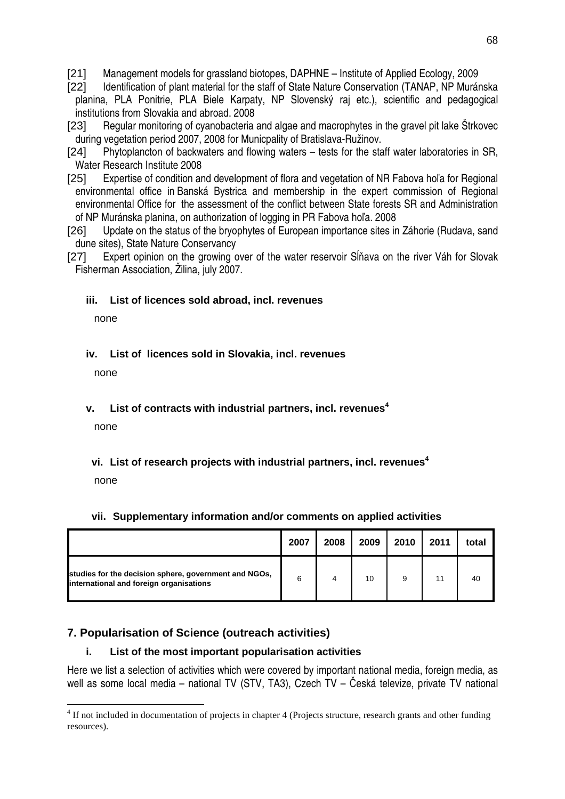- [21] Management models for grassland biotopes, DAPHNE Institute of Applied Ecology, 2009
- [22] Identification of plant material for the staff of State Nature Conservation (TANAP, NP Muránska planina, PLA Ponitrie, PLA Biele Karpaty, NP Slovenský raj etc.), scientific and pedagogical institutions from Slovakia and abroad. 2008
- [23] Regular monitoring of cyanobacteria and algae and macrophytes in the gravel pit lake Štrkovec during vegetation period 2007, 2008 for Municpality of Bratislava-Ružinov.
- [24] Phytoplancton of backwaters and flowing waters tests for the staff water laboratories in SR, Water Research Institute 2008
- [25] Expertise of condition and development of flora and vegetation of NR Fabova hoľa for Regional environmental office in Banská Bystrica and membership in the expert commission of Regional environmental Office for the assessment of the conflict between State forests SR and Administration of NP Muránska planina, on authorization of logging in PR Fabova hoľa. 2008
- [26] Update on the status of the bryophytes of European importance sites in Záhorie (Rudava, sand dune sites), State Nature Conservancy
- [27] Expert opinion on the growing over of the water reservoir Sĺňava on the river Váh for Slovak Fisherman Association, Žilina, july 2007.

#### **iii. List of licences sold abroad, incl. revenues**

none

#### **iv. List of licences sold in Slovakia, incl. revenues**

none

#### **v. List of contracts with industrial partners, incl. revenues<sup>4</sup>**

none

## **vi. List of research projects with industrial partners, incl. revenues<sup>4</sup>**

none

 $\overline{a}$ 

#### **vii. Supplementary information and/or comments on applied activities**

|                                                                                                  | 2007 | 2008 | 2009 | 2010 | 2011 | total |
|--------------------------------------------------------------------------------------------------|------|------|------|------|------|-------|
| studies for the decision sphere, government and NGOs,<br>international and foreign organisations | 6    |      | 10   |      |      | 40    |

#### **7. Popularisation of Science (outreach activities)**

#### **i. List of the most important popularisation activities**

Here we list a selection of activities which were covered by important national media, foreign media, as well as some local media – national TV (STV, TA3), Czech TV – Česká televize, private TV national

<sup>&</sup>lt;sup>4</sup> If not included in documentation of projects in chapter 4 (Projects structure, research grants and other funding resources).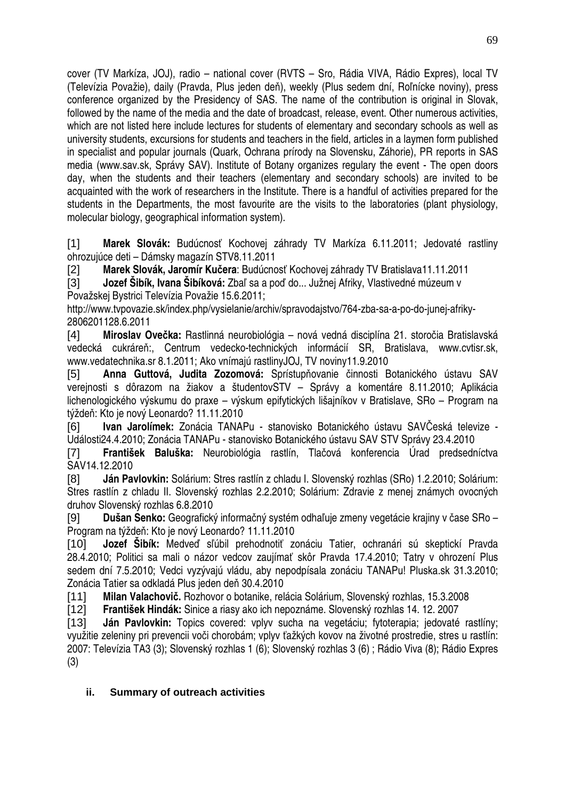cover (TV Markíza, JOJ), radio – national cover (RVTS – Sro, Rádia VIVA, Rádio Expres), local TV (Televízia Považie), daily (Pravda, Plus jeden deň), weekly (Plus sedem dní, Roľnícke noviny), press conference organized by the Presidency of SAS. The name of the contribution is original in Slovak, followed by the name of the media and the date of broadcast, release, event. Other numerous activities, which are not listed here include lectures for students of elementary and secondary schools as well as university students, excursions for students and teachers in the field, articles in a laymen form published in specialist and popular journals (Quark, Ochrana prírody na Slovensku, Záhorie), PR reports in SAS media (www.sav.sk, Správy SAV). Institute of Botany organizes regulary the event - The open doors day, when the students and their teachers (elementary and secondary schools) are invited to be acquainted with the work of researchers in the Institute. There is a handful of activities prepared for the students in the Departments, the most favourite are the visits to the laboratories (plant physiology, molecular biology, geographical information system).

[1] **Marek Slovák:** Budúcnosť Kochovej záhrady TV Markíza 6.11.2011; Jedovaté rastliny ohrozujúce deti – Dámsky magazín STV8.11.2011

[2] **Marek Slovák, Jaromír Ku**č**era**: Budúcnosť Kochovej záhrady TV Bratislava11.11.2011

[3] **Jozef Šibík, Ivana Šibíková:** Zbaľ sa a poď do... Južnej Afriky, Vlastivedné múzeum v Považskej Bystrici Televízia Považie 15.6.2011;

http://www.tvpovazie.sk/index.php/vysielanie/archiv/spravodajstvo/764-zba-sa-a-po-do-junej-afriky-2806201128.6.2011

[4] **Miroslav Ove**č**ka:** Rastlinná neurobiológia – nová vedná disciplína 21. storočia Bratislavská vedecká cukráreň:, Centrum vedecko-technických informácií SR, Bratislava, www.cvtisr.sk, www.vedatechnika.sr 8.1.2011; Ako vnímajú rastlinyJOJ, TV noviny11.9.2010

[5] **Anna Guttová, Judita Zozomová:** Sprístupňovanie činnosti Botanického ústavu SAV verejnosti s dôrazom na žiakov a študentovSTV – Správy a komentáre 8.11.2010; Aplikácia lichenologického výskumu do praxe – výskum epifytických lišajníkov v Bratislave, SRo – Program na týždeň: Kto je nový Leonardo? 11.11.2010

[6] **Ivan Jarolímek:** Zonácia TANAPu - stanovisko Botanického ústavu SAVČeská televize - Události24.4.2010; Zonácia TANAPu - stanovisko Botanického ústavu SAV STV Správy 23.4.2010

[7] **František Baluška:** Neurobiológia rastlín, Tlačová konferencia Úrad predsedníctva SAV14.12.2010

[8] **Ján Pavlovkin:** Solárium: Stres rastlín z chladu I. Slovenský rozhlas (SRo) 1.2.2010; Solárium: Stres rastlín z chladu II. Slovenský rozhlas 2.2.2010; Solárium: Zdravie z menej známych ovocných druhov Slovenský rozhlas 6.8.2010

[9] **Dušan Senko:** Geografický informačný systém odhaľuje zmeny vegetácie krajiny v čase SRo – Program na týždeň: Kto je nový Leonardo? 11.11.2010

[10] **Jozef Šibík:** Medveď sľúbil prehodnotiť zonáciu Tatier, ochranári sú skeptickí Pravda 28.4.2010; Politici sa mali o názor vedcov zaujímať skôr Pravda 17.4.2010; Tatry v ohrození Plus sedem dní 7.5.2010; Vedci vyzývajú vládu, aby nepodpísala zonáciu TANAPu! Pluska.sk 31.3.2010; Zonácia Tatier sa odkladá Plus jeden deň 30.4.2010

[11] **Milan Valachovi**č**.** Rozhovor o botanike, relácia Solárium, Slovenský rozhlas, 15.3.2008

[12] **František Hindák:** Sinice a riasy ako ich nepoznáme. Slovenský rozhlas 14. 12. 2007

[13] **Ján Pavlovkin:** Topics covered: vplyv sucha na vegetáciu; fytoterapia; jedovaté rastlíny; využitie zeleniny pri prevencii voči chorobám; vplyv ťažkých kovov na životné prostredie, stres u rastlín: 2007: Televízia TA3 (3); Slovenský rozhlas 1 (6); Slovenský rozhlas 3 (6) ; Rádio Viva (8); Rádio Expres (3)

## **ii. Summary of outreach activities**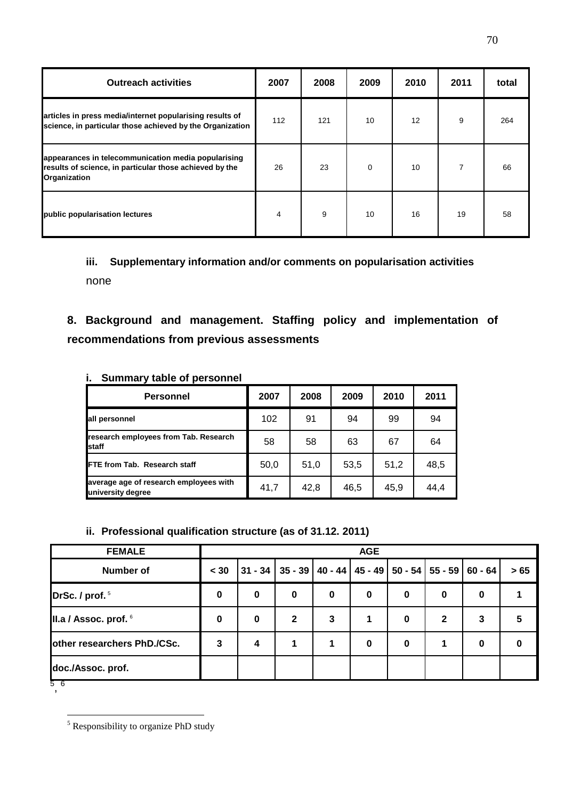| <b>Outreach activities</b>                                                                                                     | 2007 | 2008 | 2009     | 2010 | 2011 | total |
|--------------------------------------------------------------------------------------------------------------------------------|------|------|----------|------|------|-------|
| articles in press media/internet popularising results of<br>science, in particular those achieved by the Organization          | 112  | 121  | 10       | 12   | 9    | 264   |
| appearances in telecommunication media popularising<br>results of science, in particular those achieved by the<br>Organization | 26   | 23   | $\Omega$ | 10   |      | 66    |
| public popularisation lectures                                                                                                 | 4    | 9    | 10       | 16   | 19   | 58    |

# **iii. Supplementary information and/or comments on popularisation activities**  none

**8. Background and management. Staffing policy and implementation of recommendations from previous assessments** 

| <b>Personnel</b>                                            | 2007 | 2008 | 2009 | 2010 | 2011 |
|-------------------------------------------------------------|------|------|------|------|------|
| all personnel                                               | 102  | 91   | 94   | 99   | 94   |
| research employees from Tab. Research<br>staff              | 58   | 58   | 63   | 67   | 64   |
| <b>IFTE from Tab. Research staff</b>                        | 50,0 | 51,0 | 53,5 | 51,2 | 48,5 |
| average age of research employees with<br>university degree | 41,7 | 42,8 | 46,5 | 45.9 | 44,4 |

## **i. Summary table of personnel**

#### **ii. Professional qualification structure (as of 31.12. 2011)**

| <b>FEMALE</b>               |          |             |                                                 |          | <b>AGE</b> |          |              |           |     |
|-----------------------------|----------|-------------|-------------------------------------------------|----------|------------|----------|--------------|-----------|-----|
| Number of                   | < 30     | $31 - 34$   | 35 - 39   40 - 44   45 - 49   50 - 54   55 - 59 |          |            |          |              | $60 - 64$ | >65 |
| DrSc. / prof. <sup>5</sup>  | 0        | $\bf{0}$    | $\mathbf 0$                                     | $\bf{0}$ | $\bf{0}$   | 0        | $\bf{0}$     | 0         |     |
| II.a / Assoc. prof. 6       | $\bf{0}$ | $\mathbf 0$ | $\mathbf{2}$                                    | 3        |            | 0        | $\mathbf{2}$ | 3         | 5   |
| other researchers PhD./CSc. | 3        | 4           |                                                 |          | $\bf{0}$   | $\bf{0}$ |              | $\bf{0}$  | 0   |
| doc./Assoc. prof.           |          |             |                                                 |          |            |          |              |           |     |

<sup>5</sup> , 6

 5 Responsibility to organize PhD study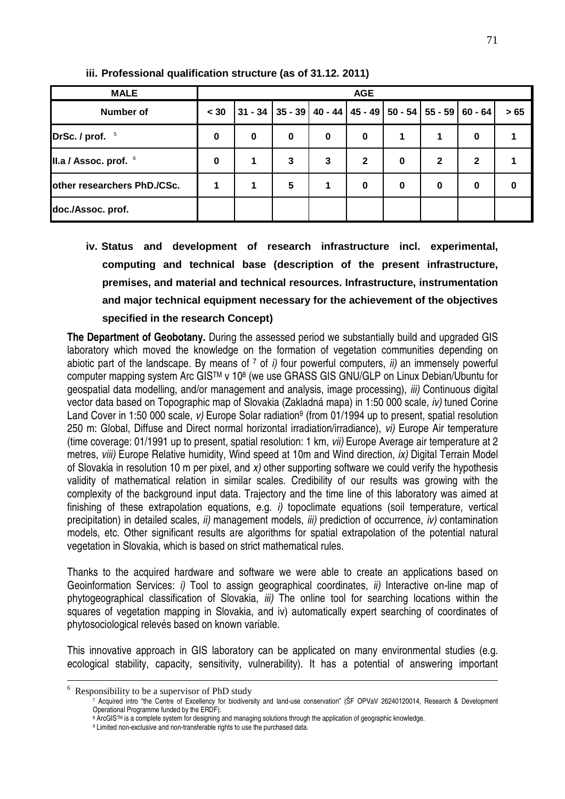| <b>MALE</b>                 | <b>AGE</b>  |   |          |          |              |                                                           |              |              |      |  |  |  |
|-----------------------------|-------------|---|----------|----------|--------------|-----------------------------------------------------------|--------------|--------------|------|--|--|--|
| <b>Number of</b>            | < 30        |   |          |          |              | 31 - 34   35 - 39   40 - 44   45 - 49   50 - 54   55 - 59 |              | $60 - 64$    | > 65 |  |  |  |
| DrSc. / prof. $5$           | $\mathbf 0$ | 0 | $\bf{0}$ | $\bf{0}$ | $\bf{0}$     | 1                                                         |              | 0            |      |  |  |  |
| II.a / Assoc. prof. 6       | $\bf{0}$    |   | 3        | 3        | $\mathbf{2}$ | $\bf{0}$                                                  | $\mathbf{2}$ | $\mathbf{2}$ |      |  |  |  |
| other researchers PhD./CSc. |             |   | 5        |          | 0            | 0                                                         | $\bf{0}$     | 0            | 0    |  |  |  |
| doc./Assoc.prof.            |             |   |          |          |              |                                                           |              |              |      |  |  |  |

**iii. Professional qualification structure (as of 31.12. 2011)** 

**iv. Status and development of research infrastructure incl. experimental, computing and technical base (description of the present infrastructure, premises, and material and technical resources. Infrastructure, instrumentation and major technical equipment necessary for the achievement of the objectives specified in the research Concept)** 

**The Department of Geobotany.** During the assessed period we substantially build and upgraded GIS laboratory which moved the knowledge on the formation of vegetation communities depending on abiotic part of the landscape. By means of  $\frac{7}{1}$  of i) four powerful computers, ii) an immensely powerful computer mapping system Arc GIS™ v 10<sup>8</sup> (we use GRASS GIS GNU/GLP on Linux Debian/Ubuntu for geospatial data modelling, and/or management and analysis, image processing), iii) Continuous digital vector data based on Topographic map of Slovakia (Zakladná mapa) in 1:50 000 scale, iv) tuned Corine Land Cover in 1:50 000 scale, v) Europe Solar radiation<sup>9</sup> (from 01/1994 up to present, spatial resolution 250 m: Global, Diffuse and Direct normal horizontal irradiation/irradiance), vi) Europe Air temperature (time coverage: 01/1991 up to present, spatial resolution: 1 km, vii) Europe Average air temperature at 2 metres, viii) Europe Relative humidity, Wind speed at 10m and Wind direction, ix) Digital Terrain Model of Slovakia in resolution 10 m per pixel, and x) other supporting software we could verify the hypothesis validity of mathematical relation in similar scales. Credibility of our results was growing with the complexity of the background input data. Trajectory and the time line of this laboratory was aimed at finishing of these extrapolation equations, e.g. i) topoclimate equations (soil temperature, vertical precipitation) in detailed scales,  $ii$ ) management models,  $iii$ ) prediction of occurrence,  $iv$ ) contamination models, etc. Other significant results are algorithms for spatial extrapolation of the potential natural vegetation in Slovakia, which is based on strict mathematical rules.

Thanks to the acquired hardware and software we were able to create an applications based on Geoinformation Services: *i*) Tool to assign geographical coordinates, *ii*) Interactive on-line map of phytogeographical classification of Slovakia, *iii*) The online tool for searching locations within the squares of vegetation mapping in Slovakia, and iv) automatically expert searching of coordinates of phytosociological relevés based on known variable.

This innovative approach in GIS laboratory can be applicated on many environmental studies (e.g. ecological stability, capacity, sensitivity, vulnerability). It has a potential of answering important

<sup>&</sup>lt;sup>6</sup> Responsibility to be a supervisor of PhD study

<sup>7</sup> Acquired intro "the Centre of Excellency for biodiversity and land-use conservation" (ŠF OPVaV 26240120014, Research & Development Operational Programme funded by the ERDF).

<sup>&</sup>lt;sup>8</sup> ArcGIS™ is a complete system for designing and managing solutions through the application of geographic knowledge.

<sup>&</sup>lt;sup>9</sup> Limited non-exclusive and non-transferable rights to use the purchased data.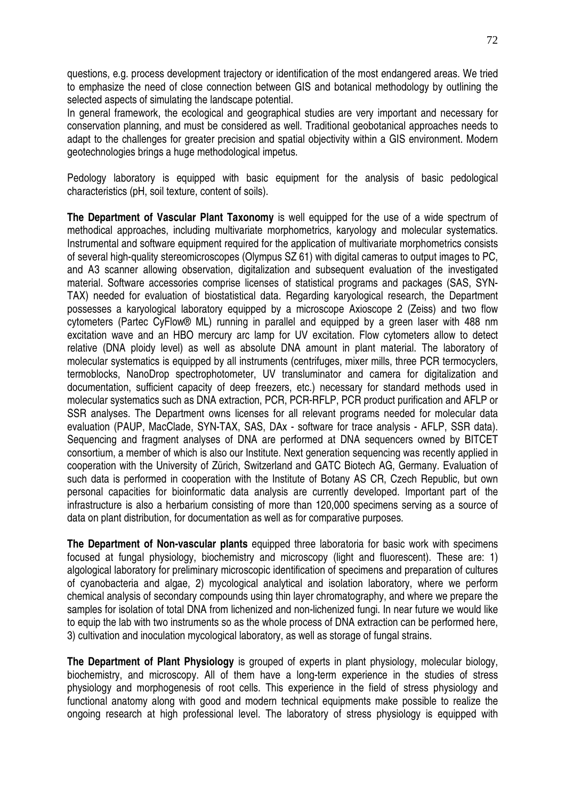questions, e.g. process development trajectory or identification of the most endangered areas. We tried to emphasize the need of close connection between GIS and botanical methodology by outlining the selected aspects of simulating the landscape potential.

In general framework, the ecological and geographical studies are very important and necessary for conservation planning, and must be considered as well. Traditional geobotanical approaches needs to adapt to the challenges for greater precision and spatial objectivity within a GIS environment. Modern geotechnologies brings a huge methodological impetus.

Pedology laboratory is equipped with basic equipment for the analysis of basic pedological characteristics (pH, soil texture, content of soils).

**The Department of Vascular Plant Taxonomy** is well equipped for the use of a wide spectrum of methodical approaches, including multivariate morphometrics, karyology and molecular systematics. Instrumental and software equipment required for the application of multivariate morphometrics consists of several high-quality stereomicroscopes (Olympus SZ 61) with digital cameras to output images to PC, and A3 scanner allowing observation, digitalization and subsequent evaluation of the investigated material. Software accessories comprise licenses of statistical programs and packages (SAS, SYN-TAX) needed for evaluation of biostatistical data. Regarding karyological research, the Department possesses a karyological laboratory equipped by a microscope Axioscope 2 (Zeiss) and two flow cytometers (Partec CyFlow® ML) running in parallel and equipped by a green laser with 488 nm excitation wave and an HBO mercury arc lamp for UV excitation. Flow cytometers allow to detect relative (DNA ploidy level) as well as absolute DNA amount in plant material. The laboratory of molecular systematics is equipped by all instruments (centrifuges, mixer mills, three PCR termocyclers, termoblocks, NanoDrop spectrophotometer, UV transluminator and camera for digitalization and documentation, sufficient capacity of deep freezers, etc.) necessary for standard methods used in molecular systematics such as DNA extraction, PCR, PCR-RFLP, PCR product purification and AFLP or SSR analyses. The Department owns licenses for all relevant programs needed for molecular data evaluation (PAUP, MacClade, SYN-TAX, SAS, DAx - software for trace analysis - AFLP, SSR data). Sequencing and fragment analyses of DNA are performed at DNA sequencers owned by BITCET consortium, a member of which is also our Institute. Next generation sequencing was recently applied in cooperation with the University of Zürich, Switzerland and GATC Biotech AG, Germany. Evaluation of such data is performed in cooperation with the Institute of Botany AS CR, Czech Republic, but own personal capacities for bioinformatic data analysis are currently developed. Important part of the infrastructure is also a herbarium consisting of more than 120,000 specimens serving as a source of data on plant distribution, for documentation as well as for comparative purposes.

**The Department of Non-vascular plants** equipped three laboratoria for basic work with specimens focused at fungal physiology, biochemistry and microscopy (light and fluorescent). These are: 1) algological laboratory for preliminary microscopic identification of specimens and preparation of cultures of cyanobacteria and algae, 2) mycological analytical and isolation laboratory, where we perform chemical analysis of secondary compounds using thin layer chromatography, and where we prepare the samples for isolation of total DNA from lichenized and non-lichenized fungi. In near future we would like to equip the lab with two instruments so as the whole process of DNA extraction can be performed here, 3) cultivation and inoculation mycological laboratory, as well as storage of fungal strains.

**The Department of Plant Physiology** is grouped of experts in plant physiology, molecular biology, biochemistry, and microscopy. All of them have a long-term experience in the studies of stress physiology and morphogenesis of root cells. This experience in the field of stress physiology and functional anatomy along with good and modern technical equipments make possible to realize the ongoing research at high professional level. The laboratory of stress physiology is equipped with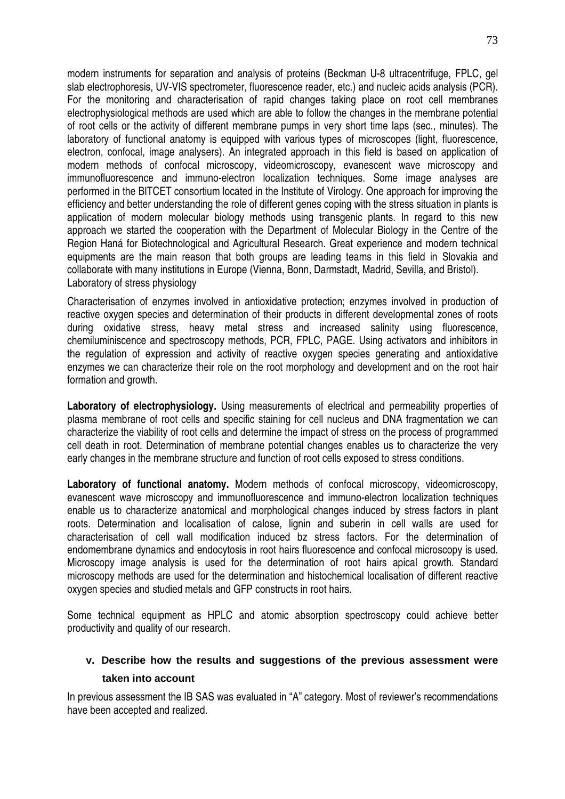modern instruments for separation and analysis of proteins (Beckman U-8 ultracentrifuge, FPLC, gel slab electrophoresis, UV-VIS spectrometer, fluorescence reader, etc.) and nucleic acids analysis (PCR). For the monitoring and characterisation of rapid changes taking place on root cell membranes electrophysiological methods are used which are able to follow the changes in the membrane potential of root cells or the activity of different membrane pumps in very short time laps (sec., minutes). The laboratory of functional anatomy is equipped with various types of microscopes (light, fluorescence, electron, confocal, image analysers). An integrated approach in this field is based on application of modern methods of confocal microscopy, videomicroscopy, evanescent wave microscopy and immunofluorescence and immuno-electron localization techniques. Some image analyses are performed in the BITCET consortium located in the Institute of Virology. One approach for improving the efficiency and better understanding the role of different genes coping with the stress situation in plants is application of modern molecular biology methods using transgenic plants. In regard to this new approach we started the cooperation with the Department of Molecular Biology in the Centre of the Region Haná for Biotechnological and Agricultural Research. Great experience and modern technical equipments are the main reason that both groups are leading teams in this field in Slovakia and collaborate with many institutions in Europe (Vienna, Bonn, Darmstadt, Madrid, Sevilla, and Bristol). Laboratory of stress physiology

Characterisation of enzymes involved in antioxidative protection; enzymes involved in production of reactive oxygen species and determination of their products in different developmental zones of roots during oxidative stress, heavy metal stress and increased salinity using fluorescence, chemiluminiscence and spectroscopy methods, PCR, FPLC, PAGE. Using activators and inhibitors in the regulation of expression and activity of reactive oxygen species generating and antioxidative enzymes we can characterize their role on the root morphology and development and on the root hair formation and growth.

Laboratory of electrophysiology. Using measurements of electrical and permeability properties of plasma membrane of root cells and specific staining for cell nucleus and DNA fragmentation we can characterize the viability of root cells and determine the impact of stress on the process of programmed cell death in root. Determination of membrane potential changes enables us to characterize the very early changes in the membrane structure and function of root cells exposed to stress conditions.

**Laboratory of functional anatomy.** Modern methods of confocal microscopy, videomicroscopy, evanescent wave microscopy and immunofluorescence and immuno-electron localization techniques enable us to characterize anatomical and morphological changes induced by stress factors in plant roots. Determination and localisation of calose, lignin and suberin in cell walls are used for characterisation of cell wall modification induced bz stress factors. For the determination of endomembrane dynamics and endocytosis in root hairs fluorescence and confocal microscopy is used. Microscopy image analysis is used for the determination of root hairs apical growth. Standard microscopy methods are used for the determination and histochemical localisation of different reactive oxygen species and studied metals and GFP constructs in root hairs.

Some technical equipment as HPLC and atomic absorption spectroscopy could achieve better productivity and quality of our research.

## **v. Describe how the results and suggestions of the previous assessment were taken into account**

In previous assessment the IB SAS was evaluated in "A" category. Most of reviewer's recommendations have been accepted and realized.